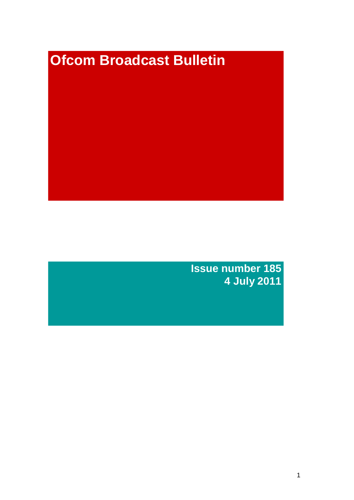# **Ofcom Broadcast Bulletin**

**Issue number 185 4 July 2011**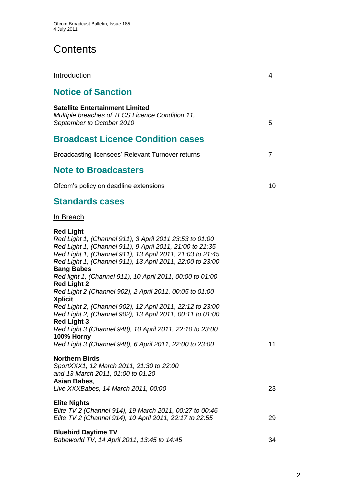# **Contents**

| Introduction                                                                                                                                                                                                                                                                                                                                                                                                                                                                                                                                                                                                                                                                                                                                | 4  |
|---------------------------------------------------------------------------------------------------------------------------------------------------------------------------------------------------------------------------------------------------------------------------------------------------------------------------------------------------------------------------------------------------------------------------------------------------------------------------------------------------------------------------------------------------------------------------------------------------------------------------------------------------------------------------------------------------------------------------------------------|----|
| <b>Notice of Sanction</b>                                                                                                                                                                                                                                                                                                                                                                                                                                                                                                                                                                                                                                                                                                                   |    |
| <b>Satellite Entertainment Limited</b><br>Multiple breaches of TLCS Licence Condition 11,<br>September to October 2010                                                                                                                                                                                                                                                                                                                                                                                                                                                                                                                                                                                                                      | 5  |
| <b>Broadcast Licence Condition cases</b>                                                                                                                                                                                                                                                                                                                                                                                                                                                                                                                                                                                                                                                                                                    |    |
| Broadcasting licensees' Relevant Turnover returns                                                                                                                                                                                                                                                                                                                                                                                                                                                                                                                                                                                                                                                                                           | 7  |
| <b>Note to Broadcasters</b>                                                                                                                                                                                                                                                                                                                                                                                                                                                                                                                                                                                                                                                                                                                 |    |
| Ofcom's policy on deadline extensions                                                                                                                                                                                                                                                                                                                                                                                                                                                                                                                                                                                                                                                                                                       | 10 |
| <b>Standards cases</b>                                                                                                                                                                                                                                                                                                                                                                                                                                                                                                                                                                                                                                                                                                                      |    |
| In Breach                                                                                                                                                                                                                                                                                                                                                                                                                                                                                                                                                                                                                                                                                                                                   |    |
| <b>Red Light</b><br>Red Light 1, (Channel 911), 3 April 2011 23:53 to 01:00<br>Red Light 1, (Channel 911), 9 April 2011, 21:00 to 21:35<br>Red Light 1, (Channel 911), 13 April 2011, 21:03 to 21:45<br>Red Light 1, (Channel 911), 13 April 2011, 22:00 to 23:00<br><b>Bang Babes</b><br>Red light 1, (Channel 911), 10 April 2011, 00:00 to 01:00<br><b>Red Light 2</b><br>Red Light 2 (Channel 902), 2 April 2011, 00:05 to 01:00<br><b>Xplicit</b><br>Red Light 2, (Channel 902), 12 April 2011, 22:12 to 23:00<br>Red Light 2, (Channel 902), 13 April 2011, 00:11 to 01:00<br><b>Red Light 3</b><br>Red Light 3 (Channel 948), 10 April 2011, 22:10 to 23:00<br>100% Horny<br>Red Light 3 (Channel 948), 6 April 2011, 22:00 to 23:00 | 11 |
| <b>Northern Birds</b><br>SportXXX1, 12 March 2011, 21:30 to 22:00<br>and 13 March 2011, 01:00 to 01.20<br>Asian Babes,<br>Live XXXBabes, 14 March 2011, 00:00                                                                                                                                                                                                                                                                                                                                                                                                                                                                                                                                                                               | 23 |
| <b>Elite Nights</b><br>Elite TV 2 (Channel 914), 19 March 2011, 00:27 to 00:46<br>Elite TV 2 (Channel 914), 10 April 2011, 22:17 to 22:55                                                                                                                                                                                                                                                                                                                                                                                                                                                                                                                                                                                                   | 29 |
| <b>Bluebird Daytime TV</b><br>Babeworld TV, 14 April 2011, 13:45 to 14:45                                                                                                                                                                                                                                                                                                                                                                                                                                                                                                                                                                                                                                                                   | 34 |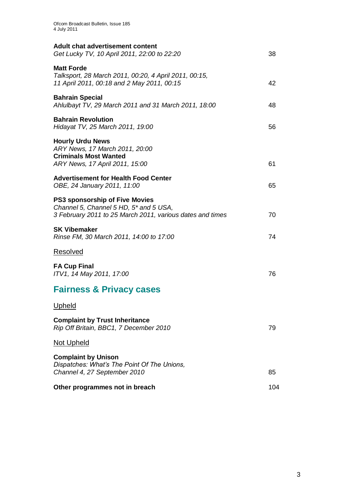| Adult chat advertisement content<br>Get Lucky TV, 10 April 2011, 22:00 to 22:20                                                              | 38  |
|----------------------------------------------------------------------------------------------------------------------------------------------|-----|
| <b>Matt Forde</b><br>Talksport, 28 March 2011, 00:20, 4 April 2011, 00:15,<br>11 April 2011, 00:18 and 2 May 2011, 00:15                     | 42  |
| <b>Bahrain Special</b><br>Ahlulbayt TV, 29 March 2011 and 31 March 2011, 18:00                                                               | 48  |
| <b>Bahrain Revolution</b><br>Hidayat TV, 25 March 2011, 19:00                                                                                | 56  |
| <b>Hourly Urdu News</b><br>ARY News, 17 March 2011, 20:00<br><b>Criminals Most Wanted</b><br>ARY News, 17 April 2011, 15:00                  | 61  |
| <b>Advertisement for Health Food Center</b><br>OBE, 24 January 2011, 11:00                                                                   | 65  |
| <b>PS3 sponsorship of Five Movies</b><br>Channel 5, Channel 5 HD, 5* and 5 USA,<br>3 February 2011 to 25 March 2011, various dates and times | 70  |
| <b>SK Vibemaker</b><br>Rinse FM, 30 March 2011, 14:00 to 17:00                                                                               | 74  |
| <b>Resolved</b>                                                                                                                              |     |
| <b>FA Cup Final</b><br>ITV1, 14 May 2011, 17:00                                                                                              | 76  |
| <b>Fairness &amp; Privacy cases</b>                                                                                                          |     |
| Upheld                                                                                                                                       |     |
| <b>Complaint by Trust Inheritance</b><br>Rip Off Britain, BBC1, 7 December 2010                                                              | 79  |
| <b>Not Upheld</b>                                                                                                                            |     |
| <b>Complaint by Unison</b><br>Dispatches: What's The Point Of The Unions,<br>Channel 4, 27 September 2010                                    | 85  |
| Other programmes not in breach                                                                                                               | 104 |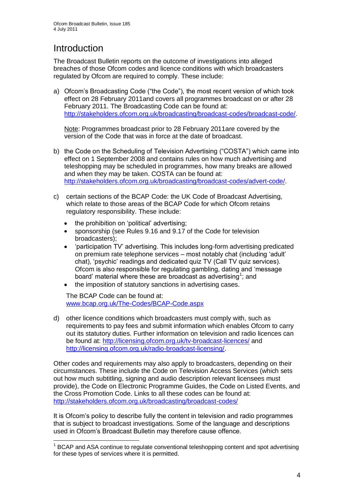# Introduction

The Broadcast Bulletin reports on the outcome of investigations into alleged breaches of those Ofcom codes and licence conditions with which broadcasters regulated by Ofcom are required to comply. These include:

a) Ofcom"s Broadcasting Code ("the Code"), the most recent version of which took effect on 28 February 2011and covers all programmes broadcast on or after 28 February 2011. The Broadcasting Code can be found at: [http://stakeholders.ofcom.org.uk/broadcasting/broadcast-codes/broadcast-code/.](http://stakeholders.ofcom.org.uk/broadcasting/broadcast-codes/broadcast-code/)

Note: Programmes broadcast prior to 28 February 2011are covered by the version of the Code that was in force at the date of broadcast.

- b) the Code on the Scheduling of Television Advertising ("COSTA") which came into effect on 1 September 2008 and contains rules on how much advertising and teleshopping may be scheduled in programmes, how many breaks are allowed and when they may be taken. COSTA can be found at: [http://stakeholders.ofcom.org.uk/broadcasting/broadcast-codes/advert-code/.](http://stakeholders.ofcom.org.uk/broadcasting/broadcast-codes/advert-code/)
- c) certain sections of the BCAP Code: the UK Code of Broadcast Advertising, which relate to those areas of the BCAP Code for which Ofcom retains regulatory responsibility. These include:
	- the prohibition on "political" advertising;
	- sponsorship (see Rules 9.16 and 9.17 of the Code for television broadcasters);
	- "participation TV" advertising. This includes long-form advertising predicated on premium rate telephone services – most notably chat (including "adult" chat), "psychic" readings and dedicated quiz TV (Call TV quiz services). Ofcom is also responsible for regulating gambling, dating and "message board' material where these are broadcast as advertising<sup>1</sup>; and
	- the imposition of statutory sanctions in advertising cases.

The BCAP Code can be found at: [www.bcap.org.uk/The-Codes/BCAP-Code.aspx](http://www.bcap.org.uk/The-Codes/BCAP-Code.aspx)

d) other licence conditions which broadcasters must comply with, such as requirements to pay fees and submit information which enables Ofcom to carry out its statutory duties. Further information on television and radio licences can be found at:<http://licensing.ofcom.org.uk/tv-broadcast-licences/> and [http://licensing.ofcom.org.uk/radio-broadcast-licensing/.](http://licensing.ofcom.org.uk/radio-broadcast-licensing/)

Other codes and requirements may also apply to broadcasters, depending on their circumstances. These include the Code on Television Access Services (which sets out how much subtitling, signing and audio description relevant licensees must provide), the Code on Electronic Programme Guides, the Code on Listed Events, and the Cross Promotion Code. Links to all these codes can be found at: <http://stakeholders.ofcom.org.uk/broadcasting/broadcast-codes/>

It is Ofcom"s policy to describe fully the content in television and radio programmes that is subject to broadcast investigations. Some of the language and descriptions used in Ofcom"s Broadcast Bulletin may therefore cause offence.

<sup>1</sup>  $1$  BCAP and ASA continue to regulate conventional teleshopping content and spot advertising for these types of services where it is permitted.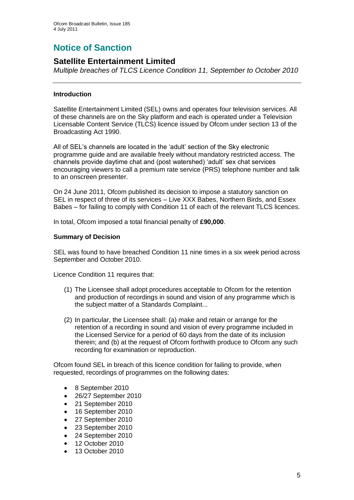# **Notice of Sanction**

## **Satellite Entertainment Limited**

*Multiple breaches of TLCS Licence Condition 11, September to October 2010* 

#### **Introduction**

Satellite Entertainment Limited (SEL) owns and operates four television services. All of these channels are on the Sky platform and each is operated under a Television Licensable Content Service (TLCS) licence issued by Ofcom under section 13 of the Broadcasting Act 1990.

All of SEL"s channels are located in the "adult" section of the Sky electronic programme guide and are available freely without mandatory restricted access. The channels provide daytime chat and (post watershed) "adult" sex chat services encouraging viewers to call a premium rate service (PRS) telephone number and talk to an onscreen presenter.

On 24 June 2011, Ofcom published its decision to impose a statutory sanction on SEL in respect of three of its services – Live XXX Babes, Northern Birds, and Essex Babes – for failing to comply with Condition 11 of each of the relevant TLCS licences.

In total, Ofcom imposed a total financial penalty of **£90,000**.

#### **Summary of Decision**

SEL was found to have breached Condition 11 nine times in a six week period across September and October 2010.

Licence Condition 11 requires that:

- (1) The Licensee shall adopt procedures acceptable to Ofcom for the retention and production of recordings in sound and vision of any programme which is the subject matter of a Standards Complaint...
- (2) In particular, the Licensee shall: (a) make and retain or arrange for the retention of a recording in sound and vision of every programme included in the Licensed Service for a period of 60 days from the date of its inclusion therein; and (b) at the request of Ofcom forthwith produce to Ofcom any such recording for examination or reproduction.

Ofcom found SEL in breach of this licence condition for failing to provide, when requested, recordings of programmes on the following dates:

- $\bullet$ 8 September 2010
- 26/27 September 2010  $\bullet$
- 21 September 2010
- 16 September 2010
- 27 September 2010
- 23 September 2010
- 24 September 2010
- 12 October 2010
- 13 October 2010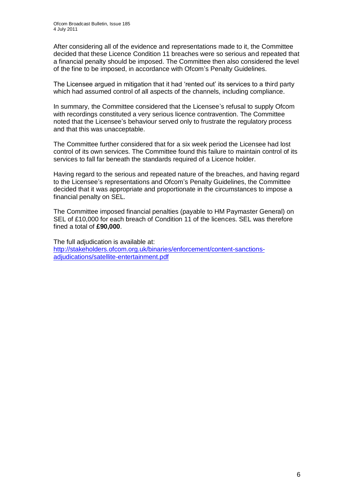After considering all of the evidence and representations made to it, the Committee decided that these Licence Condition 11 breaches were so serious and repeated that a financial penalty should be imposed. The Committee then also considered the level of the fine to be imposed, in accordance with Ofcom"s Penalty Guidelines.

The Licensee argued in mitigation that it had 'rented out' its services to a third party which had assumed control of all aspects of the channels, including compliance.

In summary, the Committee considered that the Licensee"s refusal to supply Ofcom with recordings constituted a very serious licence contravention. The Committee noted that the Licensee"s behaviour served only to frustrate the regulatory process and that this was unacceptable.

The Committee further considered that for a six week period the Licensee had lost control of its own services. The Committee found this failure to maintain control of its services to fall far beneath the standards required of a Licence holder.

Having regard to the serious and repeated nature of the breaches, and having regard to the Licensee"s representations and Ofcom"s Penalty Guidelines, the Committee decided that it was appropriate and proportionate in the circumstances to impose a financial penalty on SEL.

The Committee imposed financial penalties (payable to HM Paymaster General) on SEL of £10,000 for each breach of Condition 11 of the licences. SEL was therefore fined a total of **£90,000**.

The full adjudication is available at: [http://stakeholders.ofcom.org.uk/binaries/enforcement/content-sanctions](http://stakeholders.ofcom.org.uk/binaries/enforcement/content-sanctions-adjudications/satellite-entertainment.pdf)[adjudications/satellite-entertainment.pdf](http://stakeholders.ofcom.org.uk/binaries/enforcement/content-sanctions-adjudications/satellite-entertainment.pdf)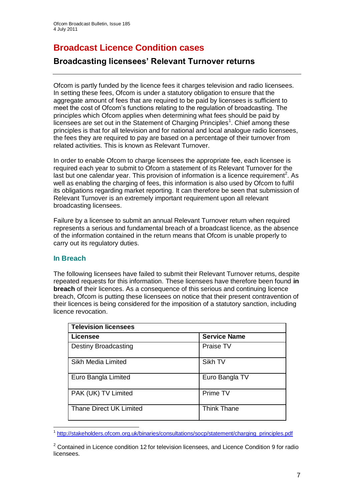# **Broadcast Licence Condition cases**

## **Broadcasting licensees' Relevant Turnover returns**

Ofcom is partly funded by the licence fees it charges television and radio licensees. In setting these fees, Ofcom is under a statutory obligation to ensure that the aggregate amount of fees that are required to be paid by licensees is sufficient to meet the cost of Ofcom"s functions relating to the regulation of broadcasting. The principles which Ofcom applies when determining what fees should be paid by  $l$ icensees are set out in the Statement of Charging Principles<sup>1</sup>. Chief among these principles is that for all television and for national and local analogue radio licensees, the fees they are required to pay are based on a percentage of their turnover from related activities. This is known as Relevant Turnover.

In order to enable Ofcom to charge licensees the appropriate fee, each licensee is required each year to submit to Ofcom a statement of its Relevant Turnover for the last but one calendar year. This provision of information is a licence requirement<sup>2</sup>. As well as enabling the charging of fees, this information is also used by Ofcom to fulfil its obligations regarding market reporting. It can therefore be seen that submission of Relevant Turnover is an extremely important requirement upon all relevant broadcasting licensees.

Failure by a licensee to submit an annual Relevant Turnover return when required represents a serious and fundamental breach of a broadcast licence, as the absence of the information contained in the return means that Ofcom is unable properly to carry out its regulatory duties.

#### **In Breach**

The following licensees have failed to submit their Relevant Turnover returns, despite repeated requests for this information. These licensees have therefore been found **in breach** of their licences. As a consequence of this serious and continuing licence breach, Ofcom is putting these licensees on notice that their present contravention of their licences is being considered for the imposition of a statutory sanction, including licence revocation.

| <b>Television licensees</b> |                     |  |
|-----------------------------|---------------------|--|
| Licensee                    | <b>Service Name</b> |  |
| <b>Destiny Broadcasting</b> | Praise TV           |  |
| Sikh Media Limited          | Sikh TV             |  |
| Euro Bangla Limited         | Euro Bangla TV      |  |
| PAK (UK) TV Limited         | Prime TV            |  |
| Thane Direct UK Limited     | <b>Think Thane</b>  |  |

<sup>1</sup> <sup>1</sup> [http://stakeholders.ofcom.org.uk/binaries/consultations/socp/statement/charging\\_principles.pdf](http://stakeholders.ofcom.org.uk/binaries/consultations/socp/statement/charging_principles.pdf)

 $2$  Contained in Licence condition 12 for television licensees, and Licence Condition 9 for radio licensees.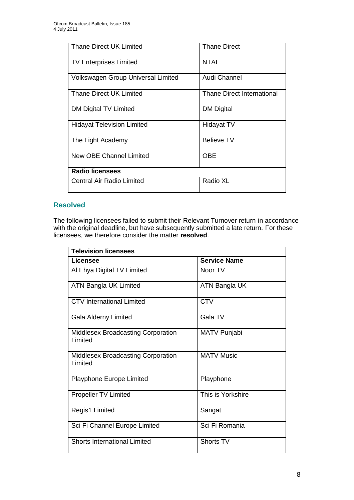| Thane Direct UK Limited            | <b>Thane Direct</b>        |
|------------------------------------|----------------------------|
| <b>TV Enterprises Limited</b>      | <b>NTAI</b>                |
| Volkswagen Group Universal Limited | Audi Channel               |
| Thane Direct UK Limited            | Thane Direct International |
| DM Digital TV Limited              | <b>DM Digital</b>          |
| <b>Hidayat Television Limited</b>  | <b>Hidayat TV</b>          |
| The Light Academy                  | <b>Believe TV</b>          |
| <b>New OBE Channel Limited</b>     | <b>OBE</b>                 |
| <b>Radio licensees</b>             |                            |
| Central Air Radio Limited          | Radio XL                   |

#### **Resolved**

The following licensees failed to submit their Relevant Turnover return in accordance with the original deadline, but have subsequently submitted a late return. For these licensees, we therefore consider the matter **resolved**.

| <b>Television licensees</b>                          |                     |  |
|------------------------------------------------------|---------------------|--|
| Licensee                                             | <b>Service Name</b> |  |
| Al Ehya Digital TV Limited                           | Noor TV             |  |
| ATN Bangla UK Limited                                | ATN Bangla UK       |  |
| <b>CTV</b> International Limited                     | <b>CTV</b>          |  |
| Gala Alderny Limited                                 | Gala TV             |  |
| <b>Middlesex Broadcasting Corporation</b><br>Limited | <b>MATV Punjabi</b> |  |
| <b>Middlesex Broadcasting Corporation</b><br>Limited | <b>MATV Music</b>   |  |
| Playphone Europe Limited                             | Playphone           |  |
| <b>Propeller TV Limited</b>                          | This is Yorkshire   |  |
| Regis1 Limited                                       | Sangat              |  |
| Sci Fi Channel Europe Limited                        | Sci Fi Romania      |  |
| <b>Shorts International Limited</b>                  | Shorts TV           |  |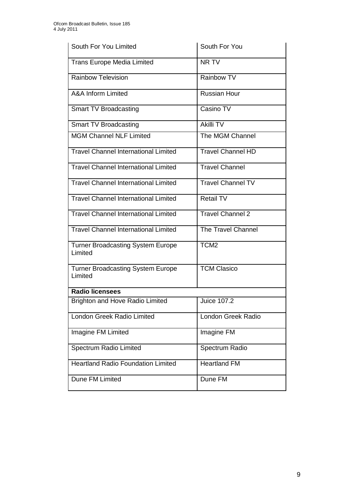| South For You Limited                               | South For You             |
|-----------------------------------------------------|---------------------------|
| <b>Trans Europe Media Limited</b>                   | NR TV                     |
| <b>Rainbow Television</b>                           | Rainbow TV                |
| A&A Inform Limited                                  | <b>Russian Hour</b>       |
| Smart TV Broadcasting                               | Casino TV                 |
| <b>Smart TV Broadcasting</b>                        | Akilli TV                 |
| <b>MGM Channel NLF Limited</b>                      | The MGM Channel           |
| <b>Travel Channel International Limited</b>         | <b>Travel Channel HD</b>  |
| <b>Travel Channel International Limited</b>         | <b>Travel Channel</b>     |
| <b>Travel Channel International Limited</b>         | <b>Travel Channel TV</b>  |
| <b>Travel Channel International Limited</b>         | Retail TV                 |
| <b>Travel Channel International Limited</b>         | <b>Travel Channel 2</b>   |
| <b>Travel Channel International Limited</b>         | <b>The Travel Channel</b> |
| <b>Turner Broadcasting System Europe</b><br>Limited | TCM <sub>2</sub>          |
| <b>Turner Broadcasting System Europe</b><br>Limited | <b>TCM Clasico</b>        |
| <b>Radio licensees</b>                              |                           |
| <b>Brighton and Hove Radio Limited</b>              | Juice 107.2               |
| <b>London Greek Radio Limited</b>                   | London Greek Radio        |
| Imagine FM Limited                                  | Imagine FM                |
| <b>Spectrum Radio Limited</b>                       | Spectrum Radio            |
| <b>Heartland Radio Foundation Limited</b>           | <b>Heartland FM</b>       |
| Dune FM Limited                                     | Dune FM                   |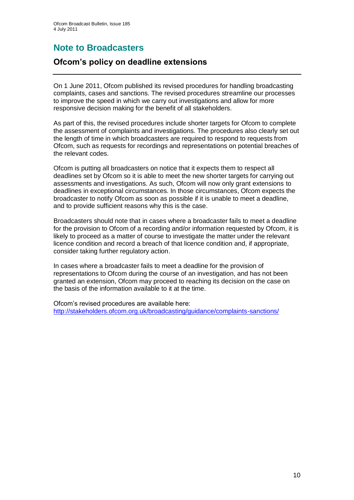# **Note to Broadcasters**

# **Ofcom's policy on deadline extensions**

On 1 June 2011, Ofcom published its revised procedures for handling broadcasting complaints, cases and sanctions. The revised procedures streamline our processes to improve the speed in which we carry out investigations and allow for more responsive decision making for the benefit of all stakeholders.

As part of this, the revised procedures include shorter targets for Ofcom to complete the assessment of complaints and investigations. The procedures also clearly set out the length of time in which broadcasters are required to respond to requests from Ofcom, such as requests for recordings and representations on potential breaches of the relevant codes.

Ofcom is putting all broadcasters on notice that it expects them to respect all deadlines set by Ofcom so it is able to meet the new shorter targets for carrying out assessments and investigations. As such, Ofcom will now only grant extensions to deadlines in exceptional circumstances. In those circumstances, Ofcom expects the broadcaster to notify Ofcom as soon as possible if it is unable to meet a deadline, and to provide sufficient reasons why this is the case.

Broadcasters should note that in cases where a broadcaster fails to meet a deadline for the provision to Ofcom of a recording and/or information requested by Ofcom, it is likely to proceed as a matter of course to investigate the matter under the relevant licence condition and record a breach of that licence condition and, if appropriate, consider taking further regulatory action.

In cases where a broadcaster fails to meet a deadline for the provision of representations to Ofcom during the course of an investigation, and has not been granted an extension, Ofcom may proceed to reaching its decision on the case on the basis of the information available to it at the time.

Ofcom"s revised procedures are available here: <http://stakeholders.ofcom.org.uk/broadcasting/guidance/complaints-sanctions/>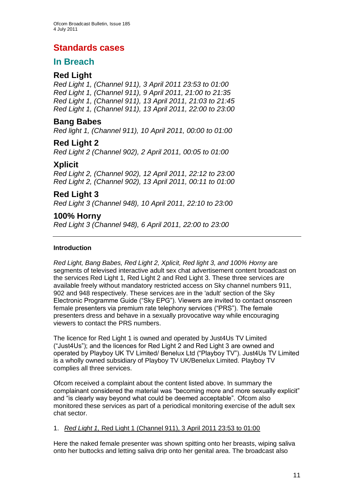# **Standards cases**

# **In Breach**

## **Red Light**

*Red Light 1, (Channel 911), 3 April 2011 23:53 to 01:00 Red Light 1, (Channel 911), 9 April 2011, 21:00 to 21:35 Red Light 1, (Channel 911), 13 April 2011, 21:03 to 21:45 Red Light 1, (Channel 911), 13 April 2011, 22:00 to 23:00*

# **Bang Babes**

*Red light 1, (Channel 911), 10 April 2011, 00:00 to 01:00* 

## **Red Light 2**

*Red Light 2 (Channel 902), 2 April 2011, 00:05 to 01:00*

## **Xplicit**

*Red Light 2, (Channel 902), 12 April 2011, 22:12 to 23:00 Red Light 2, (Channel 902), 13 April 2011, 00:11 to 01:00*

# **Red Light 3**

*Red Light 3 (Channel 948), 10 April 2011, 22:10 to 23:00*

# **100% Horny**

*Red Light 3 (Channel 948), 6 April 2011, 22:00 to 23:00*

#### **Introduction**

*Red Light, Bang Babes, Red Light 2, Xplicit, Red light 3, and 100% Horny are* segments of televised interactive adult sex chat advertisement content broadcast on the services Red Light 1, Red Light 2 and Red Light 3. These three services are available freely without mandatory restricted access on Sky channel numbers 911, 902 and 948 respectively. These services are in the 'adult' section of the Sky Electronic Programme Guide ("Sky EPG"). Viewers are invited to contact onscreen female presenters via premium rate telephony services ("PRS"). The female presenters dress and behave in a sexually provocative way while encouraging viewers to contact the PRS numbers.

The licence for Red Light 1 is owned and operated by Just4Us TV Limited ("Just4Us"); and the licences for Red Light 2 and Red Light 3 are owned and operated by Playboy UK TV Limited/ Benelux Ltd ("Playboy TV"). Just4Us TV Limited is a wholly owned subsidiary of Playboy TV UK/Benelux Limited. Playboy TV complies all three services.

Ofcom received a complaint about the content listed above. In summary the complainant considered the material was "becoming more and more sexually explicit" and "is clearly way beyond what could be deemed acceptable". Ofcom also monitored these services as part of a periodical monitoring exercise of the adult sex chat sector.

#### 1. *Red Light 1,* Red Light 1 (Channel 911), 3 April 2011 23:53 to 01:00

Here the naked female presenter was shown spitting onto her breasts, wiping saliva onto her buttocks and letting saliva drip onto her genital area. The broadcast also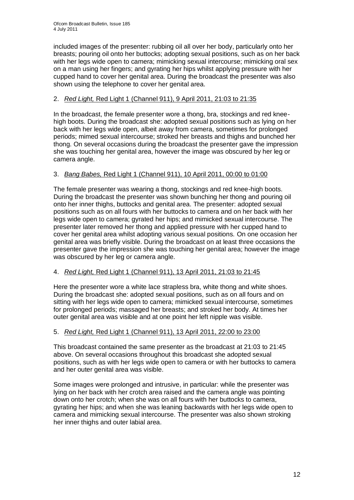included images of the presenter: rubbing oil all over her body, particularly onto her breasts; pouring oil onto her buttocks; adopting sexual positions, such as on her back with her legs wide open to camera; mimicking sexual intercourse; mimicking oral sex on a man using her fingers; and gyrating her hips whilst applying pressure with her cupped hand to cover her genital area. During the broadcast the presenter was also shown using the telephone to cover her genital area.

#### 2. *Red Light,* Red Light 1 (Channel 911), 9 April 2011, 21:03 to 21:35

In the broadcast, the female presenter wore a thong, bra, stockings and red kneehigh boots. During the broadcast she: adopted sexual positions such as lying on her back with her legs wide open, albeit away from camera, sometimes for prolonged periods; mimed sexual intercourse; stroked her breasts and thighs and bunched her thong. On several occasions during the broadcast the presenter gave the impression she was touching her genital area, however the image was obscured by her leg or camera angle.

#### 3. *Bang Babes,* Red Light 1 (Channel 911), 10 April 2011, 00:00 to 01:00

The female presenter was wearing a thong, stockings and red knee-high boots. During the broadcast the presenter was shown bunching her thong and pouring oil onto her inner thighs, buttocks and genital area. The presenter: adopted sexual positions such as on all fours with her buttocks to camera and on her back with her legs wide open to camera; gyrated her hips; and mimicked sexual intercourse. The presenter later removed her thong and applied pressure with her cupped hand to cover her genital area whilst adopting various sexual positions. On one occasion her genital area was briefly visible. During the broadcast on at least three occasions the presenter gave the impression she was touching her genital area; however the image was obscured by her leg or camera angle.

#### 4. *Red Light,* Red Light 1 (Channel 911), 13 April 2011, 21:03 to 21:45

Here the presenter wore a white lace strapless bra, white thong and white shoes. During the broadcast she: adopted sexual positions, such as on all fours and on sitting with her legs wide open to camera; mimicked sexual intercourse, sometimes for prolonged periods; massaged her breasts; and stroked her body. At times her outer genital area was visible and at one point her left nipple was visible.

#### 5. *Red Light,* Red Light 1 (Channel 911), 13 April 2011, 22:00 to 23:00

This broadcast contained the same presenter as the broadcast at 21:03 to 21:45 above. On several occasions throughout this broadcast she adopted sexual positions, such as with her legs wide open to camera or with her buttocks to camera and her outer genital area was visible.

Some images were prolonged and intrusive, in particular: while the presenter was lying on her back with her crotch area raised and the camera angle was pointing down onto her crotch; when she was on all fours with her buttocks to camera, gyrating her hips; and when she was leaning backwards with her legs wide open to camera and mimicking sexual intercourse. The presenter was also shown stroking her inner thighs and outer labial area.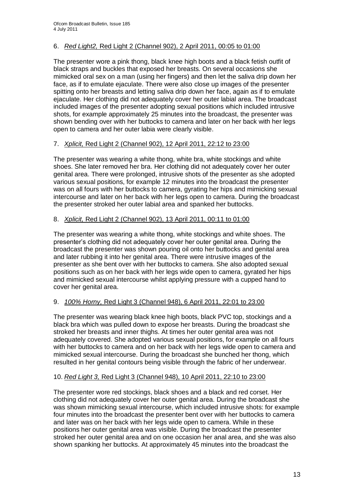#### 6. *Red Light2,* Red Light 2 (Channel 902), 2 April 2011, 00:05 to 01:00

The presenter wore a pink thong, black knee high boots and a black fetish outfit of black straps and buckles that exposed her breasts. On several occasions she mimicked oral sex on a man (using her fingers) and then let the saliva drip down her face, as if to emulate ejaculate. There were also close up images of the presenter spitting onto her breasts and letting saliva drip down her face, again as if to emulate ejaculate. Her clothing did not adequately cover her outer labial area. The broadcast included images of the presenter adopting sexual positions which included intrusive shots, for example approximately 25 minutes into the broadcast, the presenter was shown bending over with her buttocks to camera and later on her back with her legs open to camera and her outer labia were clearly visible.

#### 7. *Xplicit,* Red Light 2 (Channel 902), 12 April 2011, 22:12 to 23:00

The presenter was wearing a white thong, white bra, white stockings and white shoes. She later removed her bra. Her clothing did not adequately cover her outer genital area. There were prolonged, intrusive shots of the presenter as she adopted various sexual positions, for example 12 minutes into the broadcast the presenter was on all fours with her buttocks to camera, gyrating her hips and mimicking sexual intercourse and later on her back with her legs open to camera. During the broadcast the presenter stroked her outer labial area and spanked her buttocks.

#### 8. *Xplicit,* Red Light 2 (Channel 902), 13 April 2011, 00:11 to 01:00

The presenter was wearing a white thong, white stockings and white shoes. The presenter"s clothing did not adequately cover her outer genital area. During the broadcast the presenter was shown pouring oil onto her buttocks and genital area and later rubbing it into her genital area. There were intrusive images of the presenter as she bent over with her buttocks to camera. She also adopted sexual positions such as on her back with her legs wide open to camera, gyrated her hips and mimicked sexual intercourse whilst applying pressure with a cupped hand to cover her genital area.

#### 9. *100% Horny,* Red Light 3 (Channel 948), 6 April 2011, 22:01 to 23:00

The presenter was wearing black knee high boots, black PVC top, stockings and a black bra which was pulled down to expose her breasts. During the broadcast she stroked her breasts and inner thighs. At times her outer genital area was not adequately covered. She adopted various sexual positions, for example on all fours with her buttocks to camera and on her back with her legs wide open to camera and mimicked sexual intercourse. During the broadcast she bunched her thong, which resulted in her genital contours being visible through the fabric of her underwear.

#### 10. *Red Light 3,* Red Light 3 (Channel 948), 10 April 2011, 22:10 to 23:00

The presenter wore red stockings, black shoes and a black and red corset. Her clothing did not adequately cover her outer genital area. During the broadcast she was shown mimicking sexual intercourse, which included intrusive shots: for example four minutes into the broadcast the presenter bent over with her buttocks to camera and later was on her back with her legs wide open to camera. While in these positions her outer genital area was visible. During the broadcast the presenter stroked her outer genital area and on one occasion her anal area, and she was also shown spanking her buttocks. At approximately 45 minutes into the broadcast the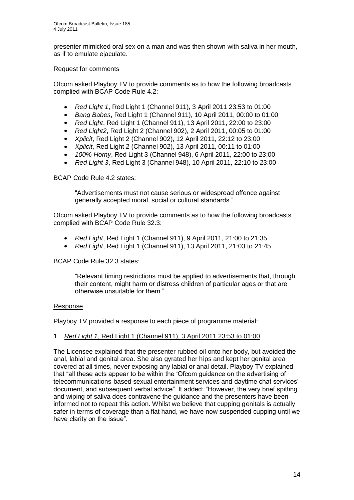presenter mimicked oral sex on a man and was then shown with saliva in her mouth, as if to emulate ejaculate.

#### Request for comments

Ofcom asked Playboy TV to provide comments as to how the following broadcasts complied with BCAP Code Rule 4.2:

- *Red Light 1*, Red Light 1 (Channel 911), 3 April 2011 23:53 to 01:00
- *Bang Babes*, Red Light 1 (Channel 911), 10 April 2011, 00:00 to 01:00
- *Red Light*, Red Light 1 (Channel 911), 13 April 2011, 22:00 to 23:00
- *Red Light2*, Red Light 2 (Channel 902), 2 April 2011, 00:05 to 01:00
- *Xplicit*, Red Light 2 (Channel 902), 12 April 2011, 22:12 to 23:00
- *Xplicit*, Red Light 2 (Channel 902), 13 April 2011, 00:11 to 01:00
- *100% Horny*, Red Light 3 (Channel 948), 6 April 2011, 22:00 to 23:00
- *Red Light 3*, Red Light 3 (Channel 948), 10 April 2011, 22:10 to 23:00

BCAP Code Rule 4.2 states:

"Advertisements must not cause serious or widespread offence against generally accepted moral, social or cultural standards."

Ofcom asked Playboy TV to provide comments as to how the following broadcasts complied with BCAP Code Rule 32.3:

- *Red Light*, Red Light 1 (Channel 911), 9 April 2011, 21:00 to 21:35
- *Red Light*, Red Light 1 (Channel 911), 13 April 2011, 21:03 to 21:45

BCAP Code Rule 32.3 states:

"Relevant timing restrictions must be applied to advertisements that, through their content, might harm or distress children of particular ages or that are otherwise unsuitable for them."

#### Response

Playboy TV provided a response to each piece of programme material:

#### 1. *Red Light 1*, Red Light 1 (Channel 911), 3 April 2011 23:53 to 01:00

The Licensee explained that the presenter rubbed oil onto her body, but avoided the anal, labial and genital area. She also gyrated her hips and kept her genital area covered at all times, never exposing any labial or anal detail. Playboy TV explained that "all these acts appear to be within the "Ofcom guidance on the advertising of telecommunications-based sexual entertainment services and daytime chat services" document, and subsequent verbal advice". It added: "However, the very brief spitting and wiping of saliva does contravene the guidance and the presenters have been informed not to repeat this action. Whilst we believe that cupping genitals is actually safer in terms of coverage than a flat hand, we have now suspended cupping until we have clarity on the issue".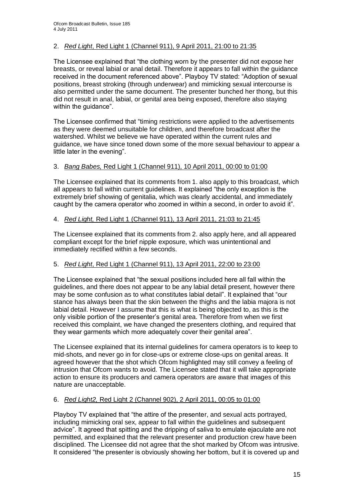#### 2. *Red Light*, Red Light 1 (Channel 911), 9 April 2011, 21:00 to 21:35

The Licensee explained that "the clothing worn by the presenter did not expose her breasts, or reveal labial or anal detail. Therefore it appears to fall within the guidance received in the document referenced above". Playboy TV stated: "Adoption of sexual positions, breast stroking (through underwear) and mimicking sexual intercourse is also permitted under the same document. The presenter bunched her thong, but this did not result in anal, labial, or genital area being exposed, therefore also staying within the guidance".

The Licensee confirmed that "timing restrictions were applied to the advertisements as they were deemed unsuitable for children, and therefore broadcast after the watershed. Whilst we believe we have operated within the current rules and guidance, we have since toned down some of the more sexual behaviour to appear a little later in the evening".

#### 3. *Bang Babes,* Red Light 1 (Channel 911), 10 April 2011, 00:00 to 01:00

The Licensee explained that its comments from 1. also apply to this broadcast, which all appears to fall within current guidelines. It explained "the only exception is the extremely brief showing of genitalia, which was clearly accidental, and immediately caught by the camera operator who zoomed in within a second, in order to avoid it".

#### 4. *Red Light,* Red Light 1 (Channel 911), 13 April 2011, 21:03 to 21:45

The Licensee explained that its comments from 2. also apply here, and all appeared compliant except for the brief nipple exposure, which was unintentional and immediately rectified within a few seconds.

#### 5. *Red Light*, Red Light 1 (Channel 911), 13 April 2011, 22:00 to 23:00

The Licensee explained that "the sexual positions included here all fall within the guidelines, and there does not appear to be any labial detail present, however there may be some confusion as to what constitutes labial detail". It explained that "our stance has always been that the skin between the thighs and the labia majora is not labial detail. However I assume that this is what is being objected to, as this is the only visible portion of the presenter"s genital area. Therefore from when we first received this complaint, we have changed the presenters clothing, and required that they wear garments which more adequately cover their genital area".

The Licensee explained that its internal guidelines for camera operators is to keep to mid-shots, and never go in for close-ups or extreme close-ups on genital areas. It agreed however that the shot which Ofcom highlighted may still convey a feeling of intrusion that Ofcom wants to avoid. The Licensee stated that it will take appropriate action to ensure its producers and camera operators are aware that images of this nature are unacceptable.

#### 6. *Red Light2,* Red Light 2 (Channel 902), 2 April 2011, 00:05 to 01:00

Playboy TV explained that "the attire of the presenter, and sexual acts portrayed, including mimicking oral sex, appear to fall within the guidelines and subsequent advice". It agreed that spitting and the dripping of saliva to emulate ejaculate are not permitted, and explained that the relevant presenter and production crew have been disciplined. The Licensee did not agree that the shot marked by Ofcom was intrusive. It considered "the presenter is obviously showing her bottom, but it is covered up and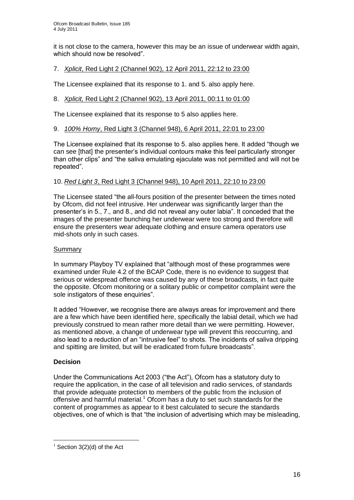it is not close to the camera, however this may be an issue of underwear width again, which should now be resolved"

#### 7. *Xplicit*, Red Light 2 (Channel 902), 12 April 2011, 22:12 to 23:00

The Licensee explained that its response to 1. and 5. also apply here.

#### 8. *Xplicit,* Red Light 2 (Channel 902), 13 April 2011, 00:11 to 01:00

The Licensee explained that its response to 5 also applies here.

#### 9. *100% Horny*, Red Light 3 (Channel 948), 6 April 2011, 22:01 to 23:00

The Licensee explained that its response to 5. also applies here. It added "though we can see [that] the presenter"s individual contours make this feel particularly stronger than other clips" and "the saliva emulating ejaculate was not permitted and will not be repeated".

#### 10. *Red Light 3*, Red Light 3 (Channel 948), 10 April 2011, 22:10 to 23:00

The Licensee stated "the all-fours position of the presenter between the times noted by Ofcom, did not feel intrusive. Her underwear was significantly larger than the presenter"s in 5., 7., and 8., and did not reveal any outer labia". It conceded that the images of the presenter bunching her underwear were too strong and therefore will ensure the presenters wear adequate clothing and ensure camera operators use mid-shots only in such cases.

#### Summary

In summary Playboy TV explained that "although most of these programmes were examined under Rule 4.2 of the BCAP Code, there is no evidence to suggest that serious or widespread offence was caused by any of these broadcasts, in fact quite the opposite. Ofcom monitoring or a solitary public or competitor complaint were the sole instigators of these enquiries".

It added "However, we recognise there are always areas for improvement and there are a few which have been identified here, specifically the labial detail, which we had previously construed to mean rather more detail than we were permitting. However, as mentioned above, a change of underwear type will prevent this reoccurring, and also lead to a reduction of an "intrusive feel" to shots. The incidents of saliva dripping and spitting are limited, but will be eradicated from future broadcasts".

#### **Decision**

1

Under the Communications Act 2003 ("the Act"), Ofcom has a statutory duty to require the application, in the case of all television and radio services, of standards that provide adequate protection to members of the public from the inclusion of offensive and harmful material.<sup>1</sup> Ofcom has a duty to set such standards for the content of programmes as appear to it best calculated to secure the standards objectives, one of which is that "the inclusion of advertising which may be misleading,

 $1$  Section 3(2)(d) of the Act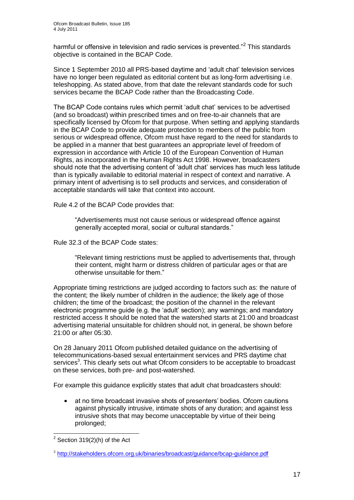harmful or offensive in television and radio services is prevented."<sup>2</sup> This standards objective is contained in the BCAP Code.

Since 1 September 2010 all PRS-based daytime and "adult chat" television services have no longer been regulated as editorial content but as long-form advertising i.e. teleshopping. As stated above, from that date the relevant standards code for such services became the BCAP Code rather than the Broadcasting Code.

The BCAP Code contains rules which permit "adult chat" services to be advertised (and so broadcast) within prescribed times and on free-to-air channels that are specifically licensed by Ofcom for that purpose. When setting and applying standards in the BCAP Code to provide adequate protection to members of the public from serious or widespread offence, Ofcom must have regard to the need for standards to be applied in a manner that best guarantees an appropriate level of freedom of expression in accordance with Article 10 of the European Convention of Human Rights, as incorporated in the Human Rights Act 1998. However, broadcasters should note that the advertising content of "adult chat" services has much less latitude than is typically available to editorial material in respect of context and narrative. A primary intent of advertising is to sell products and services, and consideration of acceptable standards will take that context into account.

Rule 4.2 of the BCAP Code provides that:

"Advertisements must not cause serious or widespread offence against generally accepted moral, social or cultural standards."

Rule 32.3 of the BCAP Code states:

"Relevant timing restrictions must be applied to advertisements that, through their content, might harm or distress children of particular ages or that are otherwise unsuitable for them."

Appropriate timing restrictions are judged according to factors such as: the nature of the content; the likely number of children in the audience; the likely age of those children; the time of the broadcast; the position of the channel in the relevant electronic programme guide (e.g. the "adult" section); any warnings; and mandatory restricted access It should be noted that the watershed starts at 21:00 and broadcast advertising material unsuitable for children should not, in general, be shown before 21:00 or after 05:30.

On 28 January 2011 Ofcom published detailed guidance on the advertising of telecommunications-based sexual entertainment services and PRS daytime chat services<sup>3</sup>. This clearly sets out what Ofcom considers to be acceptable to broadcast on these services, both pre- and post-watershed.

For example this guidance explicitly states that adult chat broadcasters should:

at no time broadcast invasive shots of presenters" bodies. Ofcom cautions  $\bullet$ against physically intrusive, intimate shots of any duration; and against less intrusive shots that may become unacceptable by virtue of their being prolonged;

 $\overline{a}$  $2$  Section 319(2)(h) of the Act

<sup>&</sup>lt;sup>3</sup> <http://stakeholders.ofcom.org.uk/binaries/broadcast/guidance/bcap-guidance.pdf>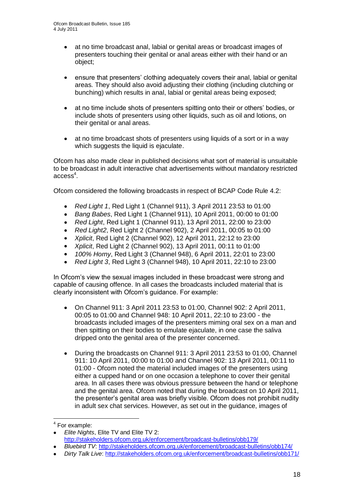- at no time broadcast anal, labial or genital areas or broadcast images of presenters touching their genital or anal areas either with their hand or an object;
- ensure that presenters" clothing adequately covers their anal, labial or genital areas. They should also avoid adjusting their clothing (including clutching or bunching) which results in anal, labial or genital areas being exposed;
- at no time include shots of presenters spitting onto their or others" bodies, or include shots of presenters using other liquids, such as oil and lotions, on their genital or anal areas.
- at no time broadcast shots of presenters using liquids of a sort or in a way which suggests the liquid is ejaculate.

Ofcom has also made clear in published decisions what sort of material is unsuitable to be broadcast in adult interactive chat advertisements without mandatory restricted  $access<sup>4</sup>$ .

Ofcom considered the following broadcasts in respect of BCAP Code Rule 4.2:

- *Red Light 1*, Red Light 1 (Channel 911), 3 April 2011 23:53 to 01:00  $\bullet$
- *Bang Babes*, Red Light 1 (Channel 911), 10 April 2011, 00:00 to 01:00  $\bullet$
- *Red Light*, Red Light 1 (Channel 911), 13 April 2011, 22:00 to 23:00
- *Red Light2*, Red Light 2 (Channel 902), 2 April 2011, 00:05 to 01:00
- *Xplicit*, Red Light 2 (Channel 902), 12 April 2011, 22:12 to 23:00
- *Xplicit*, Red Light 2 (Channel 902), 13 April 2011, 00:11 to 01:00
- *100% Horny*, Red Light 3 (Channel 948), 6 April 2011, 22:01 to 23:00
- *Red Light 3*, Red Light 3 (Channel 948), 10 April 2011, 22:10 to 23:00

In Ofcom"s view the sexual images included in these broadcast were strong and capable of causing offence. In all cases the broadcasts included material that is clearly inconsistent with Ofcom"s guidance. For example:

- $\bullet$ On Channel 911: 3 April 2011 23:53 to 01:00, Channel 902: 2 April 2011, 00:05 to 01:00 and Channel 948: 10 April 2011, 22:10 to 23:00 - the broadcasts included images of the presenters miming oral sex on a man and then spitting on their bodies to emulate ejaculate, in one case the saliva dripped onto the genital area of the presenter concerned.
- During the broadcasts on Channel 911: 3 April 2011 23:53 to 01:00, Channel  $\bullet$ 911: 10 April 2011, 00:00 to 01:00 and Channel 902: 13 April 2011, 00:11 to 01:00 - Ofcom noted the material included images of the presenters using either a cupped hand or on one occasion a telephone to cover their genital area. In all cases there was obvious pressure between the hand or telephone and the genital area. Ofcom noted that during the broadcast on 10 April 2011, the presenter"s genital area was briefly visible. Ofcom does not prohibit nudity in adult sex chat services. However, as set out in the guidance, images of

 4 For example:

*Elite Nights*, Elite TV and Elite TV 2: <http://stakeholders.ofcom.org.uk/enforcement/broadcast-bulletins/obb179/>

*Bluebird TV*:<http://stakeholders.ofcom.org.uk/enforcement/broadcast-bulletins/obb174/>

*Dirty Talk Live*:<http://stakeholders.ofcom.org.uk/enforcement/broadcast-bulletins/obb171/>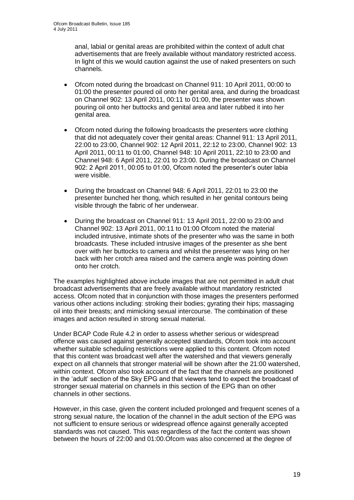anal, labial or genital areas are prohibited within the context of adult chat advertisements that are freely available without mandatory restricted access. In light of this we would caution against the use of naked presenters on such channels.

- Ofcom noted during the broadcast on Channel 911: 10 April 2011, 00:00 to  $\bullet$ 01:00 the presenter poured oil onto her genital area, and during the broadcast on Channel 902: 13 April 2011, 00:11 to 01:00, the presenter was shown pouring oil onto her buttocks and genital area and later rubbed it into her genital area.
- Ofcom noted during the following broadcasts the presenters wore clothing  $\bullet$ that did not adequately cover their genital areas: Channel 911: 13 April 2011, 22:00 to 23:00, Channel 902: 12 April 2011, 22:12 to 23:00, Channel 902: 13 April 2011, 00:11 to 01:00, Channel 948: 10 April 2011, 22:10 to 23:00 and Channel 948: 6 April 2011, 22:01 to 23:00. During the broadcast on Channel 902: 2 April 2011, 00:05 to 01:00, Ofcom noted the presenter"s outer labia were visible.
- During the broadcast on Channel 948: 6 April 2011, 22:01 to 23:00 the  $\bullet$ presenter bunched her thong, which resulted in her genital contours being visible through the fabric of her underwear.
- During the broadcast on Channel 911: 13 April 2011, 22:00 to 23:00 and  $\bullet$ Channel 902: 13 April 2011, 00:11 to 01:00 Ofcom noted the material included intrusive, intimate shots of the presenter who was the same in both broadcasts. These included intrusive images of the presenter as she bent over with her buttocks to camera and whilst the presenter was lying on her back with her crotch area raised and the camera angle was pointing down onto her crotch.

The examples highlighted above include images that are not permitted in adult chat broadcast advertisements that are freely available without mandatory restricted access. Ofcom noted that in conjunction with those images the presenters performed various other actions including: stroking their bodies; gyrating their hips; massaging oil into their breasts; and mimicking sexual intercourse. The combination of these images and action resulted in strong sexual material.

Under BCAP Code Rule 4.2 in order to assess whether serious or widespread offence was caused against generally accepted standards, Ofcom took into account whether suitable scheduling restrictions were applied to this content. Ofcom noted that this content was broadcast well after the watershed and that viewers generally expect on all channels that stronger material will be shown after the 21:00 watershed, within context. Ofcom also took account of the fact that the channels are positioned in the "adult" section of the Sky EPG and that viewers tend to expect the broadcast of stronger sexual material on channels in this section of the EPG than on other channels in other sections.

However, in this case, given the content included prolonged and frequent scenes of a strong sexual nature, the location of the channel in the adult section of the EPG was not sufficient to ensure serious or widespread offence against generally accepted standards was not caused. This was regardless of the fact the content was shown between the hours of 22:00 and 01:00.Ofcom was also concerned at the degree of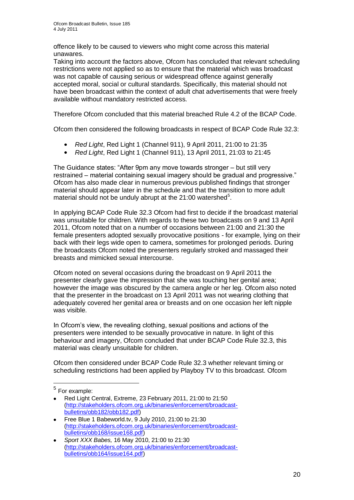offence likely to be caused to viewers who might come across this material unawares.

Taking into account the factors above, Ofcom has concluded that relevant scheduling restrictions were not applied so as to ensure that the material which was broadcast was not capable of causing serious or widespread offence against generally accepted moral, social or cultural standards. Specifically, this material should not have been broadcast within the context of adult chat advertisements that were freely available without mandatory restricted access.

Therefore Ofcom concluded that this material breached Rule 4.2 of the BCAP Code.

Ofcom then considered the following broadcasts in respect of BCAP Code Rule 32.3:

- *Red Light*, Red Light 1 (Channel 911), 9 April 2011, 21:00 to 21:35
- *Red Light*, Red Light 1 (Channel 911), 13 April 2011, 21:03 to 21:45

The Guidance states: "After 9pm any move towards stronger – but still very restrained – material containing sexual imagery should be gradual and progressive." Ofcom has also made clear in numerous previous published findings that stronger material should appear later in the schedule and that the transition to more adult material should not be unduly abrupt at the  $21:00$  watershed<sup>5</sup>.

In applying BCAP Code Rule 32.3 Ofcom had first to decide if the broadcast material was unsuitable for children. With regards to these two broadcasts on 9 and 13 April 2011, Ofcom noted that on a number of occasions between 21:00 and 21:30 the female presenters adopted sexually provocative positions - for example, lying on their back with their legs wide open to camera, sometimes for prolonged periods. During the broadcasts Ofcom noted the presenters regularly stroked and massaged their breasts and mimicked sexual intercourse.

Ofcom noted on several occasions during the broadcast on 9 April 2011 the presenter clearly gave the impression that she was touching her genital area; however the image was obscured by the camera angle or her leg. Ofcom also noted that the presenter in the broadcast on 13 April 2011 was not wearing clothing that adequately covered her genital area or breasts and on one occasion her left nipple was visible.

In Ofcom's view, the revealing clothing, sexual positions and actions of the presenters were intended to be sexually provocative in nature. In light of this behaviour and imagery, Ofcom concluded that under BCAP Code Rule 32.3, this material was clearly unsuitable for children.

Ofcom then considered under BCAP Code Rule 32.3 whether relevant timing or scheduling restrictions had been applied by Playboy TV to this broadcast. Ofcom

1

<sup>5</sup> For example:

Red Light Central, Extreme, 23 February 2011, 21:00 to 21:50 [\(http://stakeholders.ofcom.org.uk/binaries/enforcement/broadcast](http://stakeholders.ofcom.org.uk/binaries/enforcement/broadcast-bulletins/obb182/obb182.pdf)[bulletins/obb182/obb182.pdf\)](http://stakeholders.ofcom.org.uk/binaries/enforcement/broadcast-bulletins/obb182/obb182.pdf)

Free Blue 1 Babeworld.tv, 9 July 2010, 21:00 to 21:30  $\bullet$ [\(http://stakeholders.ofcom.org.uk/binaries/enforcement/broadcast](http://stakeholders.ofcom.org.uk/binaries/enforcement/broadcast-bulletins/obb168/issue168.pdf)[bulletins/obb168/issue168.pdf\)](http://stakeholders.ofcom.org.uk/binaries/enforcement/broadcast-bulletins/obb168/issue168.pdf)

*Sport XXX Babes,* 16 May 2010, 21:00 to 21:30  $\bullet$ [\(http://stakeholders.ofcom.org.uk/binaries/enforcement/broadcast](http://stakeholders.ofcom.org.uk/binaries/enforcement/broadcast-bulletins/obb164/issue164.pdf)[bulletins/obb164/issue164.pdf\)](http://stakeholders.ofcom.org.uk/binaries/enforcement/broadcast-bulletins/obb164/issue164.pdf)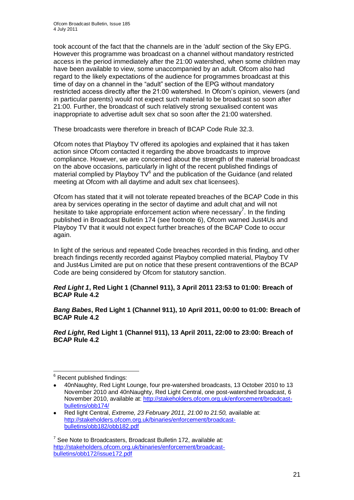took account of the fact that the channels are in the 'adult' section of the Sky EPG. However this programme was broadcast on a channel without mandatory restricted access in the period immediately after the 21:00 watershed, when some children may have been available to view, some unaccompanied by an adult. Ofcom also had regard to the likely expectations of the audience for programmes broadcast at this time of day on a channel in the "adult" section of the EPG without mandatory restricted access directly after the 21:00 watershed. In Ofcom"s opinion, viewers (and in particular parents) would not expect such material to be broadcast so soon after 21:00. Further, the broadcast of such relatively strong sexualised content was inappropriate to advertise adult sex chat so soon after the 21:00 watershed.

These broadcasts were therefore in breach of BCAP Code Rule 32.3.

Ofcom notes that Playboy TV offered its apologies and explained that it has taken action since Ofcom contacted it regarding the above broadcasts to improve compliance. However, we are concerned about the strength of the material broadcast on the above occasions, particularly in light of the recent published findings of material complied by Playboy  $TV^6$  and the publication of the Guidance (and related meeting at Ofcom with all daytime and adult sex chat licensees).

Ofcom has stated that it will not tolerate repeated breaches of the BCAP Code in this area by services operating in the sector of daytime and adult chat and will not hesitate to take appropriate enforcement action where necessary<sup>7</sup>. In the finding published in Broadcast Bulletin 174 (see footnote 6), Ofcom warned Just4Us and Playboy TV that it would not expect further breaches of the BCAP Code to occur again.

In light of the serious and repeated Code breaches recorded in this finding, and other breach findings recently recorded against Playboy complied material, Playboy TV and Just4us Limited are put on notice that these present contraventions of the BCAP Code are being considered by Ofcom for statutory sanction.

#### *Red Light 1***, Red Light 1 (Channel 911), 3 April 2011 23:53 to 01:00: Breach of BCAP Rule 4.2**

*Bang Babes***, Red Light 1 (Channel 911), 10 April 2011, 00:00 to 01:00: Breach of BCAP Rule 4.2**

*Red Light***, Red Light 1 (Channel 911), 13 April 2011, 22:00 to 23:00: Breach of BCAP Rule 4.2**

  $6$  Recent published findings:

<sup>40</sup>nNaughty, Red Light Lounge, four pre-watershed broadcasts, 13 October 2010 to 13 November 2010 and 40nNaughty, Red Light Central, one post-watershed broadcast, 6 November 2010, available at: [http://stakeholders.ofcom.org.uk/enforcement/broadcast](http://stakeholders.ofcom.org.uk/enforcement/broadcast-bulletins/obb174/)[bulletins/obb174/](http://stakeholders.ofcom.org.uk/enforcement/broadcast-bulletins/obb174/)

Red light Central, *Extreme, 23 February 2011, 21:00 to 21:50,* available at: [http://stakeholders.ofcom.org.uk/binaries/enforcement/broadcast](http://stakeholders.ofcom.org.uk/binaries/enforcement/broadcast-bulletins/obb182/obb182.pdf)[bulletins/obb182/obb182.pdf](http://stakeholders.ofcom.org.uk/binaries/enforcement/broadcast-bulletins/obb182/obb182.pdf)

 $7$  See Note to Broadcasters, Broadcast Bulletin 172, available at: [http://stakeholders.ofcom.org.uk/binaries/enforcement/broadcast](http://stakeholders.ofcom.org.uk/binaries/enforcement/broadcast-bulletins/obb172/issue172.pdf)[bulletins/obb172/issue172.pdf](http://stakeholders.ofcom.org.uk/binaries/enforcement/broadcast-bulletins/obb172/issue172.pdf)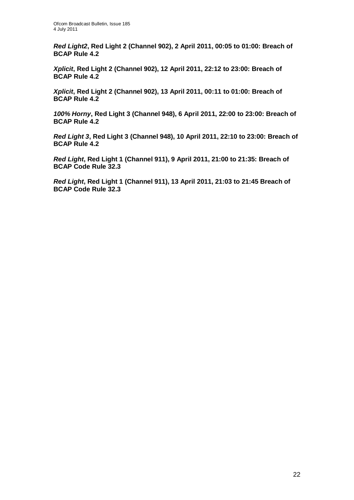*Red Light2***, Red Light 2 (Channel 902), 2 April 2011, 00:05 to 01:00: Breach of BCAP Rule 4.2**

*Xplicit***, Red Light 2 (Channel 902), 12 April 2011, 22:12 to 23:00: Breach of BCAP Rule 4.2**

*Xplicit***, Red Light 2 (Channel 902), 13 April 2011, 00:11 to 01:00: Breach of BCAP Rule 4.2**

*100% Horny***, Red Light 3 (Channel 948), 6 April 2011, 22:00 to 23:00: Breach of BCAP Rule 4.2**

*Red Light 3***, Red Light 3 (Channel 948), 10 April 2011, 22:10 to 23:00: Breach of BCAP Rule 4.2**

*Red Light***, Red Light 1 (Channel 911), 9 April 2011, 21:00 to 21:35: Breach of BCAP Code Rule 32.3**

*Red Light***, Red Light 1 (Channel 911), 13 April 2011, 21:03 to 21:45 Breach of BCAP Code Rule 32.3**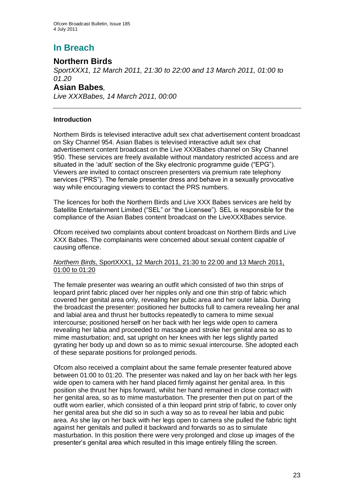# **In Breach**

### **Northern Birds**

*SportXXX1, 12 March 2011, 21:30 to 22:00 and 13 March 2011, 01:00 to 01.20*

#### **Asian Babes***,*

*Live XXXBabes, 14 March 2011, 00:00*

#### **Introduction**

Northern Birds is televised interactive adult sex chat advertisement content broadcast on Sky Channel 954. Asian Babes is televised interactive adult sex chat advertisement content broadcast on the Live XXXBabes channel on Sky Channel 950. These services are freely available without mandatory restricted access and are situated in the "adult" section of the Sky electronic programme guide ("EPG"). Viewers are invited to contact onscreen presenters via premium rate telephony services ("PRS"). The female presenter dress and behave in a sexually provocative way while encouraging viewers to contact the PRS numbers.

The licences for both the Northern Birds and Live XXX Babes services are held by Satellite Entertainment Limited ("SEL" or "the Licensee"). SEL is responsible for the compliance of the Asian Babes content broadcast on the LiveXXXBabes service.

Ofcom received two complaints about content broadcast on Northern Birds and Live XXX Babes. The complainants were concerned about sexual content capable of causing offence.

#### *Northern Birds,* SportXXX1, 12 March 2011, 21:30 to 22:00 and 13 March 2011, 01:00 to 01:20

The female presenter was wearing an outfit which consisted of two thin strips of leopard print fabric placed over her nipples only and one thin strip of fabric which covered her genital area only, revealing her pubic area and her outer labia. During the broadcast the presenter: positioned her buttocks full to camera revealing her anal and labial area and thrust her buttocks repeatedly to camera to mime sexual intercourse; positioned herself on her back with her legs wide open to camera revealing her labia and proceeded to massage and stroke her genital area so as to mime masturbation; and, sat upright on her knees with her legs slightly parted gyrating her body up and down so as to mimic sexual intercourse. She adopted each of these separate positions for prolonged periods.

Ofcom also received a complaint about the same female presenter featured above between 01:00 to 01:20. The presenter was naked and lay on her back with her legs wide open to camera with her hand placed firmly against her genital area. In this position she thrust her hips forward, whilst her hand remained in close contact with her genital area, so as to mime masturbation. The presenter then put on part of the outfit worn earlier, which consisted of a thin leopard print strip of fabric, to cover only her genital area but she did so in such a way so as to reveal her labia and pubic area. As she lay on her back with her legs open to camera she pulled the fabric tight against her genitals and pulled it backward and forwards so as to simulate masturbation. In this position there were very prolonged and close up images of the presenter"s genital area which resulted in this image entirely filling the screen.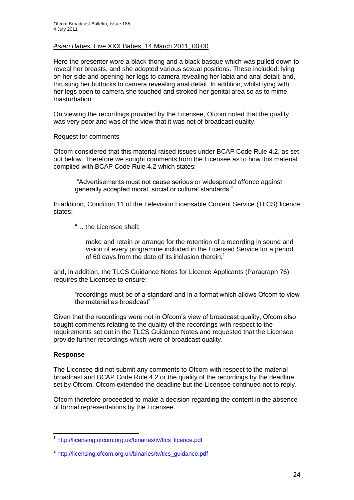#### *Asian Babes,* Live XXX Babes, 14 March 2011, 00:00

Here the presenter wore a black thong and a black basque which was pulled down to reveal her breasts, and she adopted various sexual positions. These included: lying on her side and opening her legs to camera revealing her labia and anal detail; and, thrusting her buttocks to camera revealing anal detail. In addition, whilst lying with her legs open to camera she touched and stroked her genital area so as to mime masturbation.

On viewing the recordings provided by the Licensee, Ofcom noted that the quality was very poor and was of the view that it was not of broadcast quality.

#### Request for comments

Ofcom considered that this material raised issues under BCAP Code Rule 4.2, as set out below. Therefore we sought comments from the Licensee as to how this material complied with BCAP Code Rule 4.2 which states:

"Advertisements must not cause serious or widespread offence against generally accepted moral, social or cultural standards."

In addition, Condition 11 of the Television Licensable Content Service (TLCS) licence states:

"… the Licensee shall:

make and retain or arrange for the retention of a recording in sound and vision of every programme included in the Licensed Service for a period of 60 days from the date of its inclusion therein;<sup>1</sup>

and, in addition, the TLCS Guidance Notes for Licence Applicants (Paragraph 76) requires the Licensee to ensure:

"recordings must be of a standard and in a format which allows Ofcom to view the material as broadcast" <sup>2</sup>

Given that the recordings were not in Ofcom"s view of broadcast quality, Ofcom also sought comments relating to the quality of the recordings with respect to the requirements set out in the TLCS Guidance Notes and requested that the Licensee provide further recordings which were of broadcast quality.

#### **Response**

The Licensee did not submit any comments to Ofcom with respect to the material broadcast and BCAP Code Rule 4.2 or the quality of the recordings by the deadline set by Ofcom. Ofcom extended the deadline but the Licensee continued not to reply.

Ofcom therefore proceeded to make a decision regarding the content in the absence of formal representations by the Licensee.

<sup>-&</sup>lt;br>1 [http://licensing.ofcom.org.uk/binaries/tv/tlcs\\_licence.pdf](http://licensing.ofcom.org.uk/binaries/tv/tlcs_licence.pdf)

<sup>&</sup>lt;sup>2</sup> [http://licensing.ofcom.org.uk/binaries/tv/tlcs\\_guidance.pdf](http://licensing.ofcom.org.uk/binaries/tv/tlcs_guidance.pdf)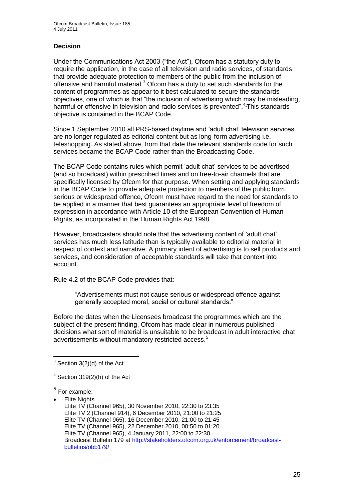#### **Decision**

Under the Communications Act 2003 ("the Act"), Ofcom has a statutory duty to require the application, in the case of all television and radio services, of standards that provide adequate protection to members of the public from the inclusion of offensive and harmful material.<sup>3</sup> Ofcom has a duty to set such standards for the content of programmes as appear to it best calculated to secure the standards objectives, one of which is that "the inclusion of advertising which may be misleading, harmful or offensive in television and radio services is prevented".<sup>[4](http://stakeholders.ofcom.org.uk/enforcement/broadcast-bulletins/obb179/#2)</sup>This standards objective is contained in the BCAP Code.

Since 1 September 2010 all PRS-based daytime and "adult chat" television services are no longer regulated as editorial content but as long-form advertising i.e. teleshopping. As stated above, from that date the relevant standards code for such services became the BCAP Code rather than the Broadcasting Code.

The BCAP Code contains rules which permit "adult chat" services to be advertised (and so broadcast) within prescribed times and on free-to-air channels that are specifically licensed by Ofcom for that purpose. When setting and applying standards in the BCAP Code to provide adequate protection to members of the public from serious or widespread offence, Ofcom must have regard to the need for standards to be applied in a manner that best guarantees an appropriate level of freedom of expression in accordance with Article 10 of the European Convention of Human Rights, as incorporated in the Human Rights Act 1998.

However, broadcasters should note that the advertising content of "adult chat" services has much less latitude than is typically available to editorial material in respect of context and narrative. A primary intent of advertising is to sell products and services, and consideration of acceptable standards will take that context into account.

Rule 4.2 of the BCAP Code provides that:

"Advertisements must not cause serious or widespread offence against generally accepted moral, social or cultural standards."

Before the dates when the Licensees broadcast the programmes which are the subject of the present finding, Ofcom has made clear in numerous published decisions what sort of material is unsuitable to be broadcast in adult interactive chat advertisements without mandatory restricted access.<sup>5</sup>

1

 $3$  Section 3(2)(d) of the Act

 $4$  Section 319(2)(h) of the Act

<sup>&</sup>lt;sup>5</sup> For example:

Elite Nights

Elite TV (Channel 965), 30 November 2010, 22:30 to 23:35 Elite TV 2 (Channel 914), 6 December 2010, 21:00 to 21:25 Elite TV (Channel 965), 16 December 2010, 21:00 to 21:45 Elite TV (Channel 965), 22 December 2010, 00:50 to 01:20 Elite TV (Channel 965), 4 January 2011, 22:00 to 22:30 Broadcast Bulletin 179 at [http://stakeholders.ofcom.org.uk/enforcement/broadcast](http://stakeholders.ofcom.org.uk/enforcement/broadcast-bulletins/obb179/)[bulletins/obb179/](http://stakeholders.ofcom.org.uk/enforcement/broadcast-bulletins/obb179/)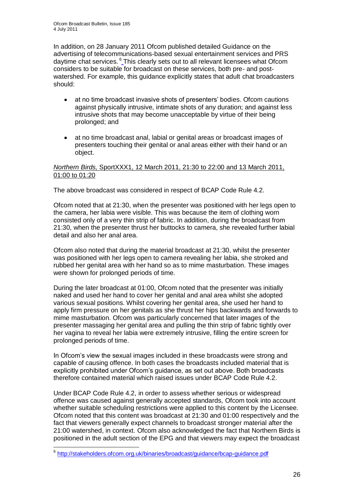In addition, on 28 January 2011 Ofcom published detailed Guidance on the advertising of telecommunications-based sexual entertainment services and PRS daytime chat services. <sup>6</sup> [T](http://stakeholders.ofcom.org.uk/enforcement/broadcast-bulletins/obb179/#13)his clearly sets out to all relevant licensees what Ofcom considers to be suitable for broadcast on these services, both pre- and postwatershed. For example, this guidance explicitly states that adult chat broadcasters should:

- at no time broadcast invasive shots of presenters" bodies. Ofcom cautions against physically intrusive, intimate shots of any duration; and against less intrusive shots that may become unacceptable by virtue of their being prolonged; and
- at no time broadcast anal, labial or genital areas or broadcast images of presenters touching their genital or anal areas either with their hand or an object.

#### *Northern Birds,* SportXXX1, 12 March 2011, 21:30 to 22:00 and 13 March 2011, 01:00 to 01:20

The above broadcast was considered in respect of BCAP Code Rule 4.2.

Ofcom noted that at 21:30, when the presenter was positioned with her legs open to the camera, her labia were visible. This was because the item of clothing worn consisted only of a very thin strip of fabric. In addition, during the broadcast from 21:30, when the presenter thrust her buttocks to camera, she revealed further labial detail and also her anal area.

Ofcom also noted that during the material broadcast at 21:30, whilst the presenter was positioned with her legs open to camera revealing her labia, she stroked and rubbed her genital area with her hand so as to mime masturbation. These images were shown for prolonged periods of time.

During the later broadcast at 01:00, Ofcom noted that the presenter was initially naked and used her hand to cover her genital and anal area whilst she adopted various sexual positions. Whilst covering her genital area, she used her hand to apply firm pressure on her genitals as she thrust her hips backwards and forwards to mime masturbation. Ofcom was particularly concerned that later images of the presenter massaging her genital area and pulling the thin strip of fabric tightly over her vagina to reveal her labia were extremely intrusive, filling the entire screen for prolonged periods of time.

In Ofcom"s view the sexual images included in these broadcasts were strong and capable of causing offence. In both cases the broadcasts included material that is explicitly prohibited under Ofcom"s guidance, as set out above. Both broadcasts therefore contained material which raised issues under BCAP Code Rule 4.2.

Under BCAP Code Rule 4.2, in order to assess whether serious or widespread offence was caused against generally accepted standards, Ofcom took into account whether suitable scheduling restrictions were applied to this content by the Licensee. Ofcom noted that this content was broadcast at 21:30 and 01:00 respectively and the fact that viewers generally expect channels to broadcast stronger material after the 21:00 watershed, in context. Ofcom also acknowledged the fact that Northern Birds is positioned in the adult section of the EPG and that viewers may expect the broadcast

 6 <http://stakeholders.ofcom.org.uk/binaries/broadcast/guidance/bcap-guidance.pdf>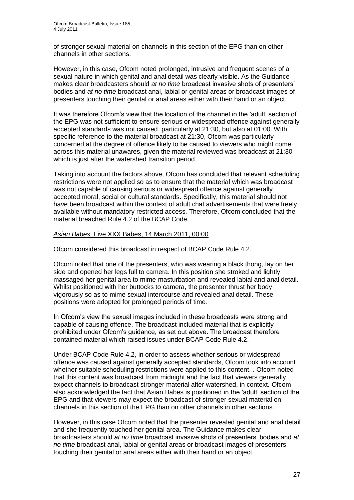of stronger sexual material on channels in this section of the EPG than on other channels in other sections.

However, in this case, Ofcom noted prolonged, intrusive and frequent scenes of a sexual nature in which genital and anal detail was clearly visible. As the Guidance makes clear broadcasters should *at no time* broadcast invasive shots of presenters" bodies and *at no time* broadcast anal, labial or genital areas or broadcast images of presenters touching their genital or anal areas either with their hand or an object.

It was therefore Ofcom"s view that the location of the channel in the "adult" section of the EPG was not sufficient to ensure serious or widespread offence against generally accepted standards was not caused, particularly at 21:30, but also at 01:00. With specific reference to the material broadcast at 21:30, Ofcom was particularly concerned at the degree of offence likely to be caused to viewers who might come across this material unawares, given the material reviewed was broadcast at 21:30 which is just after the watershed transition period.

Taking into account the factors above, Ofcom has concluded that relevant scheduling restrictions were not applied so as to ensure that the material which was broadcast was not capable of causing serious or widespread offence against generally accepted moral, social or cultural standards. Specifically, this material should not have been broadcast within the context of adult chat advertisements that were freely available without mandatory restricted access. Therefore, Ofcom concluded that the material breached Rule 4.2 of the BCAP Code.

#### *Asian Babes,* Live XXX Babes, 14 March 2011, 00:00

Ofcom considered this broadcast in respect of BCAP Code Rule 4.2.

Ofcom noted that one of the presenters, who was wearing a black thong, lay on her side and opened her legs full to camera. In this position she stroked and lightly massaged her genital area to mime masturbation and revealed labial and anal detail. Whilst positioned with her buttocks to camera, the presenter thrust her body vigorously so as to mime sexual intercourse and revealed anal detail. These positions were adopted for prolonged periods of time.

In Ofcom"s view the sexual images included in these broadcasts were strong and capable of causing offence. The broadcast included material that is explicitly prohibited under Ofcom"s guidance, as set out above. The broadcast therefore contained material which raised issues under BCAP Code Rule 4.2.

Under BCAP Code Rule 4.2, in order to assess whether serious or widespread offence was caused against generally accepted standards, Ofcom took into account whether suitable scheduling restrictions were applied to this content. . Ofcom noted that this content was broadcast from midnight and the fact that viewers generally expect channels to broadcast stronger material after watershed, in context. Ofcom also acknowledged the fact that Asian Babes is positioned in the "adult" section of the EPG and that viewers may expect the broadcast of stronger sexual material on channels in this section of the EPG than on other channels in other sections.

However, in this case Ofcom noted that the presenter revealed genital and anal detail and she frequently touched her genital area. The Guidance makes clear broadcasters should *at no time* broadcast invasive shots of presenters" bodies and *at no time* broadcast anal, labial or genital areas or broadcast images of presenters touching their genital or anal areas either with their hand or an object.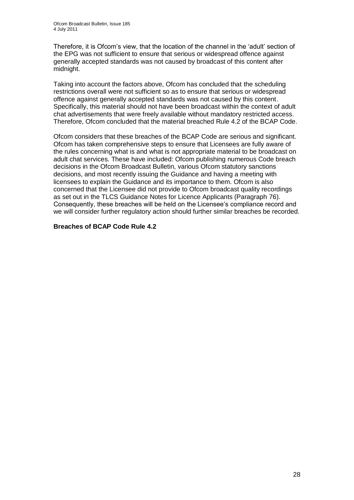Therefore, it is Ofcom"s view, that the location of the channel in the "adult" section of the EPG was not sufficient to ensure that serious or widespread offence against generally accepted standards was not caused by broadcast of this content after midnight.

Taking into account the factors above, Ofcom has concluded that the scheduling restrictions overall were not sufficient so as to ensure that serious or widespread offence against generally accepted standards was not caused by this content. Specifically, this material should not have been broadcast within the context of adult chat advertisements that were freely available without mandatory restricted access. Therefore, Ofcom concluded that the material breached Rule 4.2 of the BCAP Code.

Ofcom considers that these breaches of the BCAP Code are serious and significant. Ofcom has taken comprehensive steps to ensure that Licensees are fully aware of the rules concerning what is and what is not appropriate material to be broadcast on adult chat services. These have included: Ofcom publishing numerous Code breach decisions in the Ofcom Broadcast Bulletin, various Ofcom statutory sanctions decisions, and most recently issuing the Guidance and having a meeting with licensees to explain the Guidance and its importance to them. Ofcom is also concerned that the Licensee did not provide to Ofcom broadcast quality recordings as set out in the TLCS Guidance Notes for Licence Applicants (Paragraph 76). Consequently, these breaches will be held on the Licensee"s compliance record and we will consider further regulatory action should further similar breaches be recorded.

#### **Breaches of BCAP Code Rule 4.2**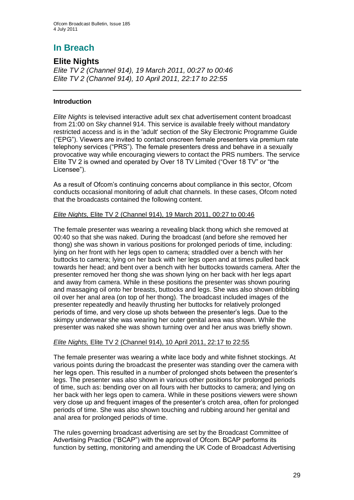# **In Breach**

## **Elite Nights**

*Elite TV 2 (Channel 914), 19 March 2011, 00:27 to 00:46 Elite TV 2 (Channel 914), 10 April 2011, 22:17 to 22:55*

#### **Introduction**

*Elite Nights* is televised interactive adult sex chat advertisement content broadcast from 21:00 on Sky channel 914. This service is available freely without mandatory restricted access and is in the 'adult' section of the Sky Electronic Programme Guide ("EPG"). Viewers are invited to contact onscreen female presenters via premium rate telephony services ("PRS"). The female presenters dress and behave in a sexually provocative way while encouraging viewers to contact the PRS numbers. The service Elite TV 2 is owned and operated by Over 18 TV Limited ("Over 18 TV" or "the Licensee").

As a result of Ofcom"s continuing concerns about compliance in this sector, Ofcom conducts occasional monitoring of adult chat channels. In these cases, Ofcom noted that the broadcasts contained the following content.

#### *Elite Nights,* Elite TV 2 (Channel 914), 19 March 2011, 00:27 to 00:46

The female presenter was wearing a revealing black thong which she removed at 00:40 so that she was naked. During the broadcast (and before she removed her thong) she was shown in various positions for prolonged periods of time, including: lying on her front with her legs open to camera; straddled over a bench with her buttocks to camera; lying on her back with her legs open and at times pulled back towards her head; and bent over a bench with her buttocks towards camera. After the presenter removed her thong she was shown lying on her back with her legs apart and away from camera. While in these positions the presenter was shown pouring and massaging oil onto her breasts, buttocks and legs. She was also shown dribbling oil over her anal area (on top of her thong). The broadcast included images of the presenter repeatedly and heavily thrusting her buttocks for relatively prolonged periods of time, and very close up shots between the presenter"s legs. Due to the skimpy underwear she was wearing her outer genital area was shown. While the presenter was naked she was shown turning over and her anus was briefly shown.

#### *Elite Nights,* Elite TV 2 (Channel 914), 10 April 2011, 22:17 to 22:55

The female presenter was wearing a white lace body and white fishnet stockings. At various points during the broadcast the presenter was standing over the camera with her legs open. This resulted in a number of prolonged shots between the presenter"s legs. The presenter was also shown in various other positions for prolonged periods of time, such as: bending over on all fours with her buttocks to camera; and lying on her back with her legs open to camera. While in these positions viewers were shown very close up and frequent images of the presenter"s crotch area, often for prolonged periods of time. She was also shown touching and rubbing around her genital and anal area for prolonged periods of time.

The rules governing broadcast advertising are set by the Broadcast Committee of Advertising Practice ("BCAP") with the approval of Ofcom. BCAP performs its function by setting, monitoring and amending the UK Code of Broadcast Advertising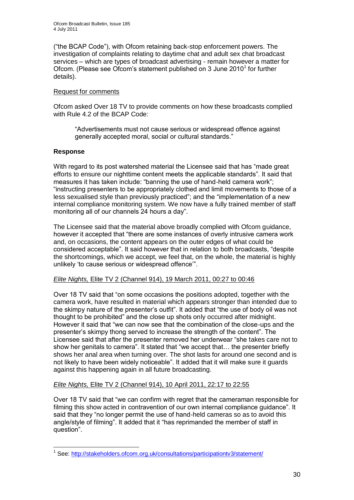("the BCAP Code"), with Ofcom retaining back-stop enforcement powers. The investigation of complaints relating to daytime chat and adult sex chat broadcast services – which are types of broadcast advertising - remain however a matter for Ofcom. (Please see Ofcom's statement published on 3 June 2010<sup>1</sup> for further details).

#### Request for comments

Ofcom asked Over 18 TV to provide comments on how these broadcasts complied with Rule 4.2 of the BCAP Code:

"Advertisements must not cause serious or widespread offence against generally accepted moral, social or cultural standards."

#### **Response**

With regard to its post watershed material the Licensee said that has "made great" efforts to ensure our nighttime content meets the applicable standards". It said that measures it has taken include: "banning the use of hand-held camera work"; "instructing presenters to be appropriately clothed and limit movements to those of a less sexualised style than previously practiced"; and the "implementation of a new internal compliance monitoring system. We now have a fully trained member of staff monitoring all of our channels 24 hours a day".

The Licensee said that the material above broadly complied with Ofcom guidance, however it accepted that "there are some instances of overly intrusive camera work and, on occasions, the content appears on the outer edges of what could be considered acceptable". It said however that in relation to both broadcasts, "despite the shortcomings, which we accept, we feel that, on the whole, the material is highly unlikely "to cause serious or widespread offence"".

#### *Elite Nights,* Elite TV 2 (Channel 914), 19 March 2011, 00:27 to 00:46

Over 18 TV said that "on some occasions the positions adopted, together with the camera work, have resulted in material which appears stronger than intended due to the skimpy nature of the presenter"s outfit". It added that "the use of body oil was not thought to be prohibited" and the close up shots only occurred after midnight. However it said that "we can now see that the combination of the close-ups and the presenter"s skimpy thong served to increase the strength of the content". The Licensee said that after the presenter removed her underwear "she takes care not to show her genitals to camera". It stated that "we accept that… the presenter briefly shows her anal area when turning over. The shot lasts for around one second and is not likely to have been widely noticeable". It added that it will make sure it guards against this happening again in all future broadcasting.

#### *Elite Nights,* Elite TV 2 (Channel 914), 10 April 2011, 22:17 to 22:55

Over 18 TV said that "we can confirm with regret that the cameraman responsible for filming this show acted in contravention of our own internal compliance guidance". It said that they "no longer permit the use of hand-held cameras so as to avoid this angle/style of filming". It added that it "has reprimanded the member of staff in question".

<sup>1</sup> <sup>1</sup> See[: http://stakeholders.ofcom.org.uk/consultations/participationtv3/statement/](http://stakeholders.ofcom.org.uk/consultations/participationtv3/statement/)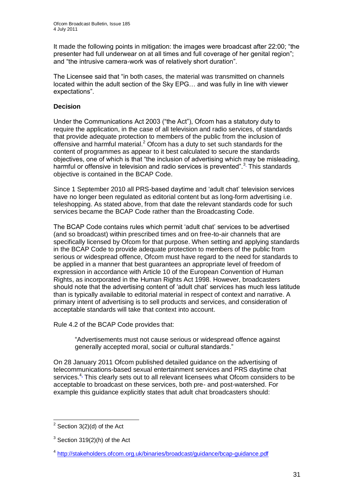It made the following points in mitigation: the images were broadcast after 22:00; "the presenter had full underwear on at all times and full coverage of her genital region"; and "the intrusive camera-work was of relatively short duration".

The Licensee said that "in both cases, the material was transmitted on channels located within the adult section of the Sky EPG… and was fully in line with viewer expectations".

#### **Decision**

Under the Communications Act 2003 ("the Act"), Ofcom has a statutory duty to require the application, in the case of all television and radio services, of standards that provide adequate protection to members of the public from the inclusion of offensive and harmful material.<sup>2</sup> Ofcom has a duty to set such standards for the content of programmes as appear to it best calculated to secure the standards objectives, one of which is that "the inclusion of advertising which may be misleading, harmful or offensive in television and radio services is prevented".<sup>[3](http://stakeholders.ofcom.org.uk/enforcement/broadcast-bulletins/obb179/#2)</sup> This standards objective is contained in the BCAP Code.

Since 1 September 2010 all PRS-based daytime and "adult chat" television services have no longer been regulated as editorial content but as long-form advertising i.e. teleshopping. As stated above, from that date the relevant standards code for such services became the BCAP Code rather than the Broadcasting Code.

The BCAP Code contains rules which permit "adult chat" services to be advertised (and so broadcast) within prescribed times and on free-to-air channels that are specifically licensed by Ofcom for that purpose. When setting and applying standards in the BCAP Code to provide adequate protection to members of the public from serious or widespread offence, Ofcom must have regard to the need for standards to be applied in a manner that best guarantees an appropriate level of freedom of expression in accordance with Article 10 of the European Convention of Human Rights, as incorporated in the Human Rights Act 1998. However, broadcasters should note that the advertising content of "adult chat" services has much less latitude than is typically available to editorial material in respect of context and narrative. A primary intent of advertising is to sell products and services, and consideration of acceptable standards will take that context into account.

Rule 4.2 of the BCAP Code provides that:

"Advertisements must not cause serious or widespread offence against generally accepted moral, social or cultural standards."

On 28 January 2011 Ofcom published detailed guidance on the advertising of telecommunications-based sexual entertainment services and PRS daytime chat services[.](http://stakeholders.ofcom.org.uk/enforcement/broadcast-bulletins/obb179/#13)<sup>4</sup> This clearly sets out to all relevant licensees what Ofcom considers to be acceptable to broadcast on these services, both pre- and post-watershed. For example this guidance explicitly states that adult chat broadcasters should:

<sup>1</sup>  $2$  Section 3(2)(d) of the Act

 $3$  Section 319(2)(h) of the Act

<sup>4</sup> <http://stakeholders.ofcom.org.uk/binaries/broadcast/guidance/bcap-guidance.pdf>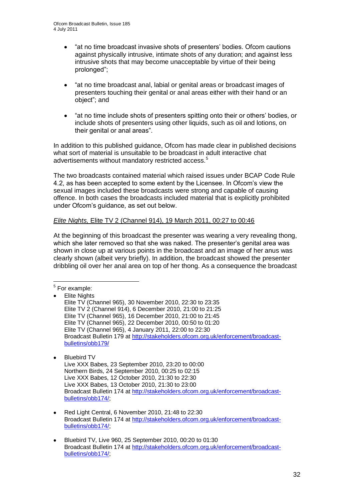- "at no time broadcast invasive shots of presenters" bodies. Ofcom cautions against physically intrusive, intimate shots of any duration; and against less intrusive shots that may become unacceptable by virtue of their being prolonged";
- "at no time broadcast anal, labial or genital areas or broadcast images of presenters touching their genital or anal areas either with their hand or an object"; and
- "at no time include shots of presenters spitting onto their or others" bodies, or include shots of presenters using other liquids, such as oil and lotions, on their genital or anal areas".

In addition to this published guidance, Ofcom has made clear in published decisions what sort of material is unsuitable to be broadcast in adult interactive chat advertisements without mandatory restricted access.<sup>5</sup>

The two broadcasts contained material which raised issues under BCAP Code Rule 4.2, as has been accepted to some extent by the Licensee. In Ofcom"s view the sexual images included these broadcasts were strong and capable of causing offence. In both cases the broadcasts included material that is explicitly prohibited under Ofcom"s guidance, as set out below.

#### *Elite Nights,* Elite TV 2 (Channel 914), 19 March 2011, 00:27 to 00:46

At the beginning of this broadcast the presenter was wearing a very revealing thong, which she later removed so that she was naked. The presenter"s genital area was shown in close up at various points in the broadcast and an image of her anus was clearly shown (albeit very briefly). In addition, the broadcast showed the presenter dribbling oil over her anal area on top of her thong. As a consequence the broadcast

- Elite Nights Elite TV (Channel 965), 30 November 2010, 22:30 to 23:35 Elite TV 2 (Channel 914), 6 December 2010, 21:00 to 21:25 Elite TV (Channel 965), 16 December 2010, 21:00 to 21:45 Elite TV (Channel 965), 22 December 2010, 00:50 to 01:20 Elite TV (Channel 965), 4 January 2011, 22:00 to 22:30 Broadcast Bulletin 179 at [http://stakeholders.ofcom.org.uk/enforcement/broadcast](http://stakeholders.ofcom.org.uk/enforcement/broadcast-bulletins/obb179/)[bulletins/obb179/](http://stakeholders.ofcom.org.uk/enforcement/broadcast-bulletins/obb179/)
- Bluebird TV  $\bullet$ Live XXX Babes, 23 September 2010, 23:20 to 00:00 Northern Birds, 24 September 2010, 00:25 to 02:15 Live XXX Babes, 12 October 2010, 21:30 to 22:30 Live XXX Babes, 13 October 2010, 21:30 to 23:00 Broadcast Bulletin 174 at [http://stakeholders.ofcom.org.uk/enforcement/broadcast](http://stakeholders.ofcom.org.uk/enforcement/broadcast-bulletins/obb174/)[bulletins/obb174/;](http://stakeholders.ofcom.org.uk/enforcement/broadcast-bulletins/obb174/)
- Red Light Central, 6 November 2010, 21:48 to 22:30  $\bullet$ Broadcast Bulletin 174 at [http://stakeholders.ofcom.org.uk/enforcement/broadcast](http://stakeholders.ofcom.org.uk/enforcement/broadcast-bulletins/obb174/)[bulletins/obb174/;](http://stakeholders.ofcom.org.uk/enforcement/broadcast-bulletins/obb174/)
- Bluebird TV, Live 960, 25 September 2010, 00:20 to 01:30 Broadcast Bulletin 174 at [http://stakeholders.ofcom.org.uk/enforcement/broadcast](http://stakeholders.ofcom.org.uk/enforcement/broadcast-bulletins/obb174/)[bulletins/obb174/;](http://stakeholders.ofcom.org.uk/enforcement/broadcast-bulletins/obb174/)

<sup>&</sup>lt;u>5</u><br><sup>5</sup> For example: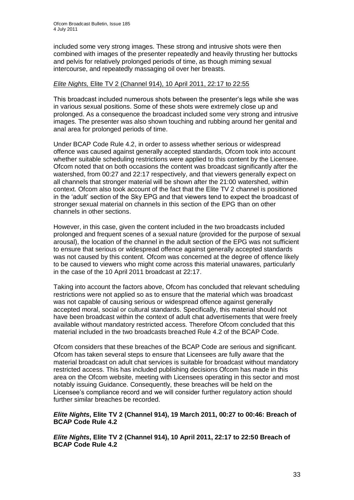included some very strong images. These strong and intrusive shots were then combined with images of the presenter repeatedly and heavily thrusting her buttocks and pelvis for relatively prolonged periods of time, as though miming sexual intercourse, and repeatedly massaging oil over her breasts.

#### *Elite Nights,* Elite TV 2 (Channel 914), 10 April 2011, 22:17 to 22:55

This broadcast included numerous shots between the presenter"s legs while she was in various sexual positions. Some of these shots were extremely close up and prolonged. As a consequence the broadcast included some very strong and intrusive images. The presenter was also shown touching and rubbing around her genital and anal area for prolonged periods of time.

Under BCAP Code Rule 4.2, in order to assess whether serious or widespread offence was caused against generally accepted standards, Ofcom took into account whether suitable scheduling restrictions were applied to this content by the Licensee. Ofcom noted that on both occasions the content was broadcast significantly after the watershed, from 00:27 and 22:17 respectively, and that viewers generally expect on all channels that stronger material will be shown after the 21:00 watershed, within context. Ofcom also took account of the fact that the Elite TV 2 channel is positioned in the "adult" section of the Sky EPG and that viewers tend to expect the broadcast of stronger sexual material on channels in this section of the EPG than on other channels in other sections.

However, in this case, given the content included in the two broadcasts included prolonged and frequent scenes of a sexual nature (provided for the purpose of sexual arousal), the location of the channel in the adult section of the EPG was not sufficient to ensure that serious or widespread offence against generally accepted standards was not caused by this content. Ofcom was concerned at the degree of offence likely to be caused to viewers who might come across this material unawares, particularly in the case of the 10 April 2011 broadcast at 22:17.

Taking into account the factors above, Ofcom has concluded that relevant scheduling restrictions were not applied so as to ensure that the material which was broadcast was not capable of causing serious or widespread offence against generally accepted moral, social or cultural standards. Specifically, this material should not have been broadcast within the context of adult chat advertisements that were freely available without mandatory restricted access. Therefore Ofcom concluded that this material included in the two broadcasts breached Rule 4.2 of the BCAP Code.

Ofcom considers that these breaches of the BCAP Code are serious and significant. Ofcom has taken several steps to ensure that Licensees are fully aware that the material broadcast on adult chat services is suitable for broadcast without mandatory restricted access. This has included publishing decisions Ofcom has made in this area on the Ofcom website, meeting with Licensees operating in this sector and most notably issuing Guidance. Consequently, these breaches will be held on the Licensee"s compliance record and we will consider further regulatory action should further similar breaches be recorded.

#### *Elite Nights***, Elite TV 2 (Channel 914), 19 March 2011, 00:27 to 00:46: Breach of BCAP Code Rule 4.2**

*Elite Nights***, Elite TV 2 (Channel 914), 10 April 2011, 22:17 to 22:50 Breach of BCAP Code Rule 4.2**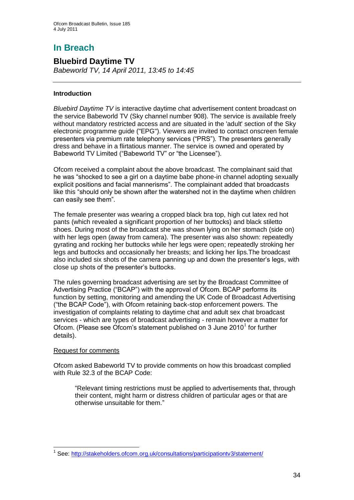# **In Breach**

## **Bluebird Daytime TV**

*Babeworld TV, 14 April 2011, 13:45 to 14:45*

#### **Introduction**

*Bluebird Daytime TV* is interactive daytime chat advertisement content broadcast on the service Babeworld TV (Sky channel number 908). The service is available freely without mandatory restricted access and are situated in the 'adult' section of the Sky electronic programme guide ("EPG"). Viewers are invited to contact onscreen female presenters via premium rate telephony services ("PRS"). The presenters generally dress and behave in a flirtatious manner. The service is owned and operated by Babeworld TV Limited ("Babeworld TV" or "the Licensee").

Ofcom received a complaint about the above broadcast. The complainant said that he was "shocked to see a girl on a daytime babe phone-in channel adopting sexually explicit positions and facial mannerisms". The complainant added that broadcasts like this "should only be shown after the watershed not in the daytime when children can easily see them".

The female presenter was wearing a cropped black bra top, high cut latex red hot pants (which revealed a significant proportion of her buttocks) and black stiletto shoes. During most of the broadcast she was shown lying on her stomach (side on) with her legs open (away from camera). The presenter was also shown: repeatedly gyrating and rocking her buttocks while her legs were open; repeatedly stroking her legs and buttocks and occasionally her breasts; and licking her lips.The broadcast also included six shots of the camera panning up and down the presenter"s legs, with close up shots of the presenter"s buttocks.

The rules governing broadcast advertising are set by the Broadcast Committee of Advertising Practice ("BCAP") with the approval of Ofcom. BCAP performs its function by setting, monitoring and amending the UK Code of Broadcast Advertising ("the BCAP Code"), with Ofcom retaining back-stop enforcement powers. The investigation of complaints relating to daytime chat and adult sex chat broadcast services - which are types of broadcast advertising - remain however a matter for Ofcom. (Please see Ofcom's statement published on 3 June 2010 $^1$  for further details).

#### Request for comments

Ofcom asked Babeworld TV to provide comments on how this broadcast complied with Rule 32.3 of the BCAP Code:

"Relevant timing restrictions must be applied to advertisements that, through their content, might harm or distress children of particular ages or that are otherwise unsuitable for them."

<sup>1</sup> <sup>1</sup> See[: http://stakeholders.ofcom.org.uk/consultations/participationtv3/statement/](http://stakeholders.ofcom.org.uk/consultations/participationtv3/statement/)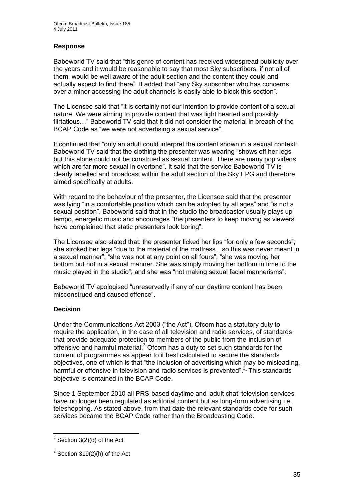#### **Response**

Babeworld TV said that "this genre of content has received widespread publicity over the years and it would be reasonable to say that most Sky subscribers, if not all of them, would be well aware of the adult section and the content they could and actually expect to find there". It added that "any Sky subscriber who has concerns over a minor accessing the adult channels is easily able to block this section".

The Licensee said that "it is certainly not our intention to provide content of a sexual nature. We were aiming to provide content that was light hearted and possibly flirtatious…" Babeworld TV said that it did not consider the material in breach of the BCAP Code as "we were not advertising a sexual service".

It continued that "only an adult could interpret the content shown in a sexual context". Babeworld TV said that the clothing the presenter was wearing "shows off her legs but this alone could not be construed as sexual content. There are many pop videos which are far more sexual in overtone". It said that the service Babeworld TV is clearly labelled and broadcast within the adult section of the Sky EPG and therefore aimed specifically at adults.

With regard to the behaviour of the presenter, the Licensee said that the presenter was lying "in a comfortable position which can be adopted by all ages" and "is not a sexual position". Babeworld said that in the studio the broadcaster usually plays up tempo, energetic music and encourages "the presenters to keep moving as viewers have complained that static presenters look boring".

The Licensee also stated that: the presenter licked her lips "for only a few seconds"; she stroked her legs "due to the material of the mattress…so this was never meant in a sexual manner"; "she was not at any point on all fours"; "she was moving her bottom but not in a sexual manner. She was simply moving her bottom in time to the music played in the studio"; and she was "not making sexual facial mannerisms".

Babeworld TV apologised "unreservedly if any of our daytime content has been misconstrued and caused offence".

#### **Decision**

Under the Communications Act 2003 ("the Act"), Ofcom has a statutory duty to require the application, in the case of all television and radio services, of standards that provide adequate protection to members of the public from the inclusion of offensive and harmful material. $^2$  Ofcom has a duty to set such standards for the content of programmes as appear to it best calculated to secure the standards objectives, one of which is that "the inclusion of advertising which may be misleading, harmful or offensive in television and radio services is prevented".<sup>[3](http://stakeholders.ofcom.org.uk/enforcement/broadcast-bulletins/obb179/#2)</sup> This standards objective is contained in the BCAP Code.

Since 1 September 2010 all PRS-based daytime and "adult chat" television services have no longer been regulated as editorial content but as long-form advertising i.e. teleshopping. As stated above, from that date the relevant standards code for such services became the BCAP Code rather than the Broadcasting Code.

<sup>1</sup>  $2$  Section 3(2)(d) of the Act

 $3$  Section 319(2)(h) of the Act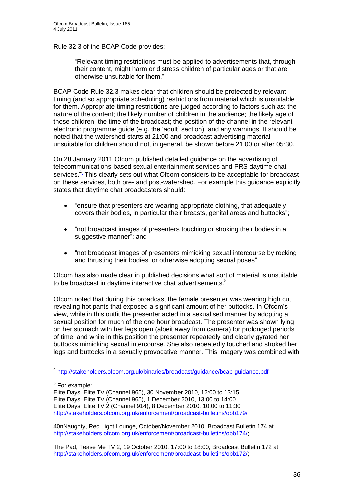Rule 32.3 of the BCAP Code provides:

"Relevant timing restrictions must be applied to advertisements that, through their content, might harm or distress children of particular ages or that are otherwise unsuitable for them."

BCAP Code Rule 32.3 makes clear that children should be protected by relevant timing (and so appropriate scheduling) restrictions from material which is unsuitable for them. Appropriate timing restrictions are judged according to factors such as: the nature of the content; the likely number of children in the audience; the likely age of those children; the time of the broadcast; the position of the channel in the relevant electronic programme guide (e.g. the "adult" section); and any warnings. It should be noted that the watershed starts at 21:00 and broadcast advertising material unsuitable for children should not, in general, be shown before 21:00 or after 05:30.

On 28 January 2011 Ofcom published detailed guidance on the advertising of telecommunications-based sexual entertainment services and PRS daytime chat services[.](http://stakeholders.ofcom.org.uk/enforcement/broadcast-bulletins/obb179/#13)<sup>4</sup> This clearly sets out what Ofcom considers to be acceptable for broadcast on these services, both pre- and post-watershed. For example this guidance explicitly states that daytime chat broadcasters should:

- "ensure that presenters are wearing appropriate clothing, that adequately  $\bullet$ covers their bodies, in particular their breasts, genital areas and buttocks";
- "not broadcast images of presenters touching or stroking their bodies in a  $\bullet$ suggestive manner": and
- "not broadcast images of presenters mimicking sexual intercourse by rocking  $\bullet$ and thrusting their bodies, or otherwise adopting sexual poses".

Ofcom has also made clear in published decisions what sort of material is unsuitable to be broadcast in daytime interactive chat advertisements.<sup>5</sup>

Ofcom noted that during this broadcast the female presenter was wearing high cut revealing hot pants that exposed a significant amount of her buttocks. In Ofcom"s view, while in this outfit the presenter acted in a sexualised manner by adopting a sexual position for much of the one hour broadcast. The presenter was shown lying on her stomach with her legs open (albeit away from camera) for prolonged periods of time, and while in this position the presenter repeatedly and clearly gyrated her buttocks mimicking sexual intercourse. She also repeatedly touched and stroked her legs and buttocks in a sexually provocative manner. This imagery was combined with

4 <http://stakeholders.ofcom.org.uk/binaries/broadcast/guidance/bcap-guidance.pdf>

<sup>5</sup> For example:

Elite Days, Elite TV (Channel 965), 30 November 2010, 12:00 to 13:15 Elite Days, Elite TV (Channel 965), 1 December 2010, 13:00 to 14:00 Elite Days, Elite TV 2 (Channel 914), 8 December 2010, 10.00 to 11:30 <http://stakeholders.ofcom.org.uk/enforcement/broadcast-bulletins/obb179/>

40nNaughty, Red Light Lounge, October/November 2010, Broadcast Bulletin 174 at [http://stakeholders.ofcom.org.uk/enforcement/broadcast-bulletins/obb174/;](http://stakeholders.ofcom.org.uk/enforcement/broadcast-bulletins/obb174/)

The Pad, Tease Me TV 2, 19 October 2010, 17:00 to 18:00, Broadcast Bulletin 172 at [http://stakeholders.ofcom.org.uk/enforcement/broadcast-bulletins/obb172/;](http://stakeholders.ofcom.org.uk/enforcement/broadcast-bulletins/obb172/)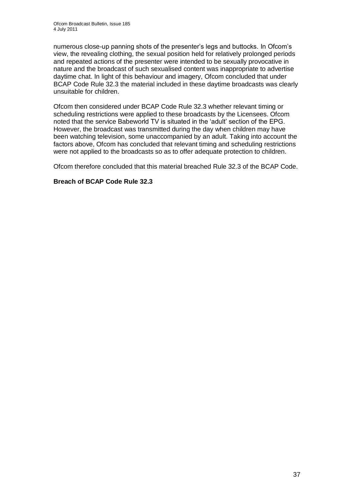numerous close-up panning shots of the presenter"s legs and buttocks. In Ofcom"s view, the revealing clothing, the sexual position held for relatively prolonged periods and repeated actions of the presenter were intended to be sexually provocative in nature and the broadcast of such sexualised content was inappropriate to advertise daytime chat. In light of this behaviour and imagery, Ofcom concluded that under BCAP Code Rule 32.3 the material included in these daytime broadcasts was clearly unsuitable for children.

Ofcom then considered under BCAP Code Rule 32.3 whether relevant timing or scheduling restrictions were applied to these broadcasts by the Licensees. Ofcom noted that the service Babeworld TV is situated in the "adult" section of the EPG. However, the broadcast was transmitted during the day when children may have been watching television, some unaccompanied by an adult. Taking into account the factors above, Ofcom has concluded that relevant timing and scheduling restrictions were not applied to the broadcasts so as to offer adequate protection to children.

Ofcom therefore concluded that this material breached Rule 32.3 of the BCAP Code.

## **Breach of BCAP Code Rule 32.3**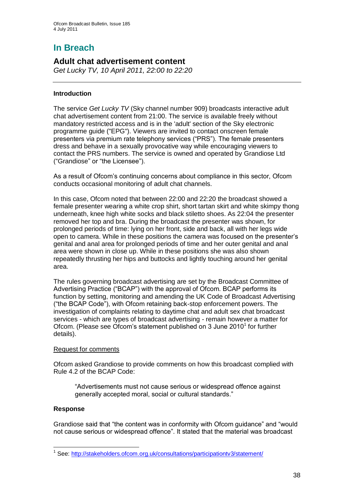# **In Breach**

## **Adult chat advertisement content**

*Get Lucky TV, 10 April 2011, 22:00 to 22:20*

## **Introduction**

The service *Get Lucky TV* (Sky channel number 909) broadcasts interactive adult chat advertisement content from 21:00. The service is available freely without mandatory restricted access and is in the 'adult' section of the Sky electronic programme guide ("EPG"). Viewers are invited to contact onscreen female presenters via premium rate telephony services ("PRS"). The female presenters dress and behave in a sexually provocative way while encouraging viewers to contact the PRS numbers. The service is owned and operated by Grandiose Ltd ("Grandiose" or "the Licensee").

As a result of Ofcom"s continuing concerns about compliance in this sector, Ofcom conducts occasional monitoring of adult chat channels.

In this case, Ofcom noted that between 22:00 and 22:20 the broadcast showed a female presenter wearing a white crop shirt, short tartan skirt and white skimpy thong underneath, knee high white socks and black stiletto shoes. As 22:04 the presenter removed her top and bra. During the broadcast the presenter was shown, for prolonged periods of time: lying on her front, side and back, all with her legs wide open to camera. While in these positions the camera was focused on the presenter"s genital and anal area for prolonged periods of time and her outer genital and anal area were shown in close up. While in these positions she was also shown repeatedly thrusting her hips and buttocks and lightly touching around her genital area.

The rules governing broadcast advertising are set by the Broadcast Committee of Advertising Practice ("BCAP") with the approval of Ofcom. BCAP performs its function by setting, monitoring and amending the UK Code of Broadcast Advertising ("the BCAP Code"), with Ofcom retaining back-stop enforcement powers. The investigation of complaints relating to daytime chat and adult sex chat broadcast services - which are types of broadcast advertising - remain however a matter for Ofcom. (Please see Ofcom's statement published on 3 June 2010<sup>1</sup> for further details).

## Request for comments

Ofcom asked Grandiose to provide comments on how this broadcast complied with Rule 4.2 of the BCAP Code:

"Advertisements must not cause serious or widespread offence against generally accepted moral, social or cultural standards."

## **Response**

Grandiose said that "the content was in conformity with Ofcom guidance" and "would not cause serious or widespread offence". It stated that the material was broadcast

<sup>1</sup> <sup>1</sup> See[: http://stakeholders.ofcom.org.uk/consultations/participationtv3/statement/](http://stakeholders.ofcom.org.uk/consultations/participationtv3/statement/)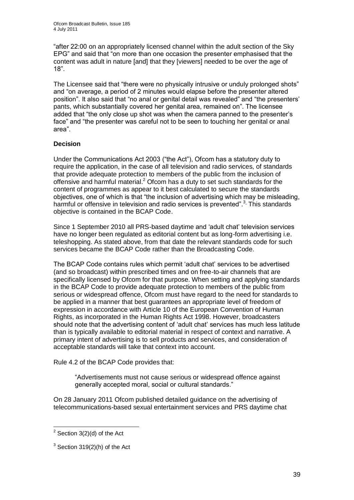"after 22:00 on an appropriately licensed channel within the adult section of the Sky EPG" and said that "on more than one occasion the presenter emphasised that the content was adult in nature [and] that they [viewers] needed to be over the age of 18".

The Licensee said that "there were no physically intrusive or unduly prolonged shots" and "on average, a period of 2 minutes would elapse before the presenter altered position". It also said that "no anal or genital detail was revealed" and "the presenters" pants, which substantially covered her genital area, remained on". The licensee added that "the only close up shot was when the camera panned to the presenter"s face" and "the presenter was careful not to be seen to touching her genital or anal area".

## **Decision**

Under the Communications Act 2003 ("the Act"), Ofcom has a statutory duty to require the application, in the case of all television and radio services, of standards that provide adequate protection to members of the public from the inclusion of offensive and harmful material.<sup>2</sup> Ofcom has a duty to set such standards for the content of programmes as appear to it best calculated to secure the standards objectives, one of which is that "the inclusion of advertising which may be misleading, harmful or offensive in television and radio services is prevented".<sup>[3](http://stakeholders.ofcom.org.uk/enforcement/broadcast-bulletins/obb179/#2)</sup> This standards objective is contained in the BCAP Code.

Since 1 September 2010 all PRS-based daytime and "adult chat" television services have no longer been regulated as editorial content but as long-form advertising i.e. teleshopping. As stated above, from that date the relevant standards code for such services became the BCAP Code rather than the Broadcasting Code.

The BCAP Code contains rules which permit "adult chat" services to be advertised (and so broadcast) within prescribed times and on free-to-air channels that are specifically licensed by Ofcom for that purpose. When setting and applying standards in the BCAP Code to provide adequate protection to members of the public from serious or widespread offence, Ofcom must have regard to the need for standards to be applied in a manner that best guarantees an appropriate level of freedom of expression in accordance with Article 10 of the European Convention of Human Rights, as incorporated in the Human Rights Act 1998. However, broadcasters should note that the advertising content of "adult chat" services has much less latitude than is typically available to editorial material in respect of context and narrative. A primary intent of advertising is to sell products and services, and consideration of acceptable standards will take that context into account.

Rule 4.2 of the BCAP Code provides that:

"Advertisements must not cause serious or widespread offence against generally accepted moral, social or cultural standards."

On 28 January 2011 Ofcom published detailed guidance on the advertising of telecommunications-based sexual entertainment services and PRS daytime chat

 $\overline{a}$ 

 $2$  Section 3(2)(d) of the Act

 $3$  Section 319(2)(h) of the Act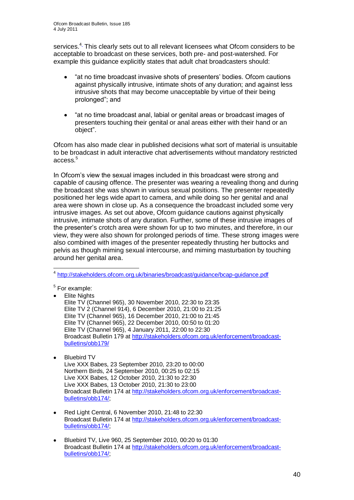services[.](http://stakeholders.ofcom.org.uk/enforcement/broadcast-bulletins/obb179/#13)<sup>4</sup> This clearly sets out to all relevant licensees what Ofcom considers to be acceptable to broadcast on these services, both pre- and post-watershed. For example this guidance explicitly states that adult chat broadcasters should:

- "at no time broadcast invasive shots of presenters" bodies. Ofcom cautions against physically intrusive, intimate shots of any duration; and against less intrusive shots that may become unacceptable by virtue of their being prolonged"; and
- "at no time broadcast anal, labial or genital areas or broadcast images of presenters touching their genital or anal areas either with their hand or an object".

Ofcom has also made clear in published decisions what sort of material is unsuitable to be broadcast in adult interactive chat advertisements without mandatory restricted access.<sup>5</sup>

In Ofcom"s view the sexual images included in this broadcast were strong and capable of causing offence. The presenter was wearing a revealing thong and during the broadcast she was shown in various sexual positions. The presenter repeatedly positioned her legs wide apart to camera, and while doing so her genital and anal area were shown in close up. As a consequence the broadcast included some very intrusive images. As set out above, Ofcom guidance cautions against physically intrusive, intimate shots of any duration. Further, some of these intrusive images of the presenter"s crotch area were shown for up to two minutes, and therefore, in our view, they were also shown for prolonged periods of time. These strong images were also combined with images of the presenter repeatedly thrusting her buttocks and pelvis as though miming sexual intercourse, and miming masturbation by touching around her genital area.

- Bluebird TV  $\bullet$ Live XXX Babes, 23 September 2010, 23:20 to 00:00 Northern Birds, 24 September 2010, 00:25 to 02:15 Live XXX Babes, 12 October 2010, 21:30 to 22:30 Live XXX Babes, 13 October 2010, 21:30 to 23:00 Broadcast Bulletin 174 at [http://stakeholders.ofcom.org.uk/enforcement/broadcast](http://stakeholders.ofcom.org.uk/enforcement/broadcast-bulletins/obb174/)[bulletins/obb174/;](http://stakeholders.ofcom.org.uk/enforcement/broadcast-bulletins/obb174/)
- Red Light Central, 6 November 2010, 21:48 to 22:30  $\bullet$ Broadcast Bulletin 174 at [http://stakeholders.ofcom.org.uk/enforcement/broadcast](http://stakeholders.ofcom.org.uk/enforcement/broadcast-bulletins/obb174/)[bulletins/obb174/;](http://stakeholders.ofcom.org.uk/enforcement/broadcast-bulletins/obb174/)
- Bluebird TV, Live 960, 25 September 2010, 00:20 to 01:30 Broadcast Bulletin 174 at [http://stakeholders.ofcom.org.uk/enforcement/broadcast](http://stakeholders.ofcom.org.uk/enforcement/broadcast-bulletins/obb174/)[bulletins/obb174/;](http://stakeholders.ofcom.org.uk/enforcement/broadcast-bulletins/obb174/)

<sup>1</sup> 4 <http://stakeholders.ofcom.org.uk/binaries/broadcast/guidance/bcap-guidance.pdf>

<sup>&</sup>lt;sup>5</sup> For example:

Elite Nights Elite TV (Channel 965), 30 November 2010, 22:30 to 23:35 Elite TV 2 (Channel 914), 6 December 2010, 21:00 to 21:25 Elite TV (Channel 965), 16 December 2010, 21:00 to 21:45 Elite TV (Channel 965), 22 December 2010, 00:50 to 01:20 Elite TV (Channel 965), 4 January 2011, 22:00 to 22:30 Broadcast Bulletin 179 at [http://stakeholders.ofcom.org.uk/enforcement/broadcast](http://stakeholders.ofcom.org.uk/enforcement/broadcast-bulletins/obb179/)[bulletins/obb179/](http://stakeholders.ofcom.org.uk/enforcement/broadcast-bulletins/obb179/)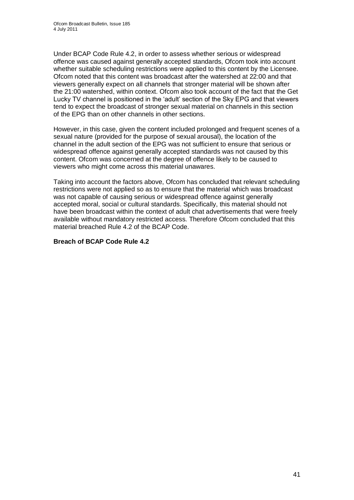Under BCAP Code Rule 4.2, in order to assess whether serious or widespread offence was caused against generally accepted standards, Ofcom took into account whether suitable scheduling restrictions were applied to this content by the Licensee. Ofcom noted that this content was broadcast after the watershed at 22:00 and that viewers generally expect on all channels that stronger material will be shown after the 21:00 watershed, within context. Ofcom also took account of the fact that the Get Lucky TV channel is positioned in the "adult" section of the Sky EPG and that viewers tend to expect the broadcast of stronger sexual material on channels in this section of the EPG than on other channels in other sections.

However, in this case, given the content included prolonged and frequent scenes of a sexual nature (provided for the purpose of sexual arousal), the location of the channel in the adult section of the EPG was not sufficient to ensure that serious or widespread offence against generally accepted standards was not caused by this content. Ofcom was concerned at the degree of offence likely to be caused to viewers who might come across this material unawares.

Taking into account the factors above, Ofcom has concluded that relevant scheduling restrictions were not applied so as to ensure that the material which was broadcast was not capable of causing serious or widespread offence against generally accepted moral, social or cultural standards. Specifically, this material should not have been broadcast within the context of adult chat advertisements that were freely available without mandatory restricted access. Therefore Ofcom concluded that this material breached Rule 4.2 of the BCAP Code.

## **Breach of BCAP Code Rule 4.2**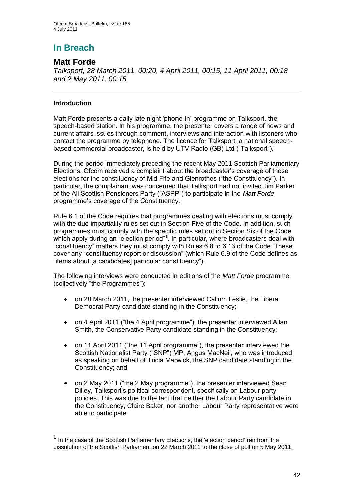# **In Breach**

## **Matt Forde**

*Talksport, 28 March 2011, 00:20, 4 April 2011, 00:15, 11 April 2011, 00:18 and 2 May 2011, 00:15*

## **Introduction**

1

Matt Forde presents a daily late night "phone-in" programme on Talksport, the speech-based station. In his programme, the presenter covers a range of news and current affairs issues through comment, interviews and interaction with listeners who contact the programme by telephone. The licence for Talksport, a national speechbased commercial broadcaster, is held by UTV Radio (GB) Ltd ("Talksport").

During the period immediately preceding the recent May 2011 Scottish Parliamentary Elections, Ofcom received a complaint about the broadcaster"s coverage of those elections for the constituency of Mid Fife and Glenrothes ("the Constituency"). In particular, the complainant was concerned that Talksport had not invited Jim Parker of the All Scottish Pensioners Party ("ASPP") to participate in the *Matt Forde*  programme"s coverage of the Constituency.

Rule 6.1 of the Code requires that programmes dealing with elections must comply with the due impartiality rules set out in Section Five of the Code. In addition, such programmes must comply with the specific rules set out in Section Six of the Code which apply during an "election period"<sup>1</sup>. In particular, where broadcasters deal with "constituency" matters they must comply with Rules 6.8 to 6.13 of the Code. These cover any "constituency report or discussion" (which Rule 6.9 of the Code defines as "items about [a candidates] particular constituency").

The following interviews were conducted in editions of the *Matt Forde* programme (collectively "the Programmes"):

- on 28 March 2011, the presenter interviewed Callum Leslie, the Liberal  $\bullet$ Democrat Party candidate standing in the Constituency;
- on 4 April 2011 ("the 4 April programme"), the presenter interviewed Allan Smith, the Conservative Party candidate standing in the Constituency;
- $\bullet$ on 11 April 2011 ("the 11 April programme"), the presenter interviewed the Scottish Nationalist Party ("SNP") MP, Angus MacNeil, who was introduced as speaking on behalf of Tricia Marwick, the SNP candidate standing in the Constituency; and
- $\bullet$ on 2 May 2011 ("the 2 May programme"), the presenter interviewed Sean Dilley, Talksport's political correspondent, specifically on Labour party policies. This was due to the fact that neither the Labour Party candidate in the Constituency, Claire Baker, nor another Labour Party representative were able to participate.

<sup>1</sup> In the case of the Scottish Parliamentary Elections, the "election period" ran from the dissolution of the Scottish Parliament on 22 March 2011 to the close of poll on 5 May 2011.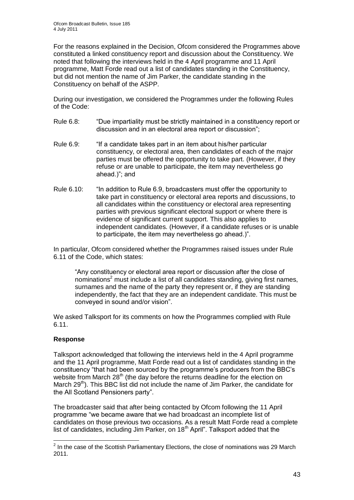For the reasons explained in the Decision, Ofcom considered the Programmes above constituted a linked constituency report and discussion about the Constituency. We noted that following the interviews held in the 4 April programme and 11 April programme, Matt Forde read out a list of candidates standing in the Constituency, but did not mention the name of Jim Parker, the candidate standing in the Constituency on behalf of the ASPP.

During our investigation, we considered the Programmes under the following Rules of the Code:

- Rule 6.8: "Due impartiality must be strictly maintained in a constituency report or discussion and in an electoral area report or discussion";
- Rule 6.9: "If a candidate takes part in an item about his/her particular constituency, or electoral area, then candidates of each of the major parties must be offered the opportunity to take part. (However, if they refuse or are unable to participate, the item may nevertheless go ahead.)"; and
- Rule 6.10: "In addition to Rule 6.9, broadcasters must offer the opportunity to take part in constituency or electoral area reports and discussions, to all candidates within the constituency or electoral area representing parties with previous significant electoral support or where there is evidence of significant current support. This also applies to independent candidates. (However, if a candidate refuses or is unable to participate, the item may nevertheless go ahead.)".

In particular, Ofcom considered whether the Programmes raised issues under Rule 6.11 of the Code, which states:

"Any constituency or electoral area report or discussion after the close of nominations<sup>2</sup> must include a list of all candidates standing, giving first names, surnames and the name of the party they represent or, if they are standing independently, the fact that they are an independent candidate. This must be conveyed in sound and/or vision".

We asked Talksport for its comments on how the Programmes complied with Rule 6.11.

## **Response**

Talksport acknowledged that following the interviews held in the 4 April programme and the 11 April programme, Matt Forde read out a list of candidates standing in the constituency "that had been sourced by the programme's producers from the BBC's website from March 28<sup>th</sup> (the day before the returns deadline for the election on March  $29<sup>th</sup>$ ). This BBC list did not include the name of Jim Parker, the candidate for the All Scotland Pensioners party".

The broadcaster said that after being contacted by Ofcom following the 11 April programme "we became aware that we had broadcast an incomplete list of candidates on those previous two occasions. As a result Matt Forde read a complete list of candidates, including Jim Parker, on  $18<sup>th</sup>$  April". Talksport added that the

 2 In the case of the Scottish Parliamentary Elections, the close of nominations was 29 March 2011.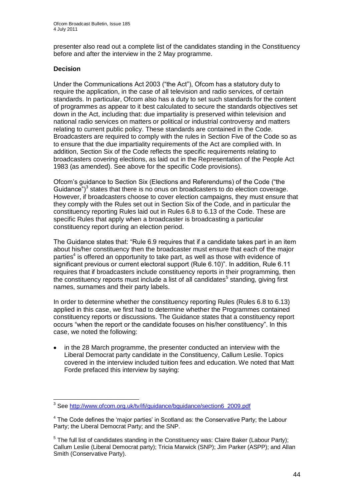presenter also read out a complete list of the candidates standing in the Constituency before and after the interview in the 2 May programme.

## **Decision**

Under the Communications Act 2003 ("the Act"), Ofcom has a statutory duty to require the application, in the case of all television and radio services, of certain standards. In particular, Ofcom also has a duty to set such standards for the content of programmes as appear to it best calculated to secure the standards objectives set down in the Act, including that: due impartiality is preserved within television and national radio services on matters or political or industrial controversy and matters relating to current public policy. These standards are contained in the Code. Broadcasters are required to comply with the rules in Section Five of the Code so as to ensure that the due impartiality requirements of the Act are complied with. In addition, Section Six of the Code reflects the specific requirements relating to broadcasters covering elections, as laid out in the Representation of the People Act 1983 (as amended). See above for the specific Code provisions).

Ofcom"s guidance to Section Six (Elections and Referendums) of the Code ("the Guidance") $3$  states that there is no onus on broadcasters to do election coverage. However, if broadcasters choose to cover election campaigns, they must ensure that they comply with the Rules set out in Section Six of the Code, and in particular the constituency reporting Rules laid out in Rules 6.8 to 6.13 of the Code. These are specific Rules that apply when a broadcaster is broadcasting a particular constituency report during an election period.

The Guidance states that: "Rule 6.9 requires that if a candidate takes part in an item about his/her constituency then the broadcaster must ensure that each of the major parties<sup>4</sup> is offered an opportunity to take part, as well as those with evidence of significant previous or current electoral support (Rule 6.10)". In addition, Rule 6.11 requires that if broadcasters include constituency reports in their programming, then the constituency reports must include a list of all candidates<sup>5</sup> standing, giving first names, surnames and their party labels.

In order to determine whether the constituency reporting Rules (Rules 6.8 to 6.13) applied in this case, we first had to determine whether the Programmes contained constituency reports or discussions. The Guidance states that a constituency report occurs "when the report or the candidate focuses on his/her constituency". In this case, we noted the following:

in the 28 March programme, the presenter conducted an interview with the Liberal Democrat party candidate in the Constituency, Callum Leslie. Topics covered in the interview included tuition fees and education. We noted that Matt Forde prefaced this interview by saying:

<sup>1</sup> <sup>3</sup> See [http://www.ofcom.org.uk/tv/ifi/guidance/bguidance/section6\\_2009.pdf](http://www.ofcom.org.uk/tv/ifi/guidance/bguidance/section6_2009.pdf)

 $4$  The Code defines the 'major parties' in Scotland as: the Conservative Party; the Labour Party; the Liberal Democrat Party; and the SNP.

 $5$  The full list of candidates standing in the Constituency was: Claire Baker (Labour Party); Callum Leslie (Liberal Democrat party); Tricia Marwick (SNP); Jim Parker (ASPP); and Allan Smith (Conservative Party).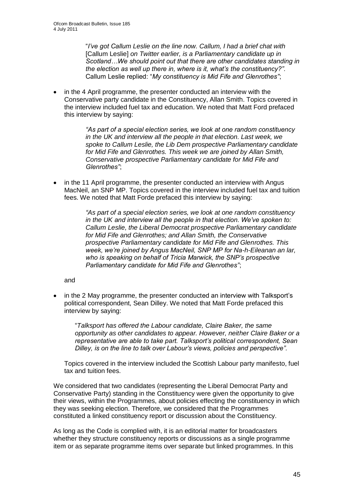"*I"ve got Callum Leslie on the line now. Callum, I had a brief chat with*  [Callum Leslie] *on Twitter earlier, is a Parliamentary candidate up in Scotland…We should point out that there are other candidates standing in the election as well up there in, where is it, what"s the constituency?".*  Callum Leslie replied: "*My constituency is Mid Fife and Glenrothes"*;

in the 4 April programme, the presenter conducted an interview with the  $\bullet$ Conservative party candidate in the Constituency, Allan Smith. Topics covered in the interview included fuel tax and education. We noted that Matt Ford prefaced this interview by saying:

> *"As part of a special election series, we look at one random constituency in the UK and interview all the people in that election. Last week, we spoke to Callum Leslie, the Lib Dem prospective Parliamentary candidate for Mid Fife and Glenrothes. This week we are joined by Allan Smith, Conservative prospective Parliamentary candidate for Mid Fife and Glenrothes"*;

in the 11 April programme, the presenter conducted an interview with Angus  $\bullet$ MacNeil, an SNP MP. Topics covered in the interview included fuel tax and tuition fees. We noted that Matt Forde prefaced this interview by saying:

> *"As part of a special election series, we look at one random constituency in the UK and interview all the people in that election. We"ve spoken to: Callum Leslie, the Liberal Democrat prospective Parliamentary candidate for Mid Fife and Glenrothes; and Allan Smith, the Conservative prospective Parliamentary candidate for Mid Fife and Glenrothes. This week, we"re joined by Angus MacNeil, SNP MP for Na-h-Eileanan an lar, who is speaking on behalf of Tricia Marwick, the SNP"s prospective Parliamentary candidate for Mid Fife and Glenrothes"*;

and

in the 2 May programme, the presenter conducted an interview with Talksport"s  $\bullet$ political correspondent, Sean Dilley. We noted that Matt Forde prefaced this interview by saying:

"*Talksport has offered the Labour candidate, Claire Baker, the same opportunity as other candidates to appear. However, neither Claire Baker or a representative are able to take part. Talksport"s political correspondent, Sean Dilley, is on the line to talk over Labour"s views, policies and perspective".*

Topics covered in the interview included the Scottish Labour party manifesto, fuel tax and tuition fees.

We considered that two candidates (representing the Liberal Democrat Party and Conservative Party) standing in the Constituency were given the opportunity to give their views, within the Programmes, about policies effecting the constituency in which they was seeking election. Therefore, we considered that the Programmes constituted a linked constituency report or discussion about the Constituency.

As long as the Code is complied with, it is an editorial matter for broadcasters whether they structure constituency reports or discussions as a single programme item or as separate programme items over separate but linked programmes. In this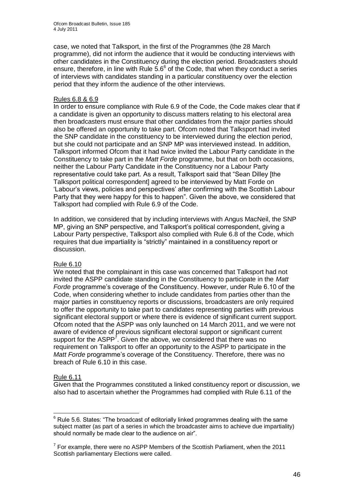case, we noted that Talksport, in the first of the Programmes (the 28 March programme), did not inform the audience that it would be conducting interviews with other candidates in the Constituency during the election period. Broadcasters should ensure, therefore, in line with Rule  $5.6<sup>6</sup>$  of the Code, that when they conduct a series of interviews with candidates standing in a particular constituency over the election period that they inform the audience of the other interviews.

#### Rules 6.8 & 6.9

In order to ensure compliance with Rule 6.9 of the Code, the Code makes clear that if a candidate is given an opportunity to discuss matters relating to his electoral area then broadcasters must ensure that other candidates from the major parties should also be offered an opportunity to take part. Ofcom noted that Talksport had invited the SNP candidate in the constituency to be interviewed during the election period, but she could not participate and an SNP MP was interviewed instead. In addition, Talksport informed Ofcom that it had twice invited the Labour Party candidate in the Constituency to take part in the *Matt Forde* programme, but that on both occasions, neither the Labour Party Candidate in the Constituency nor a Labour Party representative could take part. As a result, Talksport said that "Sean Dilley [the Talksport political correspondentl agreed to be interviewed by Matt Forde on "Labour"s views, policies and perspectives" after confirming with the Scottish Labour Party that they were happy for this to happen". Given the above, we considered that Talksport had complied with Rule 6.9 of the Code.

In addition, we considered that by including interviews with Angus MacNeil, the SNP MP, giving an SNP perspective, and Talksport"s political correspondent, giving a Labour Party perspective, Talksport also complied with Rule 6.8 of the Code, which requires that due impartiality is "strictly" maintained in a constituency report or discussion.

#### Rule 6.10

We noted that the complainant in this case was concerned that Talksport had not invited the ASPP candidate standing in the Constituency to participate in the *Matt Forde* programme"s coverage of the Constituency. However, under Rule 6.10 of the Code, when considering whether to include candidates from parties other than the major parties in constituency reports or discussions, broadcasters are only required to offer the opportunity to take part to candidates representing parties with previous significant electoral support or where there is evidence of significant current support. Ofcom noted that the ASPP was only launched on 14 March 2011, and we were not aware of evidence of previous significant electoral support or significant current support for the ASPP<sup>7</sup>. Given the above, we considered that there was no requirement on Talksport to offer an opportunity to the ASPP to participate in the *Matt Forde* programme"s coverage of the Constituency. Therefore, there was no breach of Rule 6.10 in this case.

#### Rule 6.11

Given that the Programmes constituted a linked constituency report or discussion, we also had to ascertain whether the Programmes had complied with Rule 6.11 of the

 $\overline{a}$  $6$  Rule 5.6. States: "The broadcast of editorially linked programmes dealing with the same subject matter (as part of a series in which the broadcaster aims to achieve due impartiality) should normally be made clear to the audience on air".

 $7$  For example, there were no ASPP Members of the Scottish Parliament, when the 2011 Scottish parliamentary Elections were called.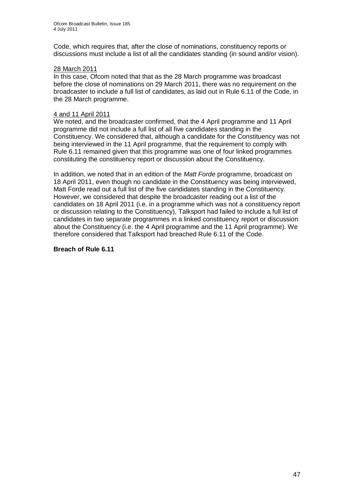Code, which requires that, after the close of nominations, constituency reports or discussions must include a list of all the candidates standing (in sound and/or vision).

#### 28 March 2011

In this case, Ofcom noted that that as the 28 March programme was broadcast before the close of nominations on 29 March 2011, there was no requirement on the broadcaster to include a full list of candidates, as laid out in Rule 6.11 of the Code, in the 28 March programme.

#### 4 and 11 April 2011

We noted, and the broadcaster confirmed, that the 4 April programme and 11 April programme did not include a full list of all five candidates standing in the Constituency. We considered that, although a candidate for the Constituency was not being interviewed in the 11 April programme, that the requirement to comply with Rule 6.11 remained given that this programme was one of four linked programmes constituting the constituency report or discussion about the Constituency.

In addition, we noted that in an edition of the *Matt Forde* programme, broadcast on 18 April 2011, even though no candidate in the Constituency was being interviewed, Matt Forde read out a full list of the five candidates standing in the Constituency. However, we considered that despite the broadcaster reading out a list of the candidates on 18 April 2011 (i.e. in a programme which was not a constituency report or discussion relating to the Constituency), Talksport had failed to include a full list of candidates in two separate programmes in a linked constituency report or discussion about the Constituency (i.e. the 4 April programme and the 11 April programme). We therefore considered that Talksport had breached Rule 6.11 of the Code.

#### **Breach of Rule 6.11**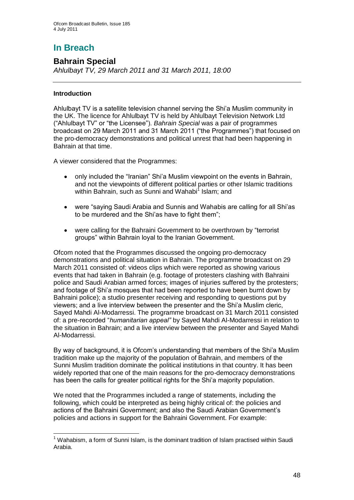# **In Breach**

## **Bahrain Special**

*Ahlulbayt TV, 29 March 2011 and 31 March 2011, 18:00*

## **Introduction**

Ahlulbayt TV is a satellite television channel serving the Shi"a Muslim community in the UK. The licence for Ahlulbayt TV is held by Ahlulbayt Television Network Ltd ("Ahlulbayt TV" or "the Licensee"). *Bahrain Special* was a pair of programmes broadcast on 29 March 2011 and 31 March 2011 ("the Programmes") that focused on the pro-democracy demonstrations and political unrest that had been happening in Bahrain at that time.

A viewer considered that the Programmes:

- only included the "Iranian" Shi"a Muslim viewpoint on the events in Bahrain,  $\bullet$ and not the viewpoints of different political parties or other Islamic traditions within Bahrain, such as Sunni and Wahabi<sup>1</sup> Islam; and
- were "saying Saudi Arabia and Sunnis and Wahabis are calling for all Shi"as to be murdered and the Shi"as have to fight them";
- were calling for the Bahraini Government to be overthrown by "terrorist groups" within Bahrain loyal to the Iranian Government.

Ofcom noted that the Programmes discussed the ongoing pro-democracy demonstrations and political situation in Bahrain. The programme broadcast on 29 March 2011 consisted of: videos clips which were reported as showing various events that had taken in Bahrain (e.g. footage of protesters clashing with Bahraini police and Saudi Arabian armed forces; images of injuries suffered by the protesters; and footage of Shi"a mosques that had been reported to have been burnt down by Bahraini police); a studio presenter receiving and responding to questions put by viewers; and a live interview between the presenter and the Shi"a Muslim cleric, Sayed Mahdi Al-Modarressi. The programme broadcast on 31 March 2011 consisted of: a pre-recorded "*humanitarian appeal"* by Sayed Mahdi Al-Modarressi in relation to the situation in Bahrain; and a live interview between the presenter and Sayed Mahdi Al-Modarressi.

By way of background, it is Ofcom"s understanding that members of the Shi"a Muslim tradition make up the majority of the population of Bahrain, and members of the Sunni Muslim tradition dominate the political institutions in that country. It has been widely reported that one of the main reasons for the pro-democracy demonstrations has been the calls for greater political rights for the Shi'a majority population.

We noted that the Programmes included a range of statements, including the following, which could be interpreted as being highly critical of: the policies and actions of the Bahraini Government; and also the Saudi Arabian Government"s policies and actions in support for the Bahraini Government. For example:

 $\overline{1}$  $<sup>1</sup>$  Wahabism, a form of Sunni Islam, is the dominant tradition of Islam practised within Saudi</sup> Arabia.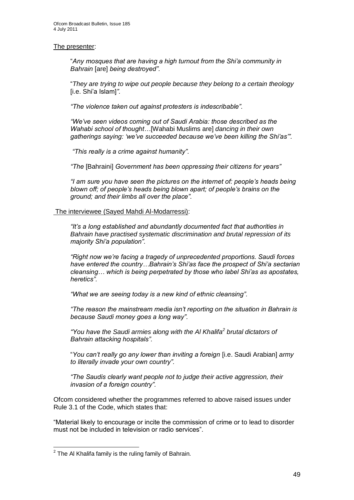#### The presenter:

"*Any mosques that are having a high turnout from the Shi"a community in Bahrain* [are] *being destroyed".*

"*They are trying to wipe out people because they belong to a certain theology* [i.e. Shi"a Islam]*".*

*"The violence taken out against protesters is indescribable".*

*"We"ve seen videos coming out of Saudi Arabia: those described as the Wahabi school of thought…*[Wahabi Muslims are] *dancing in their own gatherings saying: "we"ve succeeded because we"ve been killing the Shi"as"".*

*"This really is a crime against humanity".*

*"The* [Bahraini] *Government has been oppressing their citizens for years"*

*"I am sure you have seen the pictures on the internet of: people"s heads being blown off; of people"s heads being blown apart; of people"s brains on the ground; and their limbs all over the place".*

The interviewee (Sayed Mahdi Al-Modarressi):

*"It"s a long established and abundantly documented fact that authorities in Bahrain have practised systematic discrimination and brutal repression of its majority Shi"a population".*

*"Right now we"re facing a tragedy of unprecedented proportions. Saudi forces have entered the country…Bahrain"s Shi"as face the prospect of Shi"a sectarian cleansing… which is being perpetrated by those who label Shi"as as apostates, heretics".*

*"What we are seeing today is a new kind of ethnic cleansing".*

*"The reason the mainstream media isn"t reporting on the situation in Bahrain is because Saudi money goes a long way".*

*"You have the Saudi armies along with the Al Khalifa<sup>2</sup> brutal dictators of Bahrain attacking hospitals".*

"*You can"t really go any lower than inviting a foreign* [i.e. Saudi Arabian] *army to literally invade your own country".*

*"The Saudis clearly want people not to judge their active aggression, their invasion of a foreign country".*

Ofcom considered whether the programmes referred to above raised issues under Rule 3.1 of the Code, which states that:

"Material likely to encourage or incite the commission of crime or to lead to disorder must not be included in television or radio services".

 2 The Al Khalifa family is the ruling family of Bahrain.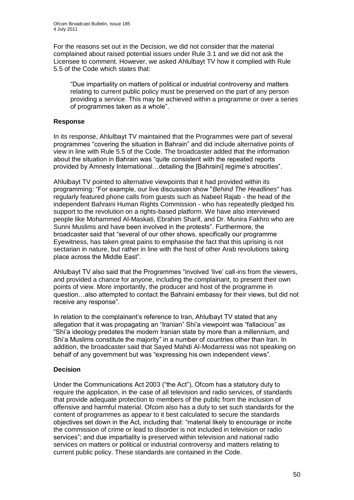For the reasons set out in the Decision, we did not consider that the material complained about raised potential issues under Rule 3.1 and we did not ask the Licensee to comment. However, we asked Ahlulbayt TV how it complied with Rule 5.5 of the Code which states that:

"Due impartiality on matters of political or industrial controversy and matters relating to current public policy must be preserved on the part of any person providing a service. This may be achieved within a programme or over a series of programmes taken as a whole".

## **Response**

In its response, Ahlulbayt TV maintained that the Programmes were part of several programmes "covering the situation in Bahrain" and did include alternative points of view in line with Rule 5.5 of the Code. The broadcaster added that the information about the situation in Bahrain was "quite consistent with the repeated reports provided by Amnesty International…detailing the [Bahraini] regime"s atrocities".

Ahlulbayt TV pointed to alternative viewpoints that it had provided within its programming: "For example, our live discussion show "*Behind The Headlines*" has regularly featured phone calls from guests such as Nabeel Rajab - the head of the independent Bahraini Human Rights Commission - who has repeatedly pledged his support to the revolution on a rights-based platform. We have also interviewed people like Mohammed Al-Maskati, Ebrahim Sharif, and Dr. Munira Fakhro who are Sunni Muslims and have been involved in the protests". Furthermore, the broadcaster said that "several of our other shows, specifically our programme Eyewitness, has taken great pains to emphasise the fact that this uprising is not sectarian in nature, but rather in line with the host of other Arab revolutions taking place across the Middle East".

Ahlulbayt TV also said that the Programmes "involved "live" call-ins from the viewers, and provided a chance for anyone, including the complainant, to present their own points of view. More importantly, the producer and host of the programme in question…also attempted to contact the Bahraini embassy for their views, but did not receive any response".

In relation to the complainant's reference to Iran, Ahlulbayt TV stated that any allegation that it was propagating an "Iranian" Shi"a viewpoint was "fallacious" as "Shi"a ideology predates the modern Iranian state by more than a millennium, and Shi"a Muslims constitute the majority" in a number of countries other than Iran. In addition, the broadcaster said that Sayed Mahdi Al-Modarressi was not speaking on behalf of any government but was "expressing his own independent views".

## **Decision**

Under the Communications Act 2003 ("the Act"), Ofcom has a statutory duty to require the application, in the case of all television and radio services, of standards that provide adequate protection to members of the public from the inclusion of offensive and harmful material. Ofcom also has a duty to set such standards for the content of programmes as appear to it best calculated to secure the standards objectives set down in the Act, including that: "material likely to encourage or incite the commission of crime or lead to disorder is not included in television or radio services"; and due impartiality is preserved within television and national radio services on matters or political or industrial controversy and matters relating to current public policy. These standards are contained in the Code.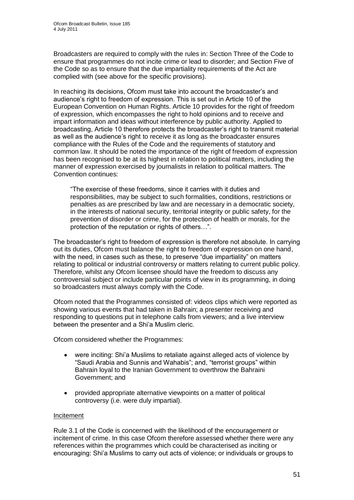Broadcasters are required to comply with the rules in: Section Three of the Code to ensure that programmes do not incite crime or lead to disorder; and Section Five of the Code so as to ensure that the due impartiality requirements of the Act are complied with (see above for the specific provisions).

In reaching its decisions, Ofcom must take into account the broadcaster"s and audience"s right to freedom of expression. This is set out in Article 10 of the European Convention on Human Rights. Article 10 provides for the right of freedom of expression, which encompasses the right to hold opinions and to receive and impart information and ideas without interference by public authority. Applied to broadcasting, Article 10 therefore protects the broadcaster"s right to transmit material as well as the audience"s right to receive it as long as the broadcaster ensures compliance with the Rules of the Code and the requirements of statutory and common law. It should be noted the importance of the right of freedom of expression has been recognised to be at its highest in relation to political matters, including the manner of expression exercised by journalists in relation to political matters. The Convention continues:

"The exercise of these freedoms, since it carries with it duties and responsibilities, may be subject to such formalities, conditions, restrictions or penalties as are prescribed by law and are necessary in a democratic society, in the interests of national security, territorial integrity or public safety, for the prevention of disorder or crime, for the protection of health or morals, for the protection of the reputation or rights of others…".

The broadcaster"s right to freedom of expression is therefore not absolute. In carrying out its duties, Ofcom must balance the right to freedom of expression on one hand, with the need, in cases such as these, to preserve "due impartiality" on matters relating to political or industrial controversy or matters relating to current public policy. Therefore, whilst any Ofcom licensee should have the freedom to discuss any controversial subject or include particular points of view in its programming, in doing so broadcasters must always comply with the Code.

Ofcom noted that the Programmes consisted of: videos clips which were reported as showing various events that had taken in Bahrain; a presenter receiving and responding to questions put in telephone calls from viewers; and a live interview between the presenter and a Shi"a Muslim cleric.

Ofcom considered whether the Programmes:

- were inciting: Shi"a Muslims to retaliate against alleged acts of violence by "Saudi Arabia and Sunnis and Wahabis"; and, "terrorist groups" within Bahrain loyal to the Iranian Government to overthrow the Bahraini Government; and
- provided appropriate alternative viewpoints on a matter of political controversy (i.e. were duly impartial).

## Incitement

Rule 3.1 of the Code is concerned with the likelihood of the encouragement or incitement of crime. In this case Ofcom therefore assessed whether there were any references within the programmes which could be characterised as inciting or encouraging: Shi"a Muslims to carry out acts of violence; or individuals or groups to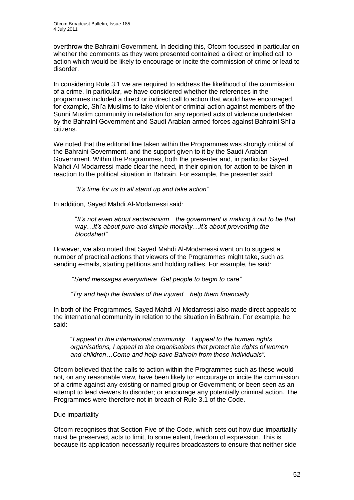overthrow the Bahraini Government. In deciding this, Ofcom focussed in particular on whether the comments as they were presented contained a direct or implied call to action which would be likely to encourage or incite the commission of crime or lead to disorder.

In considering Rule 3.1 we are required to address the likelihood of the commission of a crime. In particular, we have considered whether the references in the programmes included a direct or indirect call to action that would have encouraged, for example, Shi"a Muslims to take violent or criminal action against members of the Sunni Muslim community in retaliation for any reported acts of violence undertaken by the Bahraini Government and Saudi Arabian armed forces against Bahraini Shi"a citizens.

We noted that the editorial line taken within the Programmes was strongly critical of the Bahraini Government, and the support given to it by the Saudi Arabian Government. Within the Programmes, both the presenter and, in particular Sayed Mahdi Al-Modarressi made clear the need, in their opinion, for action to be taken in reaction to the political situation in Bahrain. For example, the presenter said:

*"It"s time for us to all stand up and take action".*

In addition, Sayed Mahdi Al-Modarressi said:

"*It"s not even about sectarianism…the government is making it out to be that way…It"s about pure and simple morality…It"s about preventing the bloodshed".*

However, we also noted that Sayed Mahdi Al-Modarressi went on to suggest a number of practical actions that viewers of the Programmes might take, such as sending e-mails, starting petitions and holding rallies. For example, he said:

"*Send messages everywhere. Get people to begin to care".*

*"Try and help the families of the injured…help them financially*

In both of the Programmes, Sayed Mahdi Al-Modarressi also made direct appeals to the international community in relation to the situation in Bahrain. For example, he said:

"*I appeal to the international community…I appeal to the human rights organisations, I appeal to the organisations that protect the rights of women and children…Come and help save Bahrain from these individuals".*

Ofcom believed that the calls to action within the Programmes such as these would not, on any reasonable view, have been likely to: encourage or incite the commission of a crime against any existing or named group or Government; or been seen as an attempt to lead viewers to disorder; or encourage any potentially criminal action. The Programmes were therefore not in breach of Rule 3.1 of the Code.

## Due impartiality

Ofcom recognises that Section Five of the Code, which sets out how due impartiality must be preserved, acts to limit, to some extent, freedom of expression. This is because its application necessarily requires broadcasters to ensure that neither side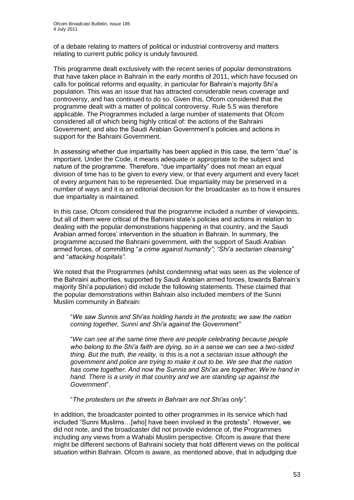of a debate relating to matters of political or industrial controversy and matters relating to current public policy is unduly favoured.

This programme dealt exclusively with the recent series of popular demonstrations that have taken place in Bahrain in the early months of 2011, which have focused on calls for political reforms and equality, in particular for Bahrain"s majority Shi"a population. This was an issue that has attracted considerable news coverage and controversy, and has continued to do so. Given this, Ofcom considered that the programme dealt with a matter of political controversy. Rule 5.5 was therefore applicable. The Programmes included a large number of statements that Ofcom considered all of which being highly critical of: the actions of the Bahraini Government; and also the Saudi Arabian Government"s policies and actions in support for the Bahraini Government.

In assessing whether due impartiality has been applied in this case, the term "due" is important. Under the Code, it means adequate or appropriate to the subject and nature of the programme. Therefore, "due impartiality" does not mean an equal division of time has to be given to every view, or that every argument and every facet of every argument has to be represented. Due impartiality may be preserved in a number of ways and it is an editorial decision for the broadcaster as to how it ensures due impartiality is maintained.

In this case, Ofcom considered that the programme included a number of viewpoints, but all of them were critical of the Bahraini state"s policies and actions in relation to dealing with the popular demonstrations happening in that country, and the Saudi Arabian armed forces" intervention in the situation in Bahrain. In summary, the programme accused the Bahraini government, with the support of Saudi Arabian armed forces, of committing "*a crime against humanity"; "Shi"a sectarian cleansing"*  and "*attacking hospitals".*

We noted that the Programmes (whilst condemning what was seen as the violence of the Bahraini authorities, supported by Saudi Arabian armed forces, towards Bahrain"s majority Shi"a population) did include the following statements. These claimed that the popular demonstrations within Bahrain also included members of the Sunni Muslim community in Bahrain:

"*We saw Sunnis and Shi"as holding hands in the protests; we saw the nation coming together, Sunni and Shi"a against the Government"*

"*We can see at the same time there are people celebrating because people who belong to the Shi"a faith are dying, so in a sense we can see a two-sided thing. But the truth, the reality,* is this is a not a *sectarian issue although the government and police are trying to make it out to be. We see that the nation has come together. And now the Sunnis and Shi"as are together. We"re hand in hand. There is a unity in that country and we are standing up against the Government*".

"*The protesters on the streets in Bahrain are not Shi"as only".*

In addition, the broadcaster pointed to other programmes in its service which had included "Sunni Muslims…[who] have been involved in the protests". However, we did not note, and the broadcaster did not provide evidence of, the Programmes including any views from a Wahabi Muslim perspective. Ofcom is aware that there might be different sections of Bahraini society that hold different views on the political situation within Bahrain. Ofcom is aware, as mentioned above, that in adjudging due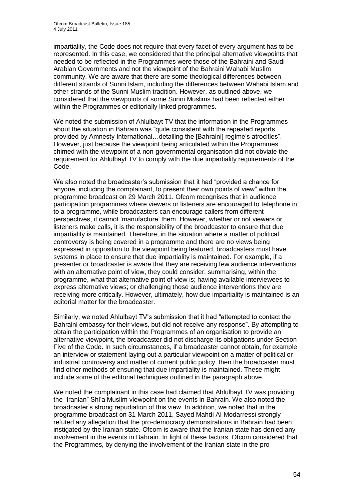impartiality, the Code does not require that every facet of every argument has to be represented. In this case, we considered that the principal alternative viewpoints that needed to be reflected in the Programmes were those of the Bahraini and Saudi Arabian Governments and not the viewpoint of the Bahraini Wahabi Muslim community. We are aware that there are some theological differences between different strands of Sunni Islam, including the differences between Wahabi Islam and other strands of the Sunni Muslim tradition. However, as outlined above, we considered that the viewpoints of some Sunni Muslims had been reflected either within the Programmes or editorially linked programmes.

We noted the submission of Ahlulbayt TV that the information in the Programmes about the situation in Bahrain was "quite consistent with the repeated reports provided by Amnesty International…detailing the [Bahraini] regime"s atrocities". However, just because the viewpoint being articulated within the Programmes chimed with the viewpoint of a non-governmental organisation did not obviate the requirement for Ahlulbayt TV to comply with the due impartiality requirements of the Code.

We also noted the broadcaster's submission that it had "provided a chance for anyone, including the complainant, to present their own points of view" within the programme broadcast on 29 March 2011. Ofcom recognises that in audience participation programmes where viewers or listeners are encouraged to telephone in to a programme, while broadcasters can encourage callers from different perspectives, it cannot 'manufacture' them. However, whether or not viewers or listeners make calls, it is the responsibility of the broadcaster to ensure that due impartiality is maintained. Therefore, in the situation where a matter of political controversy is being covered in a programme and there are no views being expressed in opposition to the viewpoint being featured, broadcasters must have systems in place to ensure that due impartiality is maintained. For example, if a presenter or broadcaster is aware that they are receiving few audience interventions with an alternative point of view, they could consider: summarising, within the programme, what that alternative point of view is; having available interviewees to express alternative views; or challenging those audience interventions they are receiving more critically. However, ultimately, how due impartiality is maintained is an editorial matter for the broadcaster.

Similarly, we noted Ahlulbayt TV"s submission that it had "attempted to contact the Bahraini embassy for their views, but did not receive any response". By attempting to obtain the participation within the Programmes of an organisation to provide an alternative viewpoint, the broadcaster did not discharge its obligations under Section Five of the Code. In such circumstances, if a broadcaster cannot obtain, for example an interview or statement laying out a particular viewpoint on a matter of political or industrial controversy and matter of current public policy, then the broadcaster must find other methods of ensuring that due impartiality is maintained. These might include some of the editorial techniques outlined in the paragraph above.

We noted the complainant in this case had claimed that Ahlulbayt TV was providing the "Iranian" Shi"a Muslim viewpoint on the events in Bahrain. We also noted the broadcaster"s strong repudiation of this view. In addition, we noted that in the programme broadcast on 31 March 2011, Sayed Mahdi Al-Modarressi strongly refuted any allegation that the pro-democracy demonstrations in Bahrain had been instigated by the Iranian state. Ofcom is aware that the Iranian state has denied any involvement in the events in Bahrain. In light of these factors, Ofcom considered that the Programmes, by denying the involvement of the Iranian state in the pro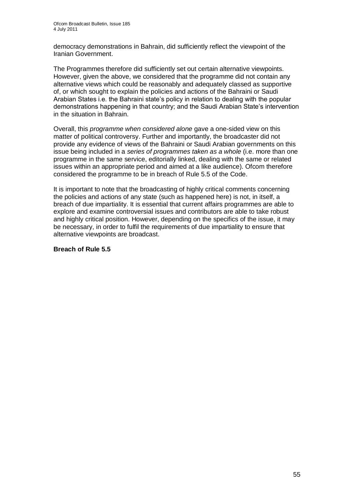democracy demonstrations in Bahrain, did sufficiently reflect the viewpoint of the Iranian Government.

The Programmes therefore did sufficiently set out certain alternative viewpoints. However, given the above, we considered that the programme did not contain any alternative views which could be reasonably and adequately classed as supportive of, or which sought to explain the policies and actions of the Bahraini or Saudi Arabian States i.e. the Bahraini state"s policy in relation to dealing with the popular demonstrations happening in that country; and the Saudi Arabian State"s intervention in the situation in Bahrain.

Overall, this *programme when considered alone* gave a one-sided view on this matter of political controversy. Further and importantly, the broadcaster did not provide any evidence of views of the Bahraini or Saudi Arabian governments on this issue being included in a *series of programmes taken as a whole* (i.e. more than one programme in the same service, editorially linked, dealing with the same or related issues within an appropriate period and aimed at a like audience). Ofcom therefore considered the programme to be in breach of Rule 5.5 of the Code.

It is important to note that the broadcasting of highly critical comments concerning the policies and actions of any state (such as happened here) is not, in itself, a breach of due impartiality. It is essential that current affairs programmes are able to explore and examine controversial issues and contributors are able to take robust and highly critical position. However, depending on the specifics of the issue, it may be necessary, in order to fulfil the requirements of due impartiality to ensure that alternative viewpoints are broadcast.

**Breach of Rule 5.5**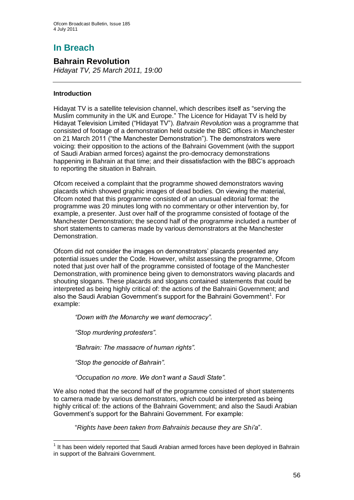# **In Breach**

## **Bahrain Revolution**

*Hidayat TV, 25 March 2011, 19:00*

## **Introduction**

Hidayat TV is a satellite television channel, which describes itself as "serving the Muslim community in the UK and Europe." The Licence for Hidayat TV is held by Hidayat Television Limited ("Hidayat TV"). *Bahrain Revolution* was a programme that consisted of footage of a demonstration held outside the BBC offices in Manchester on 21 March 2011 ("the Manchester Demonstration"). The demonstrators were voicing: their opposition to the actions of the Bahraini Government (with the support of Saudi Arabian armed forces) against the pro-democracy demonstrations happening in Bahrain at that time; and their dissatisfaction with the BBC"s approach to reporting the situation in Bahrain.

Ofcom received a complaint that the programme showed demonstrators waving placards which showed graphic images of dead bodies. On viewing the material, Ofcom noted that this programme consisted of an unusual editorial format: the programme was 20 minutes long with no commentary or other intervention by, for example, a presenter. Just over half of the programme consisted of footage of the Manchester Demonstration; the second half of the programme included a number of short statements to cameras made by various demonstrators at the Manchester Demonstration.

Ofcom did not consider the images on demonstrators" placards presented any potential issues under the Code. However, whilst assessing the programme, Ofcom noted that just over half of the programme consisted of footage of the Manchester Demonstration, with prominence being given to demonstrators waving placards and shouting slogans. These placards and slogans contained statements that could be interpreted as being highly critical of: the actions of the Bahraini Government; and also the Saudi Arabian Government's support for the Bahraini Government<sup>1</sup>. For example:

*"Down with the Monarchy we want democracy".*

*"Stop murdering protesters".*

*"Bahrain: The massacre of human rights".*

*"Stop the genocide of Bahrain".*

*"Occupation no more. We don"t want a Saudi State".*

We also noted that the second half of the programme consisted of short statements to camera made by various demonstrators, which could be interpreted as being highly critical of: the actions of the Bahraini Government; and also the Saudi Arabian Government"s support for the Bahraini Government. For example:

"*Rights have been taken from Bahrainis because they are Shi"a*".

<sup>1</sup> <sup>1</sup> It has been widely reported that Saudi Arabian armed forces have been deployed in Bahrain in support of the Bahraini Government.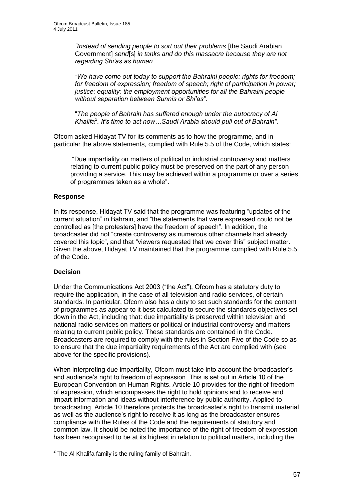*"Instead of sending people to sort out their problems* [the Saudi Arabian Government] *send*[s] *in tanks and do this massacre because they are not regarding Shi"as as human".*

*"We have come out today to support the Bahraini people: rights for freedom; for freedom of expression; freedom of speech; right of participation in power; justice; equality; the employment opportunities for all the Bahraini people without separation between Sunnis or Shi"as".*

"*The people of Bahrain has suffered enough under the autocracy of Al Khalifa<sup>2</sup> . It"s time to act now…Saudi Arabia should pull out of Bahrain".*

Ofcom asked Hidayat TV for its comments as to how the programme, and in particular the above statements, complied with Rule 5.5 of the Code, which states:

"Due impartiality on matters of political or industrial controversy and matters relating to current public policy must be preserved on the part of any person providing a service. This may be achieved within a programme or over a series of programmes taken as a whole".

## **Response**

In its response, Hidayat TV said that the programme was featuring "updates of the current situation" in Bahrain, and "the statements that were expressed could not be controlled as [the protesters] have the freedom of speech". In addition, the broadcaster did not "create controversy as numerous other channels had already covered this topic", and that "viewers requested that we cover this" subject matter. Given the above, Hidayat TV maintained that the programme complied with Rule 5.5 of the Code.

## **Decision**

Under the Communications Act 2003 ("the Act"), Ofcom has a statutory duty to require the application, in the case of all television and radio services, of certain standards. In particular, Ofcom also has a duty to set such standards for the content of programmes as appear to it best calculated to secure the standards objectives set down in the Act, including that: due impartiality is preserved within television and national radio services on matters or political or industrial controversy and matters relating to current public policy. These standards are contained in the Code. Broadcasters are required to comply with the rules in Section Five of the Code so as to ensure that the due impartiality requirements of the Act are complied with (see above for the specific provisions).

When interpreting due impartiality, Ofcom must take into account the broadcaster"s and audience"s right to freedom of expression. This is set out in Article 10 of the European Convention on Human Rights. Article 10 provides for the right of freedom of expression, which encompasses the right to hold opinions and to receive and impart information and ideas without interference by public authority. Applied to broadcasting, Article 10 therefore protects the broadcaster's right to transmit material as well as the audience"s right to receive it as long as the broadcaster ensures compliance with the Rules of the Code and the requirements of statutory and common law. It should be noted the importance of the right of freedom of expression has been recognised to be at its highest in relation to political matters, including the

 2 The Al Khalifa family is the ruling family of Bahrain.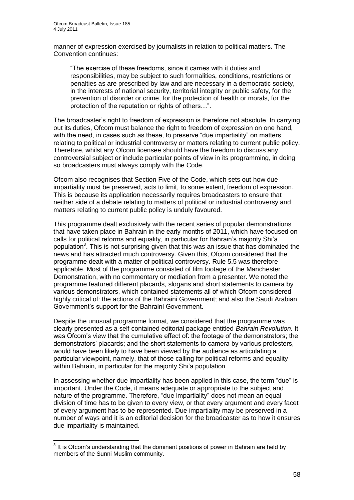manner of expression exercised by journalists in relation to political matters. The Convention continues:

"The exercise of these freedoms, since it carries with it duties and responsibilities, may be subject to such formalities, conditions, restrictions or penalties as are prescribed by law and are necessary in a democratic society, in the interests of national security, territorial integrity or public safety, for the prevention of disorder or crime, for the protection of health or morals, for the protection of the reputation or rights of others…".

The broadcaster"s right to freedom of expression is therefore not absolute. In carrying out its duties, Ofcom must balance the right to freedom of expression on one hand, with the need, in cases such as these, to preserve "due impartiality" on matters relating to political or industrial controversy or matters relating to current public policy. Therefore, whilst any Ofcom licensee should have the freedom to discuss any controversial subject or include particular points of view in its programming, in doing so broadcasters must always comply with the Code.

Ofcom also recognises that Section Five of the Code, which sets out how due impartiality must be preserved, acts to limit, to some extent, freedom of expression. This is because its application necessarily requires broadcasters to ensure that neither side of a debate relating to matters of political or industrial controversy and matters relating to current public policy is unduly favoured.

This programme dealt exclusively with the recent series of popular demonstrations that have taken place in Bahrain in the early months of 2011, which have focused on calls for political reforms and equality, in particular for Bahrain"s majority Shi"a population<sup>3</sup>. This is not surprising given that this was an issue that has dominated the news and has attracted much controversy. Given this, Ofcom considered that the programme dealt with a matter of political controversy. Rule 5.5 was therefore applicable. Most of the programme consisted of film footage of the Manchester Demonstration, with no commentary or mediation from a presenter. We noted the programme featured different placards, slogans and short statements to camera by various demonstrators, which contained statements all of which Ofcom considered highly critical of: the actions of the Bahraini Government; and also the Saudi Arabian Government"s support for the Bahraini Government.

Despite the unusual programme format, we considered that the programme was clearly presented as a self contained editorial package entitled *Bahrain Revolution.* It was Ofcom"s view that the cumulative effect of: the footage of the demonstrators; the demonstrators" placards; and the short statements to camera by various protesters, would have been likely to have been viewed by the audience as articulating a particular viewpoint, namely, that of those calling for political reforms and equality within Bahrain, in particular for the majority Shi"a population.

In assessing whether due impartiality has been applied in this case, the term "due" is important. Under the Code, it means adequate or appropriate to the subject and nature of the programme. Therefore, "due impartiality" does not mean an equal division of time has to be given to every view, or that every argument and every facet of every argument has to be represented. Due impartiality may be preserved in a number of ways and it is an editorial decision for the broadcaster as to how it ensures due impartiality is maintained.

<sup>————————————————————&</sup>lt;br><sup>3</sup> It is Ofcom's understanding that the dominant positions of power in Bahrain are held by members of the Sunni Muslim community.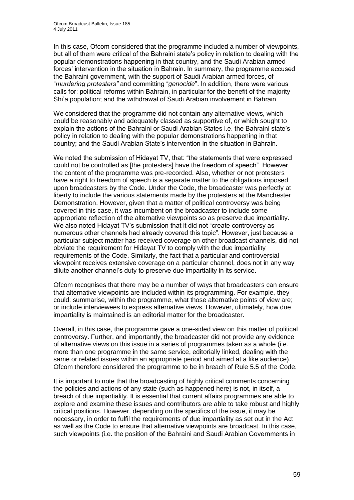In this case, Ofcom considered that the programme included a number of viewpoints, but all of them were critical of the Bahraini state"s policy in relation to dealing with the popular demonstrations happening in that country, and the Saudi Arabian armed forces" intervention in the situation in Bahrain. In summary, the programme accused the Bahraini government, with the support of Saudi Arabian armed forces, of "*murdering protesters"* and committing "*genocide*". In addition, there were various calls for: political reforms within Bahrain, in particular for the benefit of the majority Shi"a population; and the withdrawal of Saudi Arabian involvement in Bahrain.

We considered that the programme did not contain any alternative views, which could be reasonably and adequately classed as supportive of, or which sought to explain the actions of the Bahraini or Saudi Arabian States i.e. the Bahraini state"s policy in relation to dealing with the popular demonstrations happening in that country; and the Saudi Arabian State"s intervention in the situation in Bahrain.

We noted the submission of Hidayat TV, that: "the statements that were expressed could not be controlled as [the protesters] have the freedom of speech". However, the content of the programme was pre-recorded. Also, whether or not protesters have a right to freedom of speech is a separate matter to the obligations imposed upon broadcasters by the Code. Under the Code, the broadcaster was perfectly at liberty to include the various statements made by the protesters at the Manchester Demonstration. However, given that a matter of political controversy was being covered in this case, it was incumbent on the broadcaster to include some appropriate reflection of the alternative viewpoints so as preserve due impartiality. We also noted Hidayat TV's submission that it did not "create controversy as numerous other channels had already covered this topic". However, just because a particular subject matter has received coverage on other broadcast channels, did not obviate the requirement for Hidayat TV to comply with the due impartiality requirements of the Code. Similarly, the fact that a particular and controversial viewpoint receives extensive coverage on a particular channel, does not in any way dilute another channel"s duty to preserve due impartiality in its service.

Ofcom recognises that there may be a number of ways that broadcasters can ensure that alternative viewpoints are included within its programming. For example, they could: summarise, within the programme, what those alternative points of view are; or include interviewees to express alternative views. However, ultimately, how due impartiality is maintained is an editorial matter for the broadcaster.

Overall, in this case, the programme gave a one-sided view on this matter of political controversy. Further, and importantly, the broadcaster did not provide any evidence of alternative views on this issue in a series of programmes taken as a whole (i.e. more than one programme in the same service, editorially linked, dealing with the same or related issues within an appropriate period and aimed at a like audience). Ofcom therefore considered the programme to be in breach of Rule 5.5 of the Code.

It is important to note that the broadcasting of highly critical comments concerning the policies and actions of any state (such as happened here) is not, in itself, a breach of due impartiality. It is essential that current affairs programmes are able to explore and examine these issues and contributors are able to take robust and highly critical positions. However, depending on the specifics of the issue, it may be necessary, in order to fulfil the requirements of due impartiality as set out in the Act as well as the Code to ensure that alternative viewpoints are broadcast. In this case, such viewpoints (i.e. the position of the Bahraini and Saudi Arabian Governments in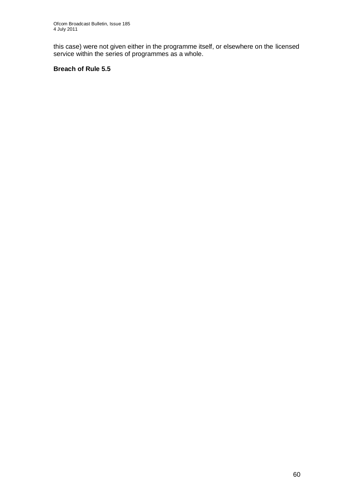this case) were not given either in the programme itself, or elsewhere on the licensed service within the series of programmes as a whole.

## **Breach of Rule 5.5**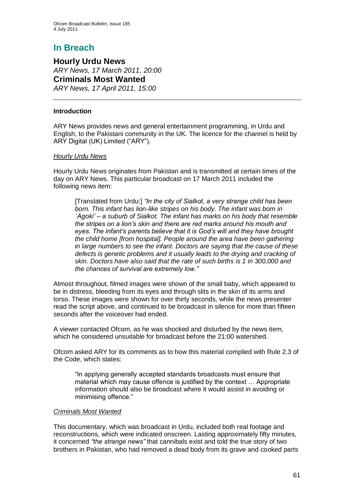## **In Breach**

**Hourly Urdu News** *ARY News, 17 March 2011, 20:00* **Criminals Most Wanted** *ARY News, 17 April 2011, 15:00*

## **Introduction**

ARY News provides news and general entertainment programming, in Urdu and English, to the Pakistani community in the UK. The licence for the channel is held by ARY Digital (UK) Limited ("ARY").

#### *Hourly Urdu News*

Hourly Urdu News originates from Pakistan and is transmitted at certain times of the day on ARY News. This particular broadcast on 17 March 2011 included the following news item:

[Translated from Urdu:] *"In the city of Sialkot, a very strange child has been born. This infant has lion-like stripes on his body. The infant was born in `Agoki" – a suburb of Sialkot. The infant has marks on his body that resemble the stripes on a lion"s skin and there are red marks around his mouth and eyes. The infant"s parents believe that it is God"s will and they have brought the child home [from hospital]. People around the area have been gathering in large numbers to see the infant. Doctors are saying that the cause of these defects is genetic problems and it usually leads to the drying and cracking of skin. Doctors have also said that the rate of such births is 1 in 300,000 and the chances of survival are extremely low."*

Almost throughout, filmed images were shown of the small baby, which appeared to be in distress, bleeding from its eyes and through slits in the skin of its arms and torso. These images were shown for over thirty seconds, while the news presenter read the script above, and continued to be broadcast in silence for more than fifteen seconds after the voiceover had ended.

A viewer contacted Ofcom, as he was shocked and disturbed by the news item, which he considered unsuitable for broadcast before the 21:00 watershed.

Ofcom asked ARY for its comments as to how this material complied with Rule 2.3 of the Code, which states:

"In applying generally accepted standards broadcasts must ensure that material which may cause offence is justified by the context … Appropriate information should also be broadcast where it would assist in avoiding or minimising offence."

#### *Criminals Most Wanted*

This documentary, which was broadcast in Urdu, included both real footage and reconstructions, which were indicated onscreen. Lasting approximately fifty minutes, it concerned *"the strange news"* that cannibals exist and told the true story of two brothers in Pakistan, who had removed a dead body from its grave and cooked parts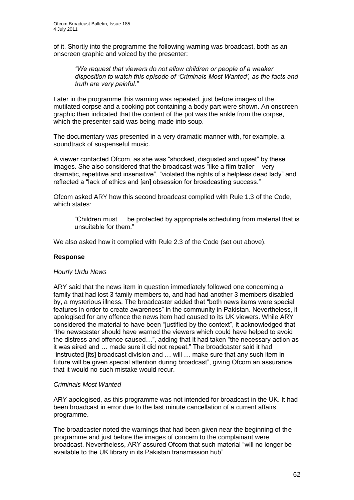of it. Shortly into the programme the following warning was broadcast, both as an onscreen graphic and voiced by the presenter:

*"We request that viewers do not allow children or people of a weaker disposition to watch this episode of "Criminals Most Wanted", as the facts and truth are very painful."*

Later in the programme this warning was repeated, just before images of the mutilated corpse and a cooking pot containing a body part were shown. An onscreen graphic then indicated that the content of the pot was the ankle from the corpse, which the presenter said was being made into soup.

The documentary was presented in a very dramatic manner with, for example, a soundtrack of suspenseful music.

A viewer contacted Ofcom, as she was "shocked, disgusted and upset" by these images. She also considered that the broadcast was "like a film trailer – very dramatic, repetitive and insensitive", "violated the rights of a helpless dead lady" and reflected a "lack of ethics and [an] obsession for broadcasting success."

Ofcom asked ARY how this second broadcast complied with Rule 1.3 of the Code, which states:

"Children must … be protected by appropriate scheduling from material that is unsuitable for them."

We also asked how it complied with Rule 2.3 of the Code (set out above).

## **Response**

#### *Hourly Urdu News*

ARY said that the news item in question immediately followed one concerning a family that had lost 3 family members to, and had had another 3 members disabled by, a mysterious illness. The broadcaster added that "both news items were special features in order to create awareness" in the community in Pakistan. Nevertheless, it apologised for any offence the news item had caused to its UK viewers. While ARY considered the material to have been "justified by the context", it acknowledged that "the newscaster should have warned the viewers which could have helped to avoid the distress and offence caused…", adding that it had taken "the necessary action as it was aired and … made sure it did not repeat." The broadcaster said it had "instructed [its] broadcast division and … will … make sure that any such item in future will be given special attention during broadcast", giving Ofcom an assurance that it would no such mistake would recur.

#### *Criminals Most Wanted*

ARY apologised, as this programme was not intended for broadcast in the UK. It had been broadcast in error due to the last minute cancellation of a current affairs programme.

The broadcaster noted the warnings that had been given near the beginning of the programme and just before the images of concern to the complainant were broadcast. Nevertheless, ARY assured Ofcom that such material "will no longer be available to the UK library in its Pakistan transmission hub".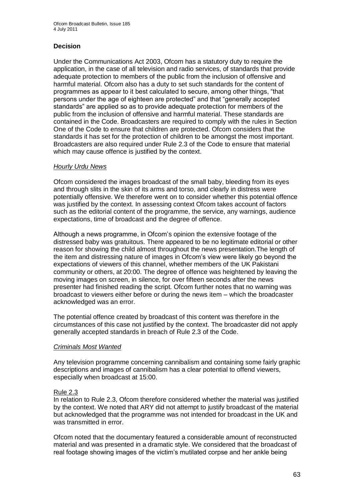## **Decision**

Under the Communications Act 2003, Ofcom has a statutory duty to require the application, in the case of all television and radio services, of standards that provide adequate protection to members of the public from the inclusion of offensive and harmful material. Ofcom also has a duty to set such standards for the content of programmes as appear to it best calculated to secure, among other things, "that persons under the age of eighteen are protected" and that "generally accepted standards" are applied so as to provide adequate protection for members of the public from the inclusion of offensive and harmful material. These standards are contained in the Code. Broadcasters are required to comply with the rules in Section One of the Code to ensure that children are protected. Ofcom considers that the standards it has set for the protection of children to be amongst the most important. Broadcasters are also required under Rule 2.3 of the Code to ensure that material which may cause offence is justified by the context.

## *Hourly Urdu News*

Ofcom considered the images broadcast of the small baby, bleeding from its eyes and through slits in the skin of its arms and torso, and clearly in distress were potentially offensive. We therefore went on to consider whether this potential offence was justified by the context. In assessing context Ofcom takes account of factors such as the editorial content of the programme, the service, any warnings, audience expectations, time of broadcast and the degree of offence.

Although a news programme, in Ofcom"s opinion the extensive footage of the distressed baby was gratuitous. There appeared to be no legitimate editorial or other reason for showing the child almost throughout the news presentation.The length of the item and distressing nature of images in Ofcom"s view were likely go beyond the expectations of viewers of this channel, whether members of the UK Pakistani community or others, at 20:00. The degree of offence was heightened by leaving the moving images on screen, in silence, for over fifteen seconds after the news presenter had finished reading the script. Ofcom further notes that no warning was broadcast to viewers either before or during the news item – which the broadcaster acknowledged was an error.

The potential offence created by broadcast of this content was therefore in the circumstances of this case not justified by the context. The broadcaster did not apply generally accepted standards in breach of Rule 2.3 of the Code.

## *Criminals Most Wanted*

Any television programme concerning cannibalism and containing some fairly graphic descriptions and images of cannibalism has a clear potential to offend viewers, especially when broadcast at 15:00.

## Rule 2.3

In relation to Rule 2.3, Ofcom therefore considered whether the material was justified by the context. We noted that ARY did not attempt to justify broadcast of the material but acknowledged that the programme was not intended for broadcast in the UK and was transmitted in error.

Ofcom noted that the documentary featured a considerable amount of reconstructed material and was presented in a dramatic style. We considered that the broadcast of real footage showing images of the victim"s mutilated corpse and her ankle being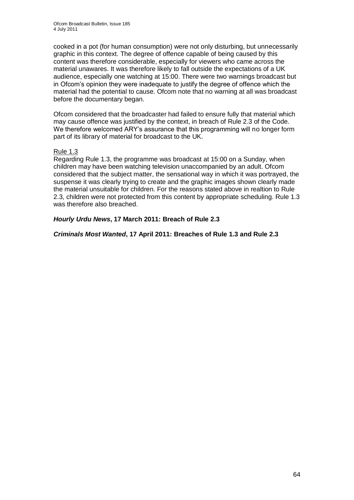cooked in a pot (for human consumption) were not only disturbing, but unnecessarily graphic in this context. The degree of offence capable of being caused by this content was therefore considerable, especially for viewers who came across the material unawares. It was therefore likely to fall outside the expectations of a UK audience, especially one watching at 15:00. There were two warnings broadcast but in Ofcom"s opinion they were inadequate to justify the degree of offence which the material had the potential to cause. Ofcom note that no warning at all was broadcast before the documentary began.

Ofcom considered that the broadcaster had failed to ensure fully that material which may cause offence was justified by the context, in breach of Rule 2.3 of the Code. We therefore welcomed ARY"s assurance that this programming will no longer form part of its library of material for broadcast to the UK.

## Rule 1.3

Regarding Rule 1.3, the programme was broadcast at 15:00 on a Sunday, when children may have been watching television unaccompanied by an adult. Ofcom considered that the subject matter, the sensational way in which it was portrayed, the suspense it was clearly trying to create and the graphic images shown clearly made the material unsuitable for children. For the reasons stated above in realtion to Rule 2.3, children were not protected from this content by appropriate scheduling. Rule 1.3 was therefore also breached.

## *Hourly Urdu News***, 17 March 2011: Breach of Rule 2.3**

*Criminals Most Wanted***, 17 April 2011: Breaches of Rule 1.3 and Rule 2.3**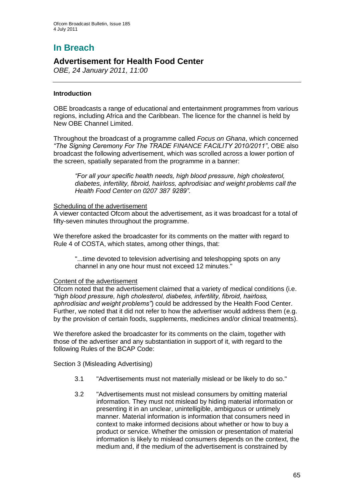# **In Breach**

## **Advertisement for Health Food Center**

*OBE, 24 January 2011, 11:00*

## **Introduction**

OBE broadcasts a range of educational and entertainment programmes from various regions, including Africa and the Caribbean. The licence for the channel is held by New OBE Channel Limited.

Throughout the broadcast of a programme called *Focus on Ghana*, which concerned *"The Signing Ceremony For The TRADE FINANCE FACILITY 2010/2011"*, OBE also broadcast the following advertisement, which was scrolled across a lower portion of the screen, spatially separated from the programme in a banner:

*"For all your specific health needs, high blood pressure, high cholesterol, diabetes, infertility, fibroid, hairloss, aphrodisiac and weight problems call the Health Food Center on 0207 387 9289".*

#### Scheduling of the advertisement

A viewer contacted Ofcom about the advertisement, as it was broadcast for a total of fifty-seven minutes throughout the programme.

We therefore asked the broadcaster for its comments on the matter with regard to Rule 4 of COSTA, which states, among other things, that:

"...time devoted to television advertising and teleshopping spots on any channel in any one hour must not exceed 12 minutes."

## Content of the advertisement

Ofcom noted that the advertisement claimed that a variety of medical conditions (i.e. *"high blood pressure, high cholesterol, diabetes, infertility, fibroid, hairloss, aphrodisiac and weight problems"*) could be addressed by the Health Food Center. Further, we noted that it did not refer to how the advertiser would address them (e.g. by the provision of certain foods, supplements, medicines and/or clinical treatments).

We therefore asked the broadcaster for its comments on the claim, together with those of the advertiser and any substantiation in support of it, with regard to the following Rules of the BCAP Code:

Section 3 (Misleading Advertising)

- 3.1 "Advertisements must not materially mislead or be likely to do so."
- 3.2 "Advertisements must not mislead consumers by omitting material information. They must not mislead by hiding material information or presenting it in an unclear, unintelligible, ambiguous or untimely manner. Material information is information that consumers need in context to make informed decisions about whether or how to buy a product or service. Whether the omission or presentation of material information is likely to mislead consumers depends on the context, the medium and, if the medium of the advertisement is constrained by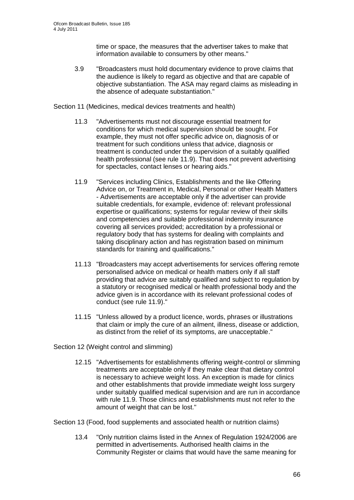time or space, the measures that the advertiser takes to make that information available to consumers by other means."

3.9 "Broadcasters must hold documentary evidence to prove claims that the audience is likely to regard as objective and that are capable of objective substantiation. The ASA may regard claims as misleading in the absence of adequate substantiation."

Section 11 (Medicines, medical devices treatments and health)

- 11.3 "Advertisements must not discourage essential treatment for conditions for which medical supervision should be sought. For example, they must not offer specific advice on, diagnosis of or treatment for such conditions unless that advice, diagnosis or treatment is conducted under the supervision of a suitably qualified health professional (see rule 11.9). That does not prevent advertising for spectacles, contact lenses or hearing aids."
- 11.9 "Services including Clinics, Establishments and the like Offering Advice on, or Treatment in, Medical, Personal or other Health Matters - Advertisements are acceptable only if the advertiser can provide suitable credentials, for example, evidence of: relevant professional expertise or qualifications; systems for regular review of their skills and competencies and suitable professional indemnity insurance covering all services provided; accreditation by a professional or regulatory body that has systems for dealing with complaints and taking disciplinary action and has registration based on minimum standards for training and qualifications."
- 11.13 "Broadcasters may accept advertisements for services offering remote personalised advice on medical or health matters only if all staff providing that advice are suitably qualified and subject to regulation by a statutory or recognised medical or health professional body and the advice given is in accordance with its relevant professional codes of conduct (see rule 11.9)."
- 11.15 "Unless allowed by a product licence, words, phrases or illustrations that claim or imply the cure of an ailment, illness, disease or addiction, as distinct from the relief of its symptoms, are unacceptable."
- Section 12 (Weight control and slimming)
	- 12.15 "Advertisements for establishments offering weight-control or slimming treatments are acceptable only if they make clear that dietary control is necessary to achieve weight loss. An exception is made for clinics and other establishments that provide immediate weight loss surgery under suitably qualified medical supervision and are run in accordance with rule 11.9. Those clinics and establishments must not refer to the amount of weight that can be lost."

Section 13 (Food, food supplements and associated health or nutrition claims)

13.4 "Only nutrition claims listed in the Annex of Regulation 1924/2006 are permitted in advertisements. Authorised health claims in the Community Register or claims that would have the same meaning for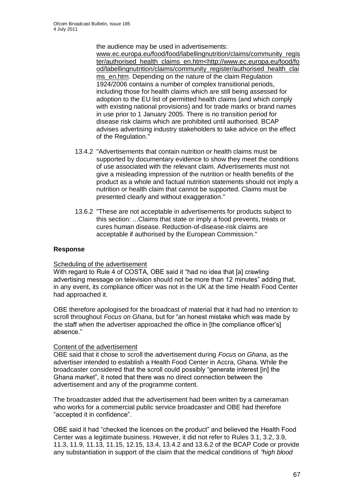the audience may be used in advertisements:

[www.ec.europa.eu/food/food/labellingnutrition/claims/community\\_regis](http://www.ec.europa.eu/food/food/labellingnutrition/claims/community_register/authorised_health_claims_en.htm%3chttp:/www.ec.europa.eu/food/food/labellingnutrition/claims/community_register/authorised_health_claims_en.htm) [ter/authorised\\_health\\_claims\\_en.htm<http://www.ec.europa.eu/food/fo](http://www.ec.europa.eu/food/food/labellingnutrition/claims/community_register/authorised_health_claims_en.htm%3chttp:/www.ec.europa.eu/food/food/labellingnutrition/claims/community_register/authorised_health_claims_en.htm) [od/labellingnutrition/claims/community\\_register/authorised\\_health\\_clai](http://www.ec.europa.eu/food/food/labellingnutrition/claims/community_register/authorised_health_claims_en.htm%3chttp:/www.ec.europa.eu/food/food/labellingnutrition/claims/community_register/authorised_health_claims_en.htm) ms en.htm. Depending on the nature of the claim Regulation 1924/2006 contains a number of complex transitional periods, including those for health claims which are still being assessed for adoption to the EU list of permitted health claims (and which comply with existing national provisions) and for trade marks or brand names in use prior to 1 January 2005. There is no transition period for disease risk claims which are prohibited until authorised. BCAP advises advertising industry stakeholders to take advice on the effect of the Regulation."

- 13.4.2 "Advertisements that contain nutrition or health claims must be supported by documentary evidence to show they meet the conditions of use associated with the relevant claim. Advertisements must not give a misleading impression of the nutrition or health benefits of the product as a whole and factual nutrition statements should not imply a nutrition or health claim that cannot be supported. Claims must be presented clearly and without exaggeration."
- 13.6.2 "These are not acceptable in advertisements for products subject to this section: ...Claims that state or imply a food prevents, treats or cures human disease. Reduction-of-disease-risk claims are acceptable if authorised by the European Commission."

## **Response**

#### Scheduling of the advertisement

With regard to Rule 4 of COSTA, OBE said it "had no idea that [a] crawling advertising message on television should not be more than 12 minutes" adding that, in any event, its compliance officer was not in the UK at the time Health Food Center had approached it.

OBE therefore apologised for the broadcast of material that it had had no intention to scroll throughout *Focus on Ghana*, but for "an honest mistake which was made by the staff when the advertiser approached the office in [the compliance officer"s] absence."

#### Content of the advertisement

OBE said that it chose to scroll the advertisement during *Focus on Ghana*, as the advertiser intended to establish a Health Food Center in Accra, Ghana. While the broadcaster considered that the scroll could possibly "generate interest [in] the Ghana market", it noted that there was no direct connection between the advertisement and any of the programme content.

The broadcaster added that the advertisement had been written by a cameraman who works for a commercial public service broadcaster and OBE had therefore "accepted it in confidence".

OBE said it had "checked the licences on the product" and believed the Health Food Center was a legitimate business. However, it did not refer to Rules 3.1, 3.2, 3.9, 11.3, 11.9, 11.13, 11.15, 12.15, 13.4, 13.4.2 and 13.6.2 of the BCAP Code or provide any substantiation in support of the claim that the medical conditions of *"high blood*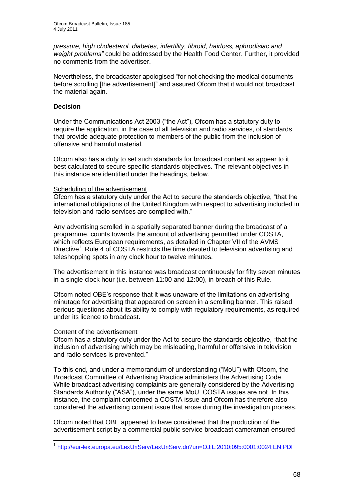*pressure, high cholesterol, diabetes, infertility, fibroid, hairloss, aphrodisiac and weight problems"* could be addressed by the Health Food Center. Further, it provided no comments from the advertiser.

Nevertheless, the broadcaster apologised "for not checking the medical documents before scrolling [the advertisement]" and assured Ofcom that it would not broadcast the material again.

#### **Decision**

Under the Communications Act 2003 ("the Act"), Ofcom has a statutory duty to require the application, in the case of all television and radio services, of standards that provide adequate protection to members of the public from the inclusion of offensive and harmful material.

Ofcom also has a duty to set such standards for broadcast content as appear to it best calculated to secure specific standards objectives. The relevant objectives in this instance are identified under the headings, below.

#### Scheduling of the advertisement

Ofcom has a statutory duty under the Act to secure the standards objective, "that the international obligations of the United Kingdom with respect to advertising included in television and radio services are complied with."

Any advertising scrolled in a spatially separated banner during the broadcast of a programme, counts towards the amount of advertising permitted under COSTA, which reflects European requirements, as detailed in Chapter VII of the AVMS Directive<sup>1</sup>. Rule 4 of COSTA restricts the time devoted to television advertising and teleshopping spots in any clock hour to twelve minutes.

The advertisement in this instance was broadcast continuously for fifty seven minutes in a single clock hour (i.e. between 11:00 and 12:00), in breach of this Rule.

Ofcom noted OBE"s response that it was unaware of the limitations on advertising minutage for advertising that appeared on screen in a scrolling banner. This raised serious questions about its ability to comply with regulatory requirements, as required under its licence to broadcast.

#### Content of the advertisement

Ofcom has a statutory duty under the Act to secure the standards objective, "that the inclusion of advertising which may be misleading, harmful or offensive in television and radio services is prevented."

To this end, and under a memorandum of understanding ("MoU") with Ofcom, the Broadcast Committee of Advertising Practice administers the Advertising Code. While broadcast advertising complaints are generally considered by the Advertising Standards Authority ("ASA"), under the same MoU, COSTA issues are not. In this instance, the complaint concerned a COSTA issue and Ofcom has therefore also considered the advertising content issue that arose during the investigation process.

Ofcom noted that OBE appeared to have considered that the production of the advertisement script by a commercial public service broadcast cameraman ensured

 1 <http://eur-lex.europa.eu/LexUriServ/LexUriServ.do?uri=OJ:L:2010:095:0001:0024:EN:PDF>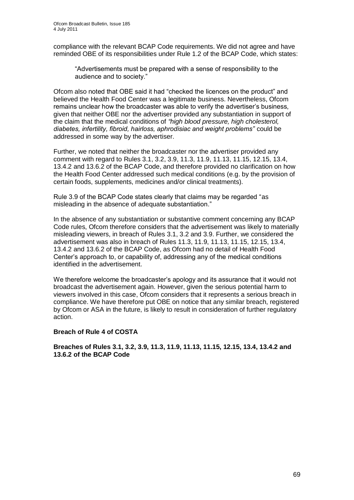compliance with the relevant BCAP Code requirements. We did not agree and have reminded OBE of its responsibilities under Rule 1.2 of the BCAP Code, which states:

"Advertisements must be prepared with a sense of responsibility to the audience and to society."

Ofcom also noted that OBE said it had "checked the licences on the product" and believed the Health Food Center was a legitimate business. Nevertheless, Ofcom remains unclear how the broadcaster was able to verify the advertiser"s business, given that neither OBE nor the advertiser provided any substantiation in support of the claim that the medical conditions of *"high blood pressure, high cholesterol, diabetes, infertility, fibroid, hairloss, aphrodisiac and weight problems"* could be addressed in some way by the advertiser.

Further, we noted that neither the broadcaster nor the advertiser provided any comment with regard to Rules 3.1, 3.2, 3.9, 11.3, 11.9, 11.13, 11.15, 12.15, 13.4, 13.4.2 and 13.6.2 of the BCAP Code, and therefore provided no clarification on how the Health Food Center addressed such medical conditions (e.g. by the provision of certain foods, supplements, medicines and/or clinical treatments).

Rule 3.9 of the BCAP Code states clearly that claims may be regarded "as misleading in the absence of adequate substantiation."

In the absence of any substantiation or substantive comment concerning any BCAP Code rules, Ofcom therefore considers that the advertisement was likely to materially misleading viewers, in breach of Rules 3.1, 3.2 and 3.9. Further, we considered the advertisement was also in breach of Rules 11.3, 11.9, 11.13, 11.15, 12.15, 13.4, 13.4.2 and 13.6.2 of the BCAP Code, as Ofcom had no detail of Health Food Center"s approach to, or capability of, addressing any of the medical conditions identified in the advertisement.

We therefore welcome the broadcaster's apology and its assurance that it would not broadcast the advertisement again. However, given the serious potential harm to viewers involved in this case, Ofcom considers that it represents a serious breach in compliance. We have therefore put OBE on notice that any similar breach, registered by Ofcom or ASA in the future, is likely to result in consideration of further regulatory action.

#### **Breach of Rule 4 of COSTA**

**Breaches of Rules 3.1, 3.2, 3.9, 11.3, 11.9, 11.13, 11.15, 12.15, 13.4, 13.4.2 and 13.6.2 of the BCAP Code**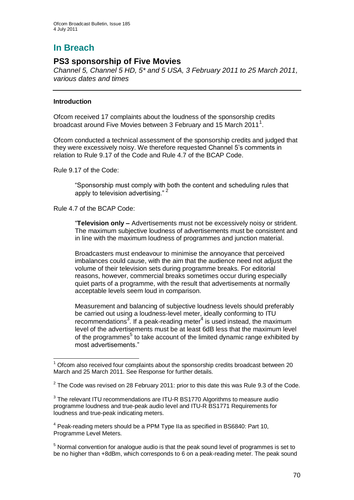# **In Breach**

## **PS3 sponsorship of Five Movies**

*Channel 5, Channel 5 HD, 5\* and 5 USA, 3 February 2011 to 25 March 2011, various dates and times*

#### **Introduction**

1

Ofcom received 17 complaints about the loudness of the sponsorship credits broadcast around Five Movies between 3 February and 15 March 2011<sup>1</sup>.

Ofcom conducted a technical assessment of the sponsorship credits and judged that they were excessively noisy. We therefore requested Channel 5"s comments in relation to Rule 9.17 of the Code and Rule 4.7 of the BCAP Code.

Rule 9.17 of the Code:

"Sponsorship must comply with both the content and scheduling rules that apply to television advertising."<sup>2</sup>

## Rule 4.7 of the BCAP Code:

"**Television only –** Advertisements must not be excessively noisy or strident. The maximum subjective loudness of advertisements must be consistent and in line with the maximum loudness of programmes and junction material.

Broadcasters must endeavour to minimise the annoyance that perceived imbalances could cause, with the aim that the audience need not adjust the volume of their television sets during programme breaks. For editorial reasons, however, commercial breaks sometimes occur during especially quiet parts of a programme, with the result that advertisements at normally acceptable levels seem loud in comparison.

Measurement and balancing of subjective loudness levels should preferably be carried out using a loudness-level meter, ideally conforming to ITU recommendations<sup>3</sup>. If a peak-reading meter<sup>4</sup> is used instead, the maximum level of the advertisements must be at least 6dB less that the maximum level of the programmes<sup>5</sup> to take account of the limited dynamic range exhibited by most advertisements."

 $1$  Ofcom also received four complaints about the sponsorship credits broadcast between 20 March and 25 March 2011. See Response for further details.

 $2$  The Code was revised on 28 February 2011: prior to this date this was Rule 9.3 of the Code.

 $3$  The relevant ITU recommendations are ITU-R BS1770 Algorithms to measure audio programme loudness and true-peak audio level and ITU-R BS1771 Requirements for loudness and true-peak indicating meters.

<sup>&</sup>lt;sup>4</sup> Peak-reading meters should be a PPM Type IIa as specified in BS6840: Part 10, Programme Level Meters.

 $5$  Normal convention for analogue audio is that the peak sound level of programmes is set to be no higher than +8dBm, which corresponds to 6 on a peak-reading meter. The peak sound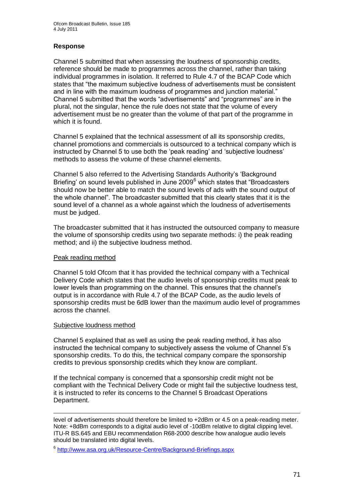## **Response**

Channel 5 submitted that when assessing the loudness of sponsorship credits, reference should be made to programmes across the channel, rather than taking individual programmes in isolation. It referred to Rule 4.7 of the BCAP Code which states that "the maximum subjective loudness of advertisements must be consistent and in line with the maximum loudness of programmes and junction material." Channel 5 submitted that the words "advertisements" and "programmes" are in the plural, not the singular, hence the rule does not state that the volume of every advertisement must be no greater than the volume of that part of the programme in which it is found.

Channel 5 explained that the technical assessment of all its sponsorship credits, channel promotions and commercials is outsourced to a technical company which is instructed by Channel 5 to use both the "peak reading" and "subjective loudness" methods to assess the volume of these channel elements.

Channel 5 also referred to the Advertising Standards Authority"s "Background Briefing' on sound levels published in June 2009<sup>6</sup> which states that "Broadcasters" should now be better able to match the sound levels of ads with the sound output of the whole channel". The broadcaster submitted that this clearly states that it is the sound level of a channel as a whole against which the loudness of advertisements must be judged.

The broadcaster submitted that it has instructed the outsourced company to measure the volume of sponsorship credits using two separate methods: i) the peak reading method; and ii) the subjective loudness method.

## Peak reading method

Channel 5 told Ofcom that it has provided the technical company with a Technical Delivery Code which states that the audio levels of sponsorship credits must peak to lower levels than programming on the channel. This ensures that the channel"s output is in accordance with Rule 4.7 of the BCAP Code, as the audio levels of sponsorship credits must be 6dB lower than the maximum audio level of programmes across the channel.

#### Subjective loudness method

Channel 5 explained that as well as using the peak reading method, it has also instructed the technical company to subjectively assess the volume of Channel 5"s sponsorship credits. To do this, the technical company compare the sponsorship credits to previous sponsorship credits which they know are compliant.

If the technical company is concerned that a sponsorship credit might not be compliant with the Technical Delivery Code or might fail the subjective loudness test, it is instructed to refer its concerns to the Channel 5 Broadcast Operations Department.

<u>.</u> level of advertisements should therefore be limited to +2dBm or 4.5 on a peak-reading meter. Note: +8dBm corresponds to a digital audio level of -10dBm relative to digital clipping level. ITU-R BS.645 and EBU recommendation R68-2000 describe how analogue audio levels should be translated into digital levels.

6 <http://www.asa.org.uk/Resource-Centre/Background-Briefings.aspx>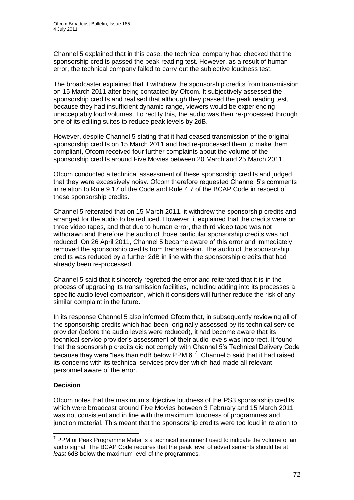Channel 5 explained that in this case, the technical company had checked that the sponsorship credits passed the peak reading test. However, as a result of human error, the technical company failed to carry out the subjective loudness test.

The broadcaster explained that it withdrew the sponsorship credits from transmission on 15 March 2011 after being contacted by Ofcom. It subjectively assessed the sponsorship credits and realised that although they passed the peak reading test, because they had insufficient dynamic range, viewers would be experiencing unacceptably loud volumes. To rectify this, the audio was then re-processed through one of its editing suites to reduce peak levels by 2dB.

However, despite Channel 5 stating that it had ceased transmission of the original sponsorship credits on 15 March 2011 and had re-processed them to make them compliant, Ofcom received four further complaints about the volume of the sponsorship credits around Five Movies between 20 March and 25 March 2011.

Ofcom conducted a technical assessment of these sponsorship credits and judged that they were excessively noisy. Ofcom therefore requested Channel 5"s comments in relation to Rule 9.17 of the Code and Rule 4.7 of the BCAP Code in respect of these sponsorship credits.

Channel 5 reiterated that on 15 March 2011, it withdrew the sponsorship credits and arranged for the audio to be reduced. However, it explained that the credits were on three video tapes, and that due to human error, the third video tape was not withdrawn and therefore the audio of those particular sponsorship credits was not reduced. On 26 April 2011, Channel 5 became aware of this error and immediately removed the sponsorship credits from transmission. The audio of the sponsorship credits was reduced by a further 2dB in line with the sponsorship credits that had already been re-processed.

Channel 5 said that it sincerely regretted the error and reiterated that it is in the process of upgrading its transmission facilities, including adding into its processes a specific audio level comparison, which it considers will further reduce the risk of any similar complaint in the future.

In its response Channel 5 also informed Ofcom that, in subsequently reviewing all of the sponsorship credits which had been originally assessed by its technical service provider (before the audio levels were reduced), it had become aware that its technical service provider"s assessment of their audio levels was incorrect. It found that the sponsorship credits did not comply with Channel 5"s Technical Delivery Code because they were "less than 6dB below PPM 6"<sup>7</sup>. Channel 5 said that it had raised its concerns with its technical services provider which had made all relevant personnel aware of the error.

## **Decision**

Ofcom notes that the maximum subjective loudness of the PS3 sponsorship credits which were broadcast around Five Movies between 3 February and 15 March 2011 was not consistent and in line with the maximum loudness of programmes and junction material. This meant that the sponsorship credits were too loud in relation to

<sup>1</sup>  $7$  PPM or Peak Programme Meter is a technical instrument used to indicate the volume of an audio signal. The BCAP Code requires that the peak level of advertisements should be at *least* 6dB below the maximum level of the programmes.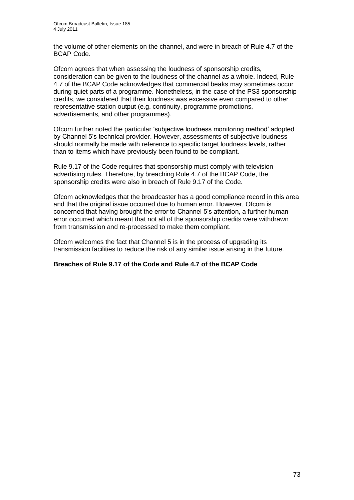the volume of other elements on the channel, and were in breach of Rule 4.7 of the BCAP Code.

Ofcom agrees that when assessing the loudness of sponsorship credits, consideration can be given to the loudness of the channel as a whole. Indeed, Rule 4.7 of the BCAP Code acknowledges that commercial beaks may sometimes occur during quiet parts of a programme. Nonetheless, in the case of the PS3 sponsorship credits, we considered that their loudness was excessive even compared to other representative station output (e.g. continuity, programme promotions, advertisements, and other programmes).

Ofcom further noted the particular "subjective loudness monitoring method" adopted by Channel 5"s technical provider. However, assessments of subjective loudness should normally be made with reference to specific target loudness levels, rather than to items which have previously been found to be compliant.

Rule 9.17 of the Code requires that sponsorship must comply with television advertising rules. Therefore, by breaching Rule 4.7 of the BCAP Code, the sponsorship credits were also in breach of Rule 9.17 of the Code.

Ofcom acknowledges that the broadcaster has a good compliance record in this area and that the original issue occurred due to human error. However, Ofcom is concerned that having brought the error to Channel 5"s attention, a further human error occurred which meant that not all of the sponsorship credits were withdrawn from transmission and re-processed to make them compliant.

Ofcom welcomes the fact that Channel 5 is in the process of upgrading its transmission facilities to reduce the risk of any similar issue arising in the future.

#### **Breaches of Rule 9.17 of the Code and Rule 4.7 of the BCAP Code**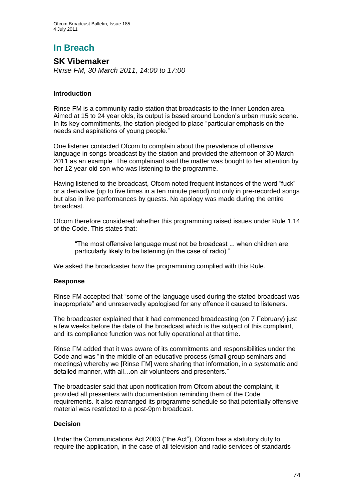# **In Breach**

### **SK Vibemaker**

*Rinse FM, 30 March 2011, 14:00 to 17:00*

#### **Introduction**

Rinse FM is a community radio station that broadcasts to the Inner London area. Aimed at 15 to 24 year olds, its output is based around London"s urban music scene. In its key commitments, the station pledged to place "particular emphasis on the needs and aspirations of young people."

One listener contacted Ofcom to complain about the prevalence of offensive language in songs broadcast by the station and provided the afternoon of 30 March 2011 as an example. The complainant said the matter was bought to her attention by her 12 year-old son who was listening to the programme.

Having listened to the broadcast, Ofcom noted frequent instances of the word "fuck" or a derivative (up to five times in a ten minute period) not only in pre-recorded songs but also in live performances by guests. No apology was made during the entire broadcast.

Ofcom therefore considered whether this programming raised issues under Rule 1.14 of the Code. This states that:

"The most offensive language must not be broadcast ... when children are particularly likely to be listening (in the case of radio)."

We asked the broadcaster how the programming complied with this Rule.

#### **Response**

Rinse FM accepted that "some of the language used during the stated broadcast was inappropriate" and unreservedly apologised for any offence it caused to listeners.

The broadcaster explained that it had commenced broadcasting (on 7 February) just a few weeks before the date of the broadcast which is the subject of this complaint, and its compliance function was not fully operational at that time.

Rinse FM added that it was aware of its commitments and responsibilities under the Code and was "in the middle of an educative process (small group seminars and meetings) whereby we [Rinse FM] were sharing that information, in a systematic and detailed manner, with all…on-air volunteers and presenters."

The broadcaster said that upon notification from Ofcom about the complaint, it provided all presenters with documentation reminding them of the Code requirements. It also rearranged its programme schedule so that potentially offensive material was restricted to a post-9pm broadcast.

#### **Decision**

Under the Communications Act 2003 ("the Act"), Ofcom has a statutory duty to require the application, in the case of all television and radio services of standards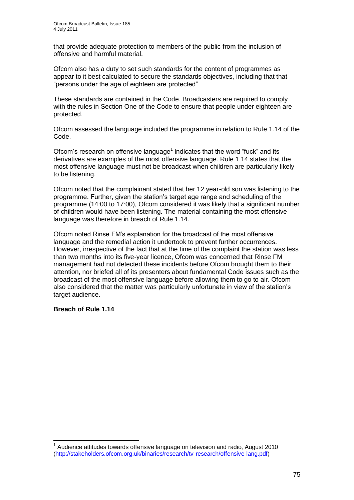that provide adequate protection to members of the public from the inclusion of offensive and harmful material.

Ofcom also has a duty to set such standards for the content of programmes as appear to it best calculated to secure the standards objectives, including that that "persons under the age of eighteen are protected".

These standards are contained in the Code. Broadcasters are required to comply with the rules in Section One of the Code to ensure that people under eighteen are protected.

Ofcom assessed the language included the programme in relation to Rule 1.14 of the Code.

Ofcom's research on offensive language<sup>1</sup> indicates that the word "fuck" and its derivatives are examples of the most offensive language. Rule 1.14 states that the most offensive language must not be broadcast when children are particularly likely to be listening.

Ofcom noted that the complainant stated that her 12 year-old son was listening to the programme. Further, given the station"s target age range and scheduling of the programme (14:00 to 17:00), Ofcom considered it was likely that a significant number of children would have been listening. The material containing the most offensive language was therefore in breach of Rule 1.14.

Ofcom noted Rinse FM"s explanation for the broadcast of the most offensive language and the remedial action it undertook to prevent further occurrences. However, irrespective of the fact that at the time of the complaint the station was less than two months into its five-year licence, Ofcom was concerned that Rinse FM management had not detected these incidents before Ofcom brought them to their attention, nor briefed all of its presenters about fundamental Code issues such as the broadcast of the most offensive language before allowing them to go to air. Ofcom also considered that the matter was particularly unfortunate in view of the station"s target audience.

#### **Breach of Rule 1.14**

1

 $<sup>1</sup>$  Audience attitudes towards offensive language on television and radio, August 2010</sup> [\(http://stakeholders.ofcom.org.uk/binaries/research/tv-research/offensive-lang.pdf\)](http://stakeholders.ofcom.org.uk/binaries/research/tv-research/offensive-lang.pdf)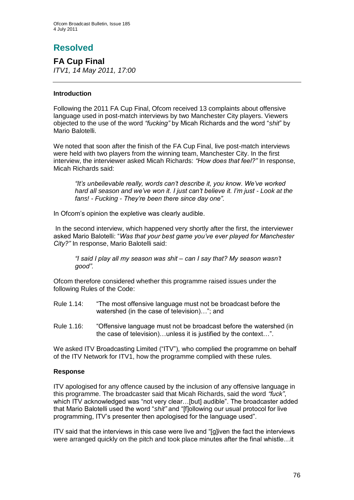# **Resolved**

**FA Cup Final** *ITV1, 14 May 2011, 17:00*

#### **Introduction**

Following the 2011 FA Cup Final, Ofcom received 13 complaints about offensive language used in post-match interviews by two Manchester City players. Viewers objected to the use of the word *"fucking"* by Micah Richards and the word "*shit*" by Mario Balotelli.

We noted that soon after the finish of the FA Cup Final, live post-match interviews were held with two players from the winning team, Manchester City. In the first interview, the interviewer asked Micah Richards: *"How does that feel?"* In response, Micah Richards said:

*"It"s unbelievable really, words can"t describe it, you know. We"ve worked hard all season and we"ve won it. I just can"t believe it. I"m just - Look at the fans! - Fucking - They"re been there since day one".* 

In Ofcom's opinion the expletive was clearly audible.

In the second interview, which happened very shortly after the first, the interviewer asked Mario Balotelli: "*Was that your best game you"ve ever played for Manchester City?"* In response, Mario Balotelli said:

*"I said I play all my season was shit – can I say that? My season wasn"t good".*

Ofcom therefore considered whether this programme raised issues under the following Rules of the Code:

- Rule 1.14: "The most offensive language must not be broadcast before the watershed (in the case of television)…"; and
- Rule 1.16: "Offensive language must not be broadcast before the watershed (in the case of television)…unless it is justified by the context…".

We asked ITV Broadcasting Limited ("ITV"), who complied the programme on behalf of the ITV Network for ITV1, how the programme complied with these rules.

#### **Response**

ITV apologised for any offence caused by the inclusion of any offensive language in this programme. The broadcaster said that Micah Richards, said the word *"fuck"*, which ITV acknowledged was "not very clear…[but] audible". The broadcaster added that Mario Balotelli used the word "*shit"* and "[f]ollowing our usual protocol for live programming, ITV"s presenter then apologised for the language used".

ITV said that the interviews in this case were live and "[g]iven the fact the interviews were arranged quickly on the pitch and took place minutes after the final whistle…it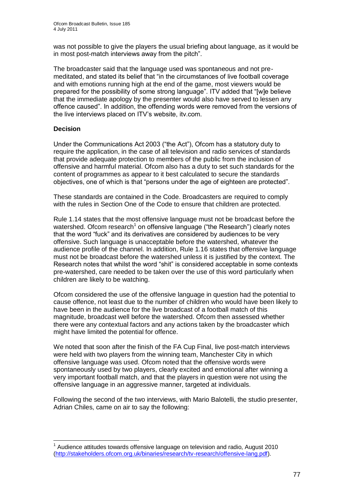was not possible to give the players the usual briefing about language, as it would be in most post-match interviews away from the pitch".

The broadcaster said that the language used was spontaneous and not premeditated, and stated its belief that "in the circumstances of live football coverage and with emotions running high at the end of the game, most viewers would be prepared for the possibility of some strong language". ITV added that "[w]e believe that the immediate apology by the presenter would also have served to lessen any offence caused". In addition, the offending words were removed from the versions of the live interviews placed on ITV"s website, itv.com.

#### **Decision**

Under the Communications Act 2003 ("the Act"), Ofcom has a statutory duty to require the application, in the case of all television and radio services of standards that provide adequate protection to members of the public from the inclusion of offensive and harmful material. Ofcom also has a duty to set such standards for the content of programmes as appear to it best calculated to secure the standards objectives, one of which is that "persons under the age of eighteen are protected".

These standards are contained in the Code. Broadcasters are required to comply with the rules in Section One of the Code to ensure that children are protected.

Rule 1.14 states that the most offensive language must not be broadcast before the watershed. Ofcom research<sup>1</sup> on offensive language ("the Research") clearly notes that the word "fuck" and its derivatives are considered by audiences to be very offensive. Such language is unacceptable before the watershed, whatever the audience profile of the channel. In addition, Rule 1.16 states that offensive language must not be broadcast before the watershed unless it is justified by the context. The Research notes that whilst the word "shit" is considered acceptable in some contexts pre-watershed, care needed to be taken over the use of this word particularly when children are likely to be watching.

Ofcom considered the use of the offensive language in question had the potential to cause offence, not least due to the number of children who would have been likely to have been in the audience for the live broadcast of a football match of this magnitude, broadcast well before the watershed. Ofcom then assessed whether there were any contextual factors and any actions taken by the broadcaster which might have limited the potential for offence.

We noted that soon after the finish of the FA Cup Final, live post-match interviews were held with two players from the winning team, Manchester City in which offensive language was used. Ofcom noted that the offensive words were spontaneously used by two players, clearly excited and emotional after winning a very important football match, and that the players in question were not using the offensive language in an aggressive manner, targeted at individuals.

Following the second of the two interviews, with Mario Balotelli, the studio presenter, Adrian Chiles, came on air to say the following:

<sup>1</sup>  $<sup>1</sup>$  Audience attitudes towards offensive language on television and radio, August 2010</sup> [\(http://stakeholders.ofcom.org.uk/binaries/research/tv-research/offensive-lang.pdf\)](http://stakeholders.ofcom.org.uk/binaries/research/tv-research/offensive-lang.pdf).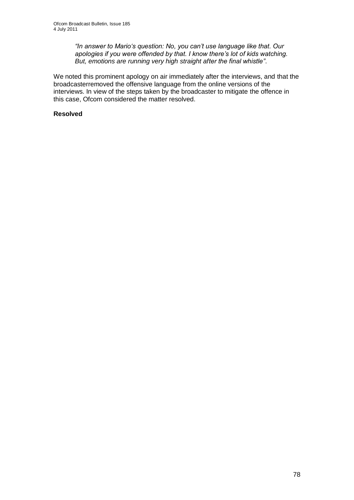*"In answer to Mario"s question: No, you can"t use language like that. Our apologies if you were offended by that. I know there"s lot of kids watching. But, emotions are running very high straight after the final whistle"*.

We noted this prominent apology on air immediately after the interviews, and that the broadcasterremoved the offensive language from the online versions of the interviews. In view of the steps taken by the broadcaster to mitigate the offence in this case, Ofcom considered the matter resolved.

#### **Resolved**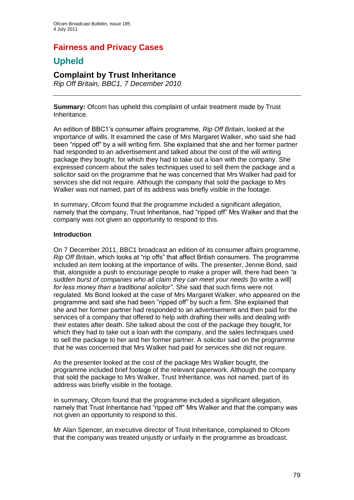## **Fairness and Privacy Cases**

## **Upheld**

### **Complaint by Trust Inheritance**

*Rip Off Britain, BBC1, 7 December 2010*

**Summary:** Ofcom has upheld this complaint of unfair treatment made by Trust Inheritance.

An edition of BBC1"s consumer affairs programme, *Rip Off Britain*, looked at the importance of wills. It examined the case of Mrs Margaret Walker, who said she had been "ripped off" by a will writing firm. She explained that she and her former partner had responded to an advertisement and talked about the cost of the will writing package they bought, for which they had to take out a loan with the company. She expressed concern about the sales techniques used to sell them the package and a solicitor said on the programme that he was concerned that Mrs Walker had paid for services she did not require. Although the company that sold the package to Mrs Walker was not named, part of its address was briefly visible in the footage.

In summary, Ofcom found that the programme included a significant allegation, namely that the company, Trust Inheritance, had "ripped off" Mrs Walker and that the company was not given an opportunity to respond to this.

#### **Introduction**

On 7 December 2011, BBC1 broadcast an edition of its consumer affairs programme, *Rip Off Britain*, which looks at "rip offs" that affect British consumers. The programme included an item looking at the importance of wills. The presenter, Jennie Bond, said that, alongside a push to encourage people to make a proper will, there had been *"a sudden burst of companies who all claim they can meet your needs* [to write a will] *for less money than a traditional solicitor"*. She said that such firms were not regulated. Ms Bond looked at the case of Mrs Margaret Walker, who appeared on the programme and said she had been "ripped off" by such a firm. She explained that she and her former partner had responded to an advertisement and then paid for the services of a company that offered to help with drafting their wills and dealing with their estates after death. She talked about the cost of the package they bought, for which they had to take out a loan with the company, and the sales techniques used to sell the package to her and her former partner. A solicitor said on the programme that he was concerned that Mrs Walker had paid for services she did not require.

As the presenter looked at the cost of the package Mrs Walker bought, the programme included brief footage of the relevant paperwork. Although the company that sold the package to Mrs Walker, Trust Inheritance, was not named, part of its address was briefly visible in the footage.

In summary, Ofcom found that the programme included a significant allegation, namely that Trust Inheritance had "ripped off" Mrs Walker and that the company was not given an opportunity to respond to this.

Mr Alan Spencer, an executive director of Trust Inheritance, complained to Ofcom that the company was treated unjustly or unfairly in the programme as broadcast.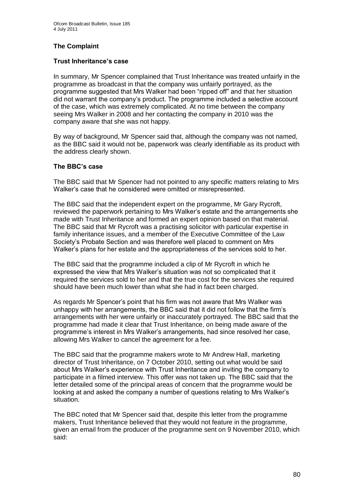#### **The Complaint**

#### **Trust Inheritance's case**

In summary, Mr Spencer complained that Trust Inheritance was treated unfairly in the programme as broadcast in that the company was unfairly portrayed, as the programme suggested that Mrs Walker had been "ripped off" and that her situation did not warrant the company"s product. The programme included a selective account of the case, which was extremely complicated. At no time between the company seeing Mrs Walker in 2008 and her contacting the company in 2010 was the company aware that she was not happy.

By way of background, Mr Spencer said that, although the company was not named, as the BBC said it would not be, paperwork was clearly identifiable as its product with the address clearly shown.

#### **The BBC's case**

The BBC said that Mr Spencer had not pointed to any specific matters relating to Mrs Walker"s case that he considered were omitted or misrepresented.

The BBC said that the independent expert on the programme, Mr Gary Rycroft, reviewed the paperwork pertaining to Mrs Walker"s estate and the arrangements she made with Trust Inheritance and formed an expert opinion based on that material. The BBC said that Mr Rycroft was a practising solicitor with particular expertise in family inheritance issues, and a member of the Executive Committee of the Law Society"s Probate Section and was therefore well placed to comment on Mrs Walker"s plans for her estate and the appropriateness of the services sold to her.

The BBC said that the programme included a clip of Mr Rycroft in which he expressed the view that Mrs Walker"s situation was not so complicated that it required the services sold to her and that the true cost for the services she required should have been much lower than what she had in fact been charged.

As regards Mr Spencer"s point that his firm was not aware that Mrs Walker was unhappy with her arrangements, the BBC said that it did not follow that the firm"s arrangements with her were unfairly or inaccurately portrayed. The BBC said that the programme had made it clear that Trust Inheritance, on being made aware of the programme"s interest in Mrs Walker"s arrangements, had since resolved her case, allowing Mrs Walker to cancel the agreement for a fee.

The BBC said that the programme makers wrote to Mr Andrew Hall, marketing director of Trust Inheritance, on 7 October 2010, setting out what would be said about Mrs Walker"s experience with Trust Inheritance and inviting the company to participate in a filmed interview. This offer was not taken up. The BBC said that the letter detailed some of the principal areas of concern that the programme would be looking at and asked the company a number of questions relating to Mrs Walker"s situation.

The BBC noted that Mr Spencer said that, despite this letter from the programme makers, Trust Inheritance believed that they would not feature in the programme, given an email from the producer of the programme sent on 9 November 2010, which said: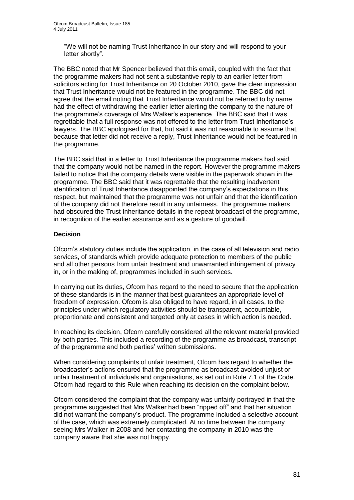"We will not be naming Trust Inheritance in our story and will respond to your letter shortly".

The BBC noted that Mr Spencer believed that this email, coupled with the fact that the programme makers had not sent a substantive reply to an earlier letter from solicitors acting for Trust Inheritance on 20 October 2010, gave the clear impression that Trust Inheritance would not be featured in the programme. The BBC did not agree that the email noting that Trust Inheritance would not be referred to by name had the effect of withdrawing the earlier letter alerting the company to the nature of the programme's coverage of Mrs Walker's experience. The BBC said that it was regrettable that a full response was not offered to the letter from Trust Inheritance"s lawyers. The BBC apologised for that, but said it was not reasonable to assume that, because that letter did not receive a reply, Trust Inheritance would not be featured in the programme.

The BBC said that in a letter to Trust Inheritance the programme makers had said that the company would not be named in the report. However the programme makers failed to notice that the company details were visible in the paperwork shown in the programme. The BBC said that it was regrettable that the resulting inadvertent identification of Trust Inheritance disappointed the company"s expectations in this respect, but maintained that the programme was not unfair and that the identification of the company did not therefore result in any unfairness. The programme makers had obscured the Trust Inheritance details in the repeat broadcast of the programme, in recognition of the earlier assurance and as a gesture of goodwill.

#### **Decision**

Ofcom"s statutory duties include the application, in the case of all television and radio services, of standards which provide adequate protection to members of the public and all other persons from unfair treatment and unwarranted infringement of privacy in, or in the making of, programmes included in such services.

In carrying out its duties, Ofcom has regard to the need to secure that the application of these standards is in the manner that best guarantees an appropriate level of freedom of expression. Ofcom is also obliged to have regard, in all cases, to the principles under which regulatory activities should be transparent, accountable, proportionate and consistent and targeted only at cases in which action is needed.

In reaching its decision, Ofcom carefully considered all the relevant material provided by both parties. This included a recording of the programme as broadcast, transcript of the programme and both parties' written submissions.

When considering complaints of unfair treatment, Ofcom has regard to whether the broadcaster"s actions ensured that the programme as broadcast avoided unjust or unfair treatment of individuals and organisations, as set out in Rule 7.1 of the Code. Ofcom had regard to this Rule when reaching its decision on the complaint below.

Ofcom considered the complaint that the company was unfairly portrayed in that the programme suggested that Mrs Walker had been "ripped off" and that her situation did not warrant the company"s product. The programme included a selective account of the case, which was extremely complicated. At no time between the company seeing Mrs Walker in 2008 and her contacting the company in 2010 was the company aware that she was not happy.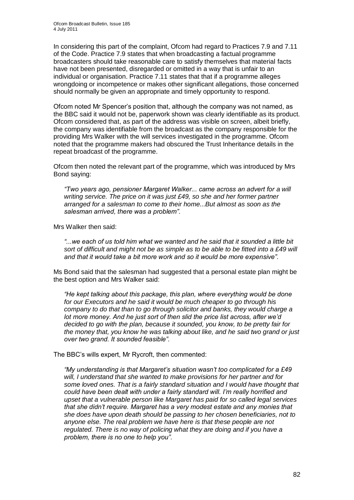In considering this part of the complaint, Ofcom had regard to Practices 7.9 and 7.11 of the Code. Practice 7.9 states that when broadcasting a factual programme broadcasters should take reasonable care to satisfy themselves that material facts have not been presented, disregarded or omitted in a way that is unfair to an individual or organisation. Practice 7.11 states that that if a programme alleges wrongdoing or incompetence or makes other significant allegations, those concerned should normally be given an appropriate and timely opportunity to respond.

Ofcom noted Mr Spencer"s position that, although the company was not named, as the BBC said it would not be, paperwork shown was clearly identifiable as its product. Ofcom considered that, as part of the address was visible on screen, albeit briefly, the company was identifiable from the broadcast as the company responsible for the providing Mrs Walker with the will services investigated in the programme. Ofcom noted that the programme makers had obscured the Trust Inheritance details in the repeat broadcast of the programme.

Ofcom then noted the relevant part of the programme, which was introduced by Mrs Bond saying:

*"Two years ago, pensioner Margaret Walker... came across an advert for a will writing service. The price on it was just £49, so she and her former partner arranged for a salesman to come to their home...But almost as soon as the salesman arrived, there was a problem".*

Mrs Walker then said:

*"...we each of us told him what we wanted and he said that it sounded a little bit sort of difficult and might not be as simple as to be able to be fitted into a £49 will and that it would take a bit more work and so it would be more expensive".*

Ms Bond said that the salesman had suggested that a personal estate plan might be the best option and Mrs Walker said:

*"He kept talking about this package, this plan, where everything would be done for our Executors and he said it would be much cheaper to go through his company to do that than to go through solicitor and banks, they would charge a lot more money. And he just sort of then slid the price list across, after we"d decided to go with the plan, because it sounded, you know, to be pretty fair for the money that, you know he was talking about like, and he said two grand or just over two grand. It sounded feasible".*

The BBC"s wills expert, Mr Rycroft, then commented:

*"My understanding is that Margaret"s situation wasn"t too complicated for a £49 will, I understand that she wanted to make provisions for her partner and for some loved ones. That is a fairly standard situation and I would have thought that could have been dealt with under a fairly standard will. I"m really horrified and upset that a vulnerable person like Margaret has paid for so called legal services that she didn"t require. Margaret has a very modest estate and any monies that she does have upon death should be passing to her chosen beneficiaries, not to anyone else. The real problem we have here is that these people are not regulated. There is no way of policing what they are doing and if you have a problem, there is no one to help you".*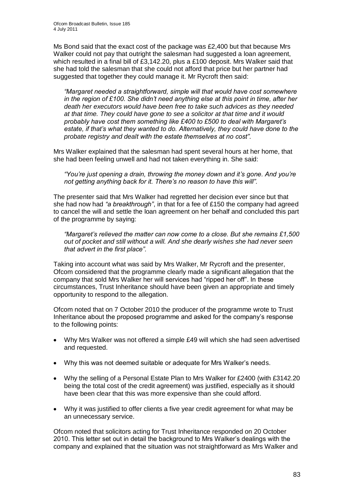Ms Bond said that the exact cost of the package was £2,400 but that because Mrs Walker could not pay that outright the salesman had suggested a loan agreement, which resulted in a final bill of £3,142.20, plus a £100 deposit. Mrs Walker said that she had told the salesman that she could not afford that price but her partner had suggested that together they could manage it. Mr Rycroft then said:

*"Margaret needed a straightforward, simple will that would have cost somewhere in the region of £100. She didn"t need anything else at this point in time, after her death her executors would have been free to take such advices as they needed at that time. They could have gone to see a solicitor at that time and it would probably have cost them something like £400 to £500 to deal with Margaret"s estate, if that"s what they wanted to do. Alternatively, they could have done to the probate registry and dealt with the estate themselves at no cost".*

Mrs Walker explained that the salesman had spent several hours at her home, that she had been feeling unwell and had not taken everything in. She said:

*"You"re just opening a drain, throwing the money down and it"s gone. And you"re not getting anything back for it. There"s no reason to have this will".*

The presenter said that Mrs Walker had regretted her decision ever since but that she had now had *"a breakthrough"*, in that for a fee of £150 the company had agreed to cancel the will and settle the loan agreement on her behalf and concluded this part of the programme by saying:

*"Margaret"s relieved the matter can now come to a close. But she remains £1,500 out of pocket and still without a will. And she dearly wishes she had never seen that advert in the first place".*

Taking into account what was said by Mrs Walker, Mr Rycroft and the presenter, Ofcom considered that the programme clearly made a significant allegation that the company that sold Mrs Walker her will services had "ripped her off". In these circumstances, Trust Inheritance should have been given an appropriate and timely opportunity to respond to the allegation.

Ofcom noted that on 7 October 2010 the producer of the programme wrote to Trust Inheritance about the proposed programme and asked for the company"s response to the following points:

- Why Mrs Walker was not offered a simple £49 will which she had seen advertised and requested.
- Why this was not deemed suitable or adequate for Mrs Walker's needs.  $\bullet$
- Why the selling of a Personal Estate Plan to Mrs Walker for £2400 (with £3142.20 being the total cost of the credit agreement) was justified, especially as it should have been clear that this was more expensive than she could afford.
- Why it was justified to offer clients a five year credit agreement for what may be an unnecessary service.

Ofcom noted that solicitors acting for Trust Inheritance responded on 20 October 2010. This letter set out in detail the background to Mrs Walker"s dealings with the company and explained that the situation was not straightforward as Mrs Walker and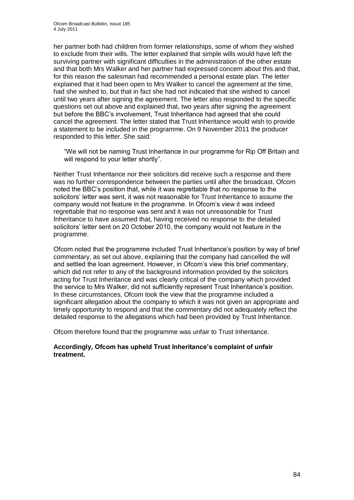her partner both had children from former relationships, some of whom they wished to exclude from their wills. The letter explained that simple wills would have left the surviving partner with significant difficulties in the administration of the other estate and that both Mrs Walker and her partner had expressed concern about this and that, for this reason the salesman had recommended a personal estate plan. The letter explained that it had been open to Mrs Walker to cancel the agreement at the time, had she wished to, but that in fact she had not indicated that she wished to cancel until two years after signing the agreement. The letter also responded to the specific questions set out above and explained that, two years after signing the agreement but before the BBC"s involvement, Trust Inheritance had agreed that she could cancel the agreement. The letter stated that Trust Inheritance would wish to provide a statement to be included in the programme. On 9 November 2011 the producer responded to this letter. She said:

"We will not be naming Trust Inheritance in our programme for Rip Off Britain and will respond to your letter shortly".

Neither Trust Inheritance nor their solicitors did receive such a response and there was no further correspondence between the parties until after the broadcast. Ofcom noted the BBC"s position that, while it was regrettable that no response to the solicitors" letter was sent, it was not reasonable for Trust Inheritance to assume the company would not feature in the programme. In Ofcom"s view it was indeed regrettable that no response was sent and it was not unreasonable for Trust Inheritance to have assumed that, having received no response to the detailed solicitors" letter sent on 20 October 2010, the company would not feature in the programme.

Ofcom noted that the programme included Trust Inheritance"s position by way of brief commentary, as set out above, explaining that the company had cancelled the will and settled the loan agreement. However, in Ofcom"s view this brief commentary, which did not refer to any of the background information provided by the solicitors acting for Trust Inheritance and was clearly critical of the company which provided the service to Mrs Walker, did not sufficiently represent Trust Inheritance"s position. In these circumstances, Ofcom took the view that the programme included a significant allegation about the company to which it was not given an appropriate and timely opportunity to respond and that the commentary did not adequately reflect the detailed response to the allegations which had been provided by Trust Inheritance.

Ofcom therefore found that the programme was unfair to Trust Inheritance.

#### **Accordingly, Ofcom has upheld Trust Inheritance's complaint of unfair treatment.**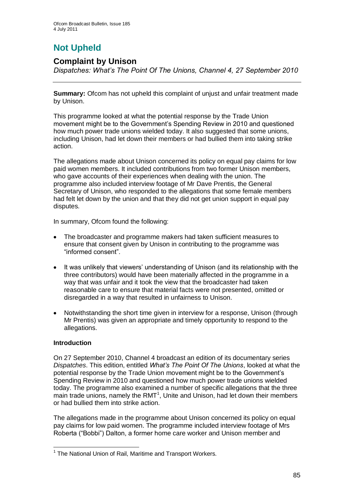# **Not Upheld**

### **Complaint by Unison**

*Dispatches: What"s The Point Of The Unions, Channel 4, 27 September 2010*

**Summary:** Ofcom has not upheld this complaint of unjust and unfair treatment made by Unison.

This programme looked at what the potential response by the Trade Union movement might be to the Government"s Spending Review in 2010 and questioned how much power trade unions wielded today. It also suggested that some unions, including Unison, had let down their members or had bullied them into taking strike action.

The allegations made about Unison concerned its policy on equal pay claims for low paid women members. It included contributions from two former Unison members, who gave accounts of their experiences when dealing with the union. The programme also included interview footage of Mr Dave Prentis, the General Secretary of Unison, who responded to the allegations that some female members had felt let down by the union and that they did not get union support in equal pay disputes.

In summary, Ofcom found the following:

- The broadcaster and programme makers had taken sufficient measures to  $\bullet$ ensure that consent given by Unison in contributing to the programme was "informed consent".
- It was unlikely that viewers" understanding of Unison (and its relationship with the  $\bullet$ three contributors) would have been materially affected in the programme in a way that was unfair and it took the view that the broadcaster had taken reasonable care to ensure that material facts were not presented, omitted or disregarded in a way that resulted in unfairness to Unison.
- Notwithstanding the short time given in interview for a response, Unison (through  $\bullet$ Mr Prentis) was given an appropriate and timely opportunity to respond to the allegations.

#### **Introduction**

On 27 September 2010, Channel 4 broadcast an edition of its documentary series *Dispatches*. This edition, entitled *What"s The Point Of The Unions*, looked at what the potential response by the Trade Union movement might be to the Government"s Spending Review in 2010 and questioned how much power trade unions wielded today. The programme also examined a number of specific allegations that the three main trade unions, namely the  $RMT<sup>1</sup>$ , Unite and Unison, had let down their members or had bullied them into strike action.

The allegations made in the programme about Unison concerned its policy on equal pay claims for low paid women. The programme included interview footage of Mrs Roberta ("Bobbi") Dalton, a former home care worker and Unison member and

<sup>1</sup> <sup>1</sup> The National Union of Rail, Maritime and Transport Workers.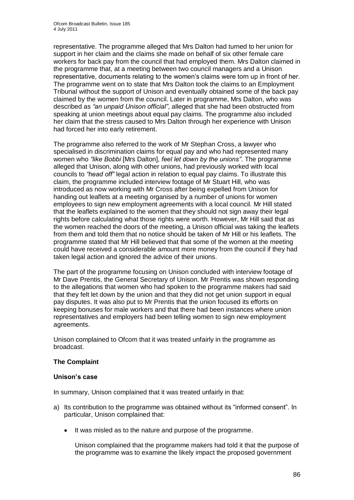representative. The programme alleged that Mrs Dalton had turned to her union for support in her claim and the claims she made on behalf of six other female care workers for back pay from the council that had employed them. Mrs Dalton claimed in the programme that, at a meeting between two council managers and a Unison representative, documents relating to the women"s claims were torn up in front of her. The programme went on to state that Mrs Dalton took the claims to an Employment Tribunal without the support of Unison and eventually obtained some of the back pay claimed by the women from the council. Later in programme, Mrs Dalton, who was described as *"an unpaid Unison official"*, alleged that she had been obstructed from speaking at union meetings about equal pay claims. The programme also included her claim that the stress caused to Mrs Dalton through her experience with Unison had forced her into early retirement.

The programme also referred to the work of Mr Stephan Cross, a lawyer who specialised in discrimination claims for equal pay and who had represented many women who *"like Bobbi* [Mrs Dalton]*, feel let down by the unions"*. The programme alleged that Unison, along with other unions, had previously worked with local councils to *"head off"* legal action in relation to equal pay claims. To illustrate this claim, the programme included interview footage of Mr Stuart Hill, who was introduced as now working with Mr Cross after being expelled from Unison for handing out leaflets at a meeting organised by a number of unions for women employees to sign new employment agreements with a local council. Mr Hill stated that the leaflets explained to the women that they should not sign away their legal rights before calculating what those rights were worth. However, Mr Hill said that as the women reached the doors of the meeting, a Unison official was taking the leaflets from them and told them that no notice should be taken of Mr Hill or his leaflets. The programme stated that Mr Hill believed that that some of the women at the meeting could have received a considerable amount more money from the council if they had taken legal action and ignored the advice of their unions.

The part of the programme focusing on Unison concluded with interview footage of Mr Dave Prentis, the General Secretary of Unison. Mr Prentis was shown responding to the allegations that women who had spoken to the programme makers had said that they felt let down by the union and that they did not get union support in equal pay disputes. It was also put to Mr Prentis that the union focused its efforts on keeping bonuses for male workers and that there had been instances where union representatives and employers had been telling women to sign new employment agreements.

Unison complained to Ofcom that it was treated unfairly in the programme as broadcast.

#### **The Complaint**

#### **Unison's case**

In summary, Unison complained that it was treated unfairly in that:

- a) Its contribution to the programme was obtained without its "informed consent". In particular, Unison complained that:
	- It was misled as to the nature and purpose of the programme.  $\bullet$

Unison complained that the programme makers had told it that the purpose of the programme was to examine the likely impact the proposed government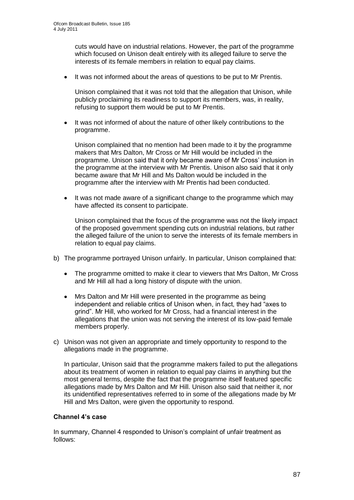cuts would have on industrial relations. However, the part of the programme which focused on Unison dealt entirely with its alleged failure to serve the interests of its female members in relation to equal pay claims.

It was not informed about the areas of questions to be put to Mr Prentis.  $\bullet$ 

Unison complained that it was not told that the allegation that Unison, while publicly proclaiming its readiness to support its members, was, in reality, refusing to support them would be put to Mr Prentis.

It was not informed of about the nature of other likely contributions to the  $\bullet$ programme.

Unison complained that no mention had been made to it by the programme makers that Mrs Dalton, Mr Cross or Mr Hill would be included in the programme. Unison said that it only became aware of Mr Cross" inclusion in the programme at the interview with Mr Prentis. Unison also said that it only became aware that Mr Hill and Ms Dalton would be included in the programme after the interview with Mr Prentis had been conducted.

It was not made aware of a significant change to the programme which may  $\bullet$ have affected its consent to participate.

Unison complained that the focus of the programme was not the likely impact of the proposed government spending cuts on industrial relations, but rather the alleged failure of the union to serve the interests of its female members in relation to equal pay claims.

- b) The programme portrayed Unison unfairly. In particular, Unison complained that:
	- The programme omitted to make it clear to viewers that Mrs Dalton, Mr Cross  $\bullet$ and Mr Hill all had a long history of dispute with the union.
	- $\bullet$ Mrs Dalton and Mr Hill were presented in the programme as being independent and reliable critics of Unison when, in fact, they had "axes to grind". Mr Hill, who worked for Mr Cross, had a financial interest in the allegations that the union was not serving the interest of its low-paid female members properly.
- c) Unison was not given an appropriate and timely opportunity to respond to the allegations made in the programme.

In particular, Unison said that the programme makers failed to put the allegations about its treatment of women in relation to equal pay claims in anything but the most general terms, despite the fact that the programme itself featured specific allegations made by Mrs Dalton and Mr Hill. Unison also said that neither it, nor its unidentified representatives referred to in some of the allegations made by Mr Hill and Mrs Dalton, were given the opportunity to respond.

#### **Channel 4's case**

In summary, Channel 4 responded to Unison's complaint of unfair treatment as follows: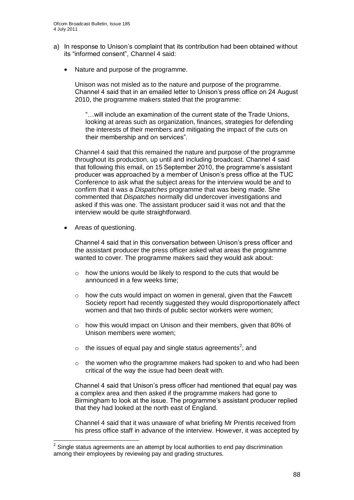- a) In response to Unison"s complaint that its contribution had been obtained without its "informed consent", Channel 4 said:
	- $\bullet$ Nature and purpose of the programme.

Unison was not misled as to the nature and purpose of the programme. Channel 4 said that in an emailed letter to Unison"s press office on 24 August 2010, the programme makers stated that the programme:

"…will include an examination of the current state of the Trade Unions, looking at areas such as organization, finances, strategies for defending the interests of their members and mitigating the impact of the cuts on their membership and on services".

Channel 4 said that this remained the nature and purpose of the programme throughout its production, up until and including broadcast. Channel 4 said that following this email, on 15 September 2010, the programme's assistant producer was approached by a member of Unison"s press office at the TUC Conference to ask what the subject areas for the interview would be and to confirm that it was a *Dispatches* programme that was being made. She commented that *Dispatches* normally did undercover investigations and asked if this was one. The assistant producer said it was not and that the interview would be quite straightforward.

Areas of questioning.  $\bullet$ 

1

Channel 4 said that in this conversation between Unison"s press officer and the assistant producer the press officer asked what areas the programme wanted to cover. The programme makers said they would ask about:

- o how the unions would be likely to respond to the cuts that would be announced in a few weeks time;
- o how the cuts would impact on women in general, given that the Fawcett Society report had recently suggested they would disproportionately affect women and that two thirds of public sector workers were women;
- o how this would impact on Unison and their members, given that 80% of Unison members were women;
- $\circ$  the issues of equal pay and single status agreements<sup>2</sup>; and
- $\circ$  the women who the programme makers had spoken to and who had been critical of the way the issue had been dealt with.

Channel 4 said that Unison"s press officer had mentioned that equal pay was a complex area and then asked if the programme makers had gone to Birmingham to look at the issue. The programme's assistant producer replied that they had looked at the north east of England.

Channel 4 said that it was unaware of what briefing Mr Prentis received from his press office staff in advance of the interview. However, it was accepted by

 $2$  Single status agreements are an attempt by local authorities to end pay discrimination among their employees by reviewing pay and grading structures.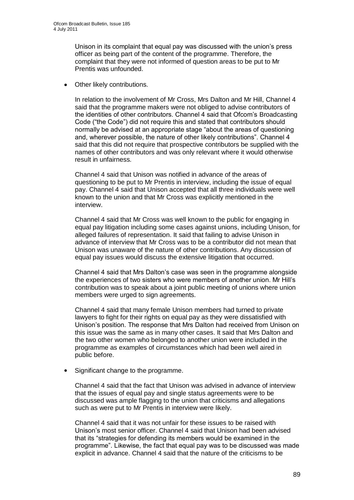Unison in its complaint that equal pay was discussed with the union"s press officer as being part of the content of the programme. Therefore, the complaint that they were not informed of question areas to be put to Mr Prentis was unfounded.

 $\bullet$ Other likely contributions.

> In relation to the involvement of Mr Cross, Mrs Dalton and Mr Hill, Channel 4 said that the programme makers were not obliged to advise contributors of the identities of other contributors. Channel 4 said that Ofcom"s Broadcasting Code ("the Code") did not require this and stated that contributors should normally be advised at an appropriate stage "about the areas of questioning and, wherever possible, the nature of other likely contributions". Channel 4 said that this did not require that prospective contributors be supplied with the names of other contributors and was only relevant where it would otherwise result in unfairness.

Channel 4 said that Unison was notified in advance of the areas of questioning to be put to Mr Prentis in interview, including the issue of equal pay. Channel 4 said that Unison accepted that all three individuals were well known to the union and that Mr Cross was explicitly mentioned in the interview.

Channel 4 said that Mr Cross was well known to the public for engaging in equal pay litigation including some cases against unions, including Unison, for alleged failures of representation. It said that failing to advise Unison in advance of interview that Mr Cross was to be a contributor did not mean that Unison was unaware of the nature of other contributions. Any discussion of equal pay issues would discuss the extensive litigation that occurred.

Channel 4 said that Mrs Dalton"s case was seen in the programme alongside the experiences of two sisters who were members of another union. Mr Hill"s contribution was to speak about a joint public meeting of unions where union members were urged to sign agreements.

Channel 4 said that many female Unison members had turned to private lawyers to fight for their rights on equal pay as they were dissatisfied with Unison"s position. The response that Mrs Dalton had received from Unison on this issue was the same as in many other cases. It said that Mrs Dalton and the two other women who belonged to another union were included in the programme as examples of circumstances which had been well aired in public before.

Significant change to the programme.  $\bullet$ 

Channel 4 said that the fact that Unison was advised in advance of interview that the issues of equal pay and single status agreements were to be discussed was ample flagging to the union that criticisms and allegations such as were put to Mr Prentis in interview were likely.

Channel 4 said that it was not unfair for these issues to be raised with Unison"s most senior officer. Channel 4 said that Unison had been advised that its "strategies for defending its members would be examined in the programme". Likewise, the fact that equal pay was to be discussed was made explicit in advance. Channel 4 said that the nature of the criticisms to be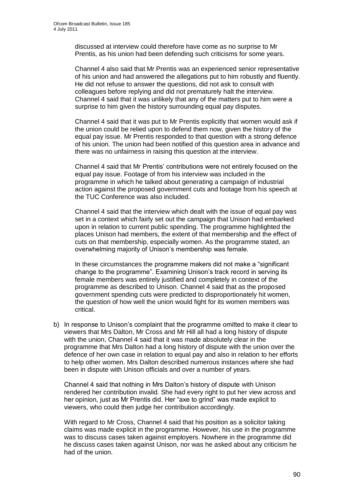discussed at interview could therefore have come as no surprise to Mr Prentis, as his union had been defending such criticisms for some years.

Channel 4 also said that Mr Prentis was an experienced senior representative of his union and had answered the allegations put to him robustly and fluently. He did not refuse to answer the questions, did not ask to consult with colleagues before replying and did not prematurely halt the interview. Channel 4 said that it was unlikely that any of the matters put to him were a surprise to him given the history surrounding equal pay disputes.

Channel 4 said that it was put to Mr Prentis explicitly that women would ask if the union could be relied upon to defend them now, given the history of the equal pay issue. Mr Prentis responded to that question with a strong defence of his union. The union had been notified of this question area in advance and there was no unfairness in raising this question at the interview.

Channel 4 said that Mr Prentis" contributions were not entirely focused on the equal pay issue. Footage of from his interview was included in the programme in which he talked about generating a campaign of industrial action against the proposed government cuts and footage from his speech at the TUC Conference was also included.

Channel 4 said that the interview which dealt with the issue of equal pay was set in a context which fairly set out the campaign that Unison had embarked upon in relation to current public spending. The programme highlighted the places Unison had members, the extent of that membership and the effect of cuts on that membership, especially women. As the programme stated, an overwhelming majority of Unison"s membership was female.

In these circumstances the programme makers did not make a "significant change to the programme". Examining Unison"s track record in serving its female members was entirely justified and completely in context of the programme as described to Unison. Channel 4 said that as the proposed government spending cuts were predicted to disproportionately hit women, the question of how well the union would fight for its women members was critical.

b) In response to Unison"s complaint that the programme omitted to make it clear to viewers that Mrs Dalton, Mr Cross and Mr Hill all had a long history of dispute with the union, Channel 4 said that it was made absolutely clear in the programme that Mrs Dalton had a long history of dispute with the union over the defence of her own case in relation to equal pay and also in relation to her efforts to help other women. Mrs Dalton described numerous instances where she had been in dispute with Unison officials and over a number of years.

Channel 4 said that nothing in Mrs Dalton"s history of dispute with Unison rendered her contribution invalid. She had every right to put her view across and her opinion, just as Mr Prentis did. Her "axe to grind" was made explicit to viewers, who could then judge her contribution accordingly.

With regard to Mr Cross, Channel 4 said that his position as a solicitor taking claims was made explicit in the programme. However, his use in the programme was to discuss cases taken against employers. Nowhere in the programme did he discuss cases taken against Unison, nor was he asked about any criticism he had of the union.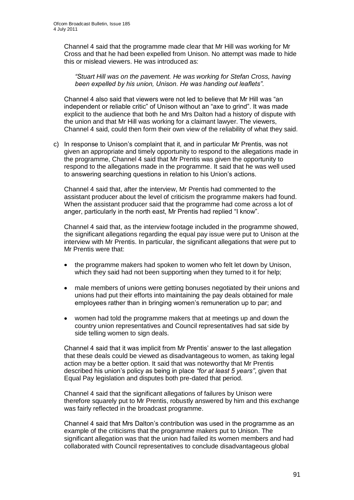Channel 4 said that the programme made clear that Mr Hill was working for Mr Cross and that he had been expelled from Unison. No attempt was made to hide this or mislead viewers. He was introduced as:

*"Stuart Hill was on the pavement. He was working for Stefan Cross, having been expelled by his union, Unison. He was handing out leaflets".*

Channel 4 also said that viewers were not led to believe that Mr Hill was "an independent or reliable critic" of Unison without an "axe to grind". It was made explicit to the audience that both he and Mrs Dalton had a history of dispute with the union and that Mr Hill was working for a claimant lawyer. The viewers, Channel 4 said, could then form their own view of the reliability of what they said.

c) In response to Unison"s complaint that it, and in particular Mr Prentis, was not given an appropriate and timely opportunity to respond to the allegations made in the programme, Channel 4 said that Mr Prentis was given the opportunity to respond to the allegations made in the programme. It said that he was well used to answering searching questions in relation to his Union"s actions.

Channel 4 said that, after the interview, Mr Prentis had commented to the assistant producer about the level of criticism the programme makers had found. When the assistant producer said that the programme had come across a lot of anger, particularly in the north east, Mr Prentis had replied "I know".

Channel 4 said that, as the interview footage included in the programme showed, the significant allegations regarding the equal pay issue were put to Unison at the interview with Mr Prentis. In particular, the significant allegations that were put to Mr Prentis were that:

- the programme makers had spoken to women who felt let down by Unison,  $\bullet$ which they said had not been supporting when they turned to it for help;
- male members of unions were getting bonuses negotiated by their unions and  $\bullet$ unions had put their efforts into maintaining the pay deals obtained for male employees rather than in bringing women's remuneration up to par; and
- women had told the programme makers that at meetings up and down the  $\bullet$ country union representatives and Council representatives had sat side by side telling women to sign deals.

Channel 4 said that it was implicit from Mr Prentis" answer to the last allegation that these deals could be viewed as disadvantageous to women, as taking legal action may be a better option. It said that was noteworthy that Mr Prentis described his union"s policy as being in place *"for at least 5 years"*, given that Equal Pay legislation and disputes both pre-dated that period.

Channel 4 said that the significant allegations of failures by Unison were therefore squarely put to Mr Prentis, robustly answered by him and this exchange was fairly reflected in the broadcast programme.

Channel 4 said that Mrs Dalton"s contribution was used in the programme as an example of the criticisms that the programme makers put to Unison. The significant allegation was that the union had failed its women members and had collaborated with Council representatives to conclude disadvantageous global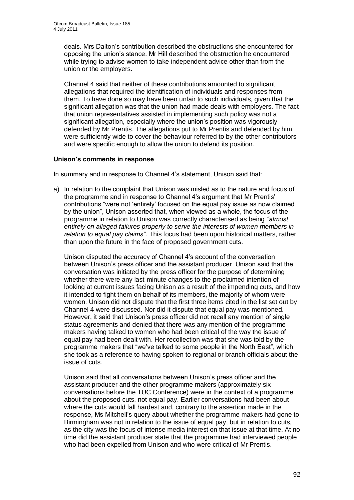deals. Mrs Dalton"s contribution described the obstructions she encountered for opposing the union"s stance. Mr Hill described the obstruction he encountered while trying to advise women to take independent advice other than from the union or the employers.

Channel 4 said that neither of these contributions amounted to significant allegations that required the identification of individuals and responses from them. To have done so may have been unfair to such individuals, given that the significant allegation was that the union had made deals with employers. The fact that union representatives assisted in implementing such policy was not a significant allegation, especially where the union"s position was vigorously defended by Mr Prentis. The allegations put to Mr Prentis and defended by him were sufficiently wide to cover the behaviour referred to by the other contributors and were specific enough to allow the union to defend its position.

#### **Unison's comments in response**

In summary and in response to Channel 4"s statement, Unison said that:

a) In relation to the complaint that Unison was misled as to the nature and focus of the programme and in response to Channel 4"s argument that Mr Prentis" contributions "were not "entirely" focused on the equal pay issue as now claimed by the union", Unison asserted that, when viewed as a whole, the focus of the programme in relation to Unison was correctly characterised as being *"almost entirely on alleged failures properly to serve the interests of women members in relation to equal pay claims"*. This focus had been upon historical matters, rather than upon the future in the face of proposed government cuts.

Unison disputed the accuracy of Channel 4"s account of the conversation between Unison"s press officer and the assistant producer. Unison said that the conversation was initiated by the press officer for the purpose of determining whether there were any last-minute changes to the proclaimed intention of looking at current issues facing Unison as a result of the impending cuts, and how it intended to fight them on behalf of its members, the majority of whom were women. Unison did not dispute that the first three items cited in the list set out by Channel 4 were discussed. Nor did it dispute that equal pay was mentioned. However, it said that Unison"s press officer did not recall any mention of single status agreements and denied that there was any mention of the programme makers having talked to women who had been critical of the way the issue of equal pay had been dealt with. Her recollection was that she was told by the programme makers that "we"ve talked to some people in the North East", which she took as a reference to having spoken to regional or branch officials about the issue of cuts.

Unison said that all conversations between Unison"s press officer and the assistant producer and the other programme makers (approximately six conversations before the TUC Conference) were in the context of a programme about the proposed cuts, not equal pay. Earlier conversations had been about where the cuts would fall hardest and, contrary to the assertion made in the response, Ms Mitchell"s query about whether the programme makers had gone to Birmingham was not in relation to the issue of equal pay, but in relation to cuts, as the city was the focus of intense media interest on that issue at that time. At no time did the assistant producer state that the programme had interviewed people who had been expelled from Unison and who were critical of Mr Prentis.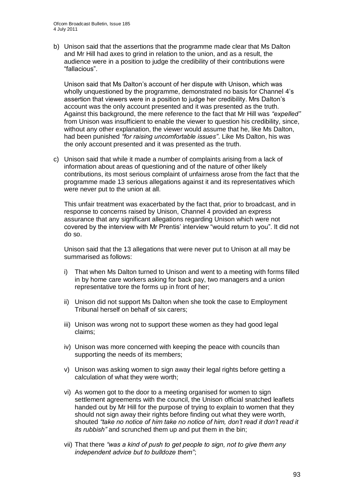b) Unison said that the assertions that the programme made clear that Ms Dalton and Mr Hill had axes to grind in relation to the union, and as a result, the audience were in a position to judge the credibility of their contributions were "fallacious".

Unison said that Ms Dalton"s account of her dispute with Unison, which was wholly unquestioned by the programme, demonstrated no basis for Channel 4"s assertion that viewers were in a position to judge her credibility. Mrs Dalton"s account was the only account presented and it was presented as the truth. Against this background, the mere reference to the fact that Mr Hill was *"expelled"* from Unison was insufficient to enable the viewer to question his credibility, since, without any other explanation, the viewer would assume that he, like Ms Dalton, had been punished *"for raising uncomfortable issues"*. Like Ms Dalton, his was the only account presented and it was presented as the truth.

c) Unison said that while it made a number of complaints arising from a lack of information about areas of questioning and of the nature of other likely contributions, its most serious complaint of unfairness arose from the fact that the programme made 13 serious allegations against it and its representatives which were never put to the union at all.

This unfair treatment was exacerbated by the fact that, prior to broadcast, and in response to concerns raised by Unison, Channel 4 provided an express assurance that any significant allegations regarding Unison which were not covered by the interview with Mr Prentis" interview "would return to you". It did not do so.

Unison said that the 13 allegations that were never put to Unison at all may be summarised as follows:

- i) That when Ms Dalton turned to Unison and went to a meeting with forms filled in by home care workers asking for back pay, two managers and a union representative tore the forms up in front of her;
- ii) Unison did not support Ms Dalton when she took the case to Employment Tribunal herself on behalf of six carers;
- iii) Unison was wrong not to support these women as they had good legal claims;
- iv) Unison was more concerned with keeping the peace with councils than supporting the needs of its members;
- v) Unison was asking women to sign away their legal rights before getting a calculation of what they were worth;
- vi) As women got to the door to a meeting organised for women to sign settlement agreements with the council, the Unison official snatched leaflets handed out by Mr Hill for the purpose of trying to explain to women that they should not sign away their rights before finding out what they were worth. shouted *"take no notice of him take no notice of him, don"t read it don"t read it its rubbish"* and scrunched them up and put them in the bin;
- vii) That there *"was a kind of push to get people to sign, not to give them any independent advice but to bulldoze them"*;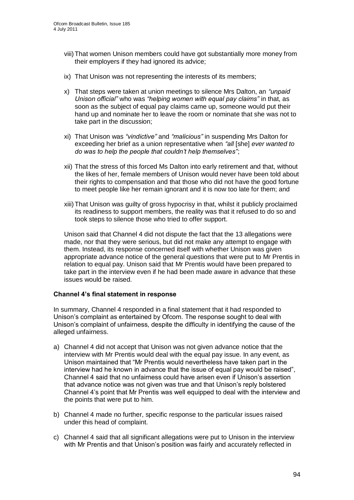- viii)That women Unison members could have got substantially more money from their employers if they had ignored its advice;
- ix) That Unison was not representing the interests of its members;
- x) That steps were taken at union meetings to silence Mrs Dalton, an *"unpaid Unison official"* who was *"helping women with equal pay claims"* in that, as soon as the subject of equal pay claims came up, someone would put their hand up and nominate her to leave the room or nominate that she was not to take part in the discussion;
- xi) That Unison was *"vindictive"* and *"malicious"* in suspending Mrs Dalton for exceeding her brief as a union representative when *"all* [she] *ever wanted to do was to help the people that couldn"t help themselves"*;
- xii) That the stress of this forced Ms Dalton into early retirement and that, without the likes of her, female members of Unison would never have been told about their rights to compensation and that those who did not have the good fortune to meet people like her remain ignorant and it is now too late for them; and
- xiii)That Unison was guilty of gross hypocrisy in that, whilst it publicly proclaimed its readiness to support members, the reality was that it refused to do so and took steps to silence those who tried to offer support.

Unison said that Channel 4 did not dispute the fact that the 13 allegations were made, nor that they were serious, but did not make any attempt to engage with them. Instead, its response concerned itself with whether Unison was given appropriate advance notice of the general questions that were put to Mr Prentis in relation to equal pay. Unison said that Mr Prentis would have been prepared to take part in the interview even if he had been made aware in advance that these issues would be raised.

#### **Channel 4's final statement in response**

In summary, Channel 4 responded in a final statement that it had responded to Unison"s complaint as entertained by Ofcom. The response sought to deal with Unison"s complaint of unfairness, despite the difficulty in identifying the cause of the alleged unfairness.

- a) Channel 4 did not accept that Unison was not given advance notice that the interview with Mr Prentis would deal with the equal pay issue. In any event, as Unison maintained that "Mr Prentis would nevertheless have taken part in the interview had he known in advance that the issue of equal pay would be raised"*,* Channel 4 said that no unfairness could have arisen even if Unison"s assertion that advance notice was not given was true and that Unison"s reply bolstered Channel 4"s point that Mr Prentis was well equipped to deal with the interview and the points that were put to him.
- b) Channel 4 made no further, specific response to the particular issues raised under this head of complaint.
- c) Channel 4 said that all significant allegations were put to Unison in the interview with Mr Prentis and that Unison"s position was fairly and accurately reflected in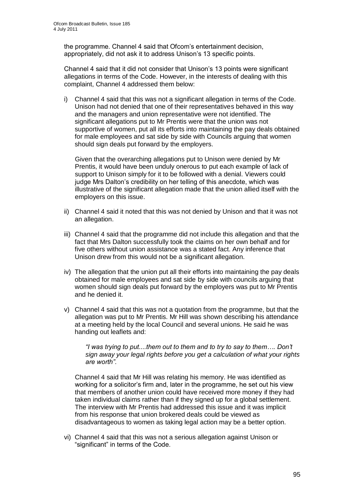the programme. Channel 4 said that Ofcom"s entertainment decision, appropriately, did not ask it to address Unison's 13 specific points.

Channel 4 said that it did not consider that Unison"s 13 points were significant allegations in terms of the Code. However, in the interests of dealing with this complaint, Channel 4 addressed them below:

i) Channel 4 said that this was not a significant allegation in terms of the Code. Unison had not denied that one of their representatives behaved in this way and the managers and union representative were not identified. The significant allegations put to Mr Prentis were that the union was not supportive of women, put all its efforts into maintaining the pay deals obtained for male employees and sat side by side with Councils arguing that women should sign deals put forward by the employers.

Given that the overarching allegations put to Unison were denied by Mr Prentis, it would have been unduly onerous to put each example of lack of support to Unison simply for it to be followed with a denial. Viewers could judge Mrs Dalton's credibility on her telling of this anecdote, which was illustrative of the significant allegation made that the union allied itself with the employers on this issue.

- ii) Channel 4 said it noted that this was not denied by Unison and that it was not an allegation.
- iii) Channel 4 said that the programme did not include this allegation and that the fact that Mrs Dalton successfully took the claims on her own behalf and for five others without union assistance was a stated fact. Any inference that Unison drew from this would not be a significant allegation.
- iv) The allegation that the union put all their efforts into maintaining the pay deals obtained for male employees and sat side by side with councils arguing that women should sign deals put forward by the employers was put to Mr Prentis and he denied it.
- v) Channel 4 said that this was not a quotation from the programme, but that the allegation was put to Mr Prentis. Mr Hill was shown describing his attendance at a meeting held by the local Council and several unions. He said he was handing out leaflets and:

*"I was trying to put....them out to them and to try to say to them…. Don"t sign away your legal rights before you get a calculation of what your rights are worth".*

Channel 4 said that Mr Hill was relating his memory. He was identified as working for a solicitor"s firm and, later in the programme, he set out his view that members of another union could have received more money if they had taken individual claims rather than if they signed up for a global settlement. The interview with Mr Prentis had addressed this issue and it was implicit from his response that union brokered deals could be viewed as disadvantageous to women as taking legal action may be a better option.

vi) Channel 4 said that this was not a serious allegation against Unison or "significant" in terms of the Code.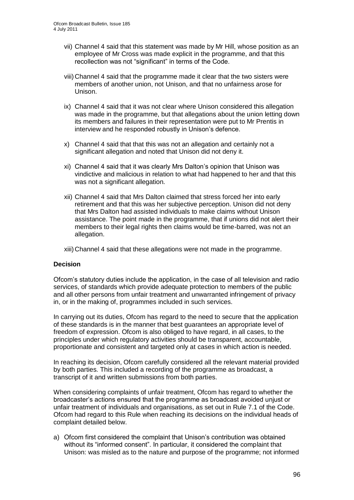- vii) Channel 4 said that this statement was made by Mr Hill, whose position as an employee of Mr Cross was made explicit in the programme, and that this recollection was not "significant" in terms of the Code.
- viii) Channel 4 said that the programme made it clear that the two sisters were members of another union, not Unison, and that no unfairness arose for Unison.
- ix) Channel 4 said that it was not clear where Unison considered this allegation was made in the programme, but that allegations about the union letting down its members and failures in their representation were put to Mr Prentis in interview and he responded robustly in Unison's defence.
- x) Channel 4 said that that this was not an allegation and certainly not a significant allegation and noted that Unison did not deny it.
- xi) Channel 4 said that it was clearly Mrs Dalton"s opinion that Unison was vindictive and malicious in relation to what had happened to her and that this was not a significant allegation.
- xii) Channel 4 said that Mrs Dalton claimed that stress forced her into early retirement and that this was her subjective perception. Unison did not deny that Mrs Dalton had assisted individuals to make claims without Unison assistance. The point made in the programme, that if unions did not alert their members to their legal rights then claims would be time-barred, was not an allegation.

xiii) Channel 4 said that these allegations were not made in the programme.

#### **Decision**

Ofcom"s statutory duties include the application, in the case of all television and radio services, of standards which provide adequate protection to members of the public and all other persons from unfair treatment and unwarranted infringement of privacy in, or in the making of, programmes included in such services.

In carrying out its duties, Ofcom has regard to the need to secure that the application of these standards is in the manner that best guarantees an appropriate level of freedom of expression. Ofcom is also obliged to have regard, in all cases, to the principles under which regulatory activities should be transparent, accountable, proportionate and consistent and targeted only at cases in which action is needed.

In reaching its decision, Ofcom carefully considered all the relevant material provided by both parties. This included a recording of the programme as broadcast, a transcript of it and written submissions from both parties.

When considering complaints of unfair treatment, Ofcom has regard to whether the broadcaster"s actions ensured that the programme as broadcast avoided unjust or unfair treatment of individuals and organisations, as set out in Rule 7.1 of the Code. Ofcom had regard to this Rule when reaching its decisions on the individual heads of complaint detailed below.

a) Ofcom first considered the complaint that Unison"s contribution was obtained without its "informed consent". In particular, it considered the complaint that Unison: was misled as to the nature and purpose of the programme; not informed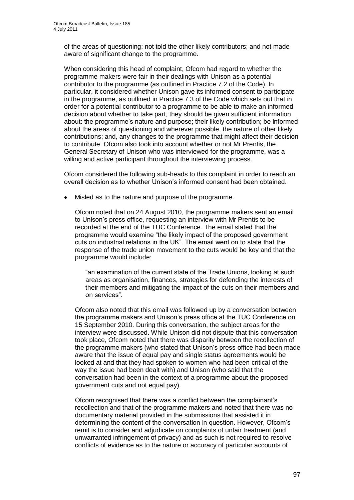of the areas of questioning; not told the other likely contributors; and not made aware of significant change to the programme.

When considering this head of complaint, Ofcom had regard to whether the programme makers were fair in their dealings with Unison as a potential contributor to the programme (as outlined in Practice 7.2 of the Code). In particular, it considered whether Unison gave its informed consent to participate in the programme, as outlined in Practice 7.3 of the Code which sets out that in order for a potential contributor to a programme to be able to make an informed decision about whether to take part, they should be given sufficient information about: the programme"s nature and purpose; their likely contribution; be informed about the areas of questioning and wherever possible, the nature of other likely contributions; and, any changes to the programme that might affect their decision to contribute. Ofcom also took into account whether or not Mr Prentis, the General Secretary of Unison who was interviewed for the programme, was a willing and active participant throughout the interviewing process.

Ofcom considered the following sub-heads to this complaint in order to reach an overall decision as to whether Unison"s informed consent had been obtained.

Misled as to the nature and purpose of the programme.

Ofcom noted that on 24 August 2010, the programme makers sent an email to Unison"s press office, requesting an interview with Mr Prentis to be recorded at the end of the TUC Conference. The email stated that the programme would examine "the likely impact of the proposed government cuts on industrial relations in the UK". The email went on to state that the response of the trade union movement to the cuts would be key and that the programme would include:

"an examination of the current state of the Trade Unions, looking at such areas as organisation, finances, strategies for defending the interests of their members and mitigating the impact of the cuts on their members and on services".

Ofcom also noted that this email was followed up by a conversation between the programme makers and Unison"s press office at the TUC Conference on 15 September 2010. During this conversation, the subject areas for the interview were discussed. While Unison did not dispute that this conversation took place, Ofcom noted that there was disparity between the recollection of the programme makers (who stated that Unison"s press office had been made aware that the issue of equal pay and single status agreements would be looked at and that they had spoken to women who had been critical of the way the issue had been dealt with) and Unison (who said that the conversation had been in the context of a programme about the proposed government cuts and not equal pay).

Ofcom recognised that there was a conflict between the complainant"s recollection and that of the programme makers and noted that there was no documentary material provided in the submissions that assisted it in determining the content of the conversation in question. However, Ofcom's remit is to consider and adjudicate on complaints of unfair treatment (and unwarranted infringement of privacy) and as such is not required to resolve conflicts of evidence as to the nature or accuracy of particular accounts of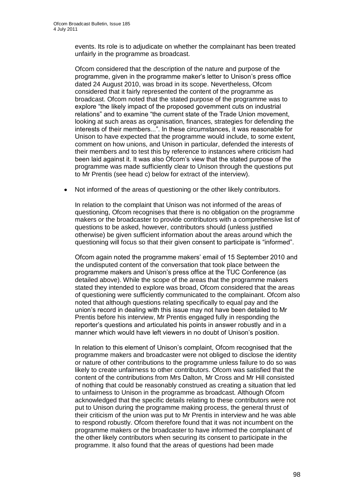events. Its role is to adjudicate on whether the complainant has been treated unfairly in the programme as broadcast.

Ofcom considered that the description of the nature and purpose of the programme, given in the programme maker"s letter to Unison"s press office dated 24 August 2010, was broad in its scope. Nevertheless, Ofcom considered that it fairly represented the content of the programme as broadcast. Ofcom noted that the stated purpose of the programme was to explore "the likely impact of the proposed government cuts on industrial relations" and to examine "the current state of the Trade Union movement, looking at such areas as organisation, finances, strategies for defending the interests of their members...". In these circumstances, it was reasonable for Unison to have expected that the programme would include, to some extent, comment on how unions, and Unison in particular, defended the interests of their members and to test this by reference to instances where criticism had been laid against it. It was also Ofcom"s view that the stated purpose of the programme was made sufficiently clear to Unison through the questions put to Mr Prentis (see head c) below for extract of the interview).

Not informed of the areas of questioning or the other likely contributors.  $\bullet$ 

In relation to the complaint that Unison was not informed of the areas of questioning, Ofcom recognises that there is no obligation on the programme makers or the broadcaster to provide contributors with a comprehensive list of questions to be asked, however, contributors should (unless justified otherwise) be given sufficient information about the areas around which the questioning will focus so that their given consent to participate is "informed".

Ofcom again noted the programme makers" email of 15 September 2010 and the undisputed content of the conversation that took place between the programme makers and Unison"s press office at the TUC Conference (as detailed above). While the scope of the areas that the programme makers stated they intended to explore was broad, Ofcom considered that the areas of questioning were sufficiently communicated to the complainant. Ofcom also noted that although questions relating specifically to equal pay and the union"s record in dealing with this issue may not have been detailed to Mr Prentis before his interview, Mr Prentis engaged fully in responding the reporter"s questions and articulated his points in answer robustly and in a manner which would have left viewers in no doubt of Unison"s position.

In relation to this element of Unison's complaint, Ofcom recognised that the programme makers and broadcaster were not obliged to disclose the identity or nature of other contributions to the programme unless failure to do so was likely to create unfairness to other contributors. Ofcom was satisfied that the content of the contributions from Mrs Dalton, Mr Cross and Mr Hill consisted of nothing that could be reasonably construed as creating a situation that led to unfairness to Unison in the programme as broadcast. Although Ofcom acknowledged that the specific details relating to these contributors were not put to Unison during the programme making process, the general thrust of their criticism of the union was put to Mr Prentis in interview and he was able to respond robustly. Ofcom therefore found that it was not incumbent on the programme makers or the broadcaster to have informed the complainant of the other likely contributors when securing its consent to participate in the programme. It also found that the areas of questions had been made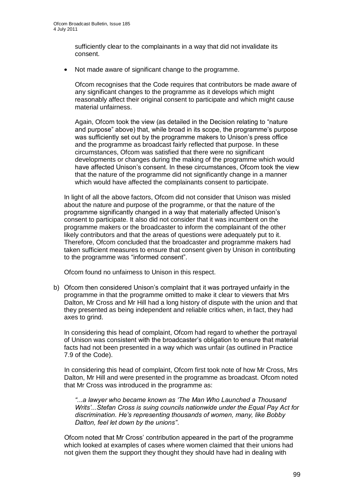sufficiently clear to the complainants in a way that did not invalidate its consent.

 $\bullet$ Not made aware of significant change to the programme.

Ofcom recognises that the Code requires that contributors be made aware of any significant changes to the programme as it develops which might reasonably affect their original consent to participate and which might cause material unfairness.

Again, Ofcom took the view (as detailed in the Decision relating to "nature and purpose" above) that, while broad in its scope, the programme"s purpose was sufficiently set out by the programme makers to Unison's press office and the programme as broadcast fairly reflected that purpose. In these circumstances, Ofcom was satisfied that there were no significant developments or changes during the making of the programme which would have affected Unison"s consent. In these circumstances, Ofcom took the view that the nature of the programme did not significantly change in a manner which would have affected the complainants consent to participate.

In light of all the above factors, Ofcom did not consider that Unison was misled about the nature and purpose of the programme, or that the nature of the programme significantly changed in a way that materially affected Unison"s consent to participate. It also did not consider that it was incumbent on the programme makers or the broadcaster to inform the complainant of the other likely contributors and that the areas of questions were adequately put to it. Therefore, Ofcom concluded that the broadcaster and programme makers had taken sufficient measures to ensure that consent given by Unison in contributing to the programme was "informed consent".

Ofcom found no unfairness to Unison in this respect.

b) Ofcom then considered Unison"s complaint that it was portrayed unfairly in the programme in that the programme omitted to make it clear to viewers that Mrs Dalton, Mr Cross and Mr Hill had a long history of dispute with the union and that they presented as being independent and reliable critics when, in fact, they had axes to grind.

In considering this head of complaint, Ofcom had regard to whether the portrayal of Unison was consistent with the broadcaster"s obligation to ensure that material facts had not been presented in a way which was unfair (as outlined in Practice 7.9 of the Code).

In considering this head of complaint, Ofcom first took note of how Mr Cross, Mrs Dalton, Mr Hill and were presented in the programme as broadcast. Ofcom noted that Mr Cross was introduced in the programme as:

*"*...*a lawyer who became known as "The Man Who Launched a Thousand Writs"...Stefan Cross is suing councils nationwide under the Equal Pay Act for discrimination. He"s representing thousands of women, many, like Bobby Dalton, feel let down by the unions"*.

Ofcom noted that Mr Cross" contribution appeared in the part of the programme which looked at examples of cases where women claimed that their unions had not given them the support they thought they should have had in dealing with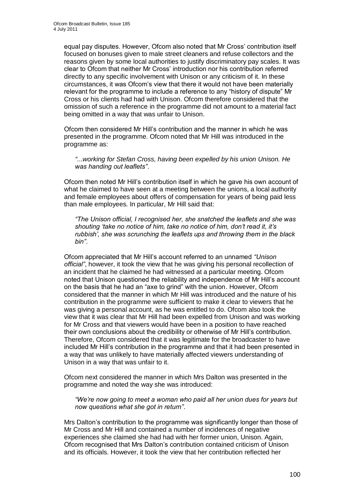equal pay disputes. However, Ofcom also noted that Mr Cross" contribution itself focused on bonuses given to male street cleaners and refuse collectors and the reasons given by some local authorities to justify discriminatory pay scales. It was clear to Ofcom that neither Mr Cross" introduction nor his contribution referred directly to any specific involvement with Unison or any criticism of it. In these circumstances, it was Ofcom"s view that there it would not have been materially relevant for the programme to include a reference to any "history of dispute" Mr Cross or his clients had had with Unison. Ofcom therefore considered that the omission of such a reference in the programme did not amount to a material fact being omitted in a way that was unfair to Unison.

Ofcom then considered Mr Hill"s contribution and the manner in which he was presented in the programme. Ofcom noted that Mr Hill was introduced in the programme as:

*"*...*working for Stefan Cross, having been expelled by his union Unison. He was handing out leaflets"*.

Ofcom then noted Mr Hill"s contribution itself in which he gave his own account of what he claimed to have seen at a meeting between the unions, a local authority and female employees about offers of compensation for years of being paid less than male employees. In particular, Mr Hill said that:

*"The Unison official, I recognised her, she snatched the leaflets and she was shouting "take no notice of him, take no notice of him, don"t read it, it"s rubbish", she was scrunching the leaflets ups and throwing them in the black bin"*.

Ofcom appreciated that Mr Hill"s account referred to an unnamed *"Unison official"*, however, it took the view that he was giving his personal recollection of an incident that he claimed he had witnessed at a particular meeting. Ofcom noted that Unison questioned the reliability and independence of Mr Hill"s account on the basis that he had an "axe to grind" with the union. However, Ofcom considered that the manner in which Mr Hill was introduced and the nature of his contribution in the programme were sufficient to make it clear to viewers that he was giving a personal account, as he was entitled to do. Ofcom also took the view that it was clear that Mr Hill had been expelled from Unison and was working for Mr Cross and that viewers would have been in a position to have reached their own conclusions about the credibility or otherwise of Mr Hill"s contribution. Therefore, Ofcom considered that it was legitimate for the broadcaster to have included Mr Hill"s contribution in the programme and that it had been presented in a way that was unlikely to have materially affected viewers understanding of Unison in a way that was unfair to it.

Ofcom next considered the manner in which Mrs Dalton was presented in the programme and noted the way she was introduced:

*"We"re now going to meet a woman who paid all her union dues for years but now questions what she got in return"*.

Mrs Dalton"s contribution to the programme was significantly longer than those of Mr Cross and Mr Hill and contained a number of incidences of negative experiences she claimed she had had with her former union, Unison. Again, Ofcom recognised that Mrs Dalton"s contribution contained criticism of Unison and its officials. However, it took the view that her contribution reflected her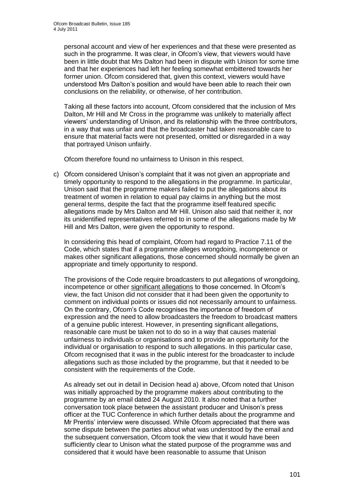personal account and view of her experiences and that these were presented as such in the programme. It was clear, in Ofcom"s view, that viewers would have been in little doubt that Mrs Dalton had been in dispute with Unison for some time and that her experiences had left her feeling somewhat embittered towards her former union. Ofcom considered that, given this context, viewers would have understood Mrs Dalton"s position and would have been able to reach their own conclusions on the reliability, or otherwise, of her contribution.

Taking all these factors into account, Ofcom considered that the inclusion of Mrs Dalton, Mr Hill and Mr Cross in the programme was unlikely to materially affect viewers" understanding of Unison, and its relationship with the three contributors, in a way that was unfair and that the broadcaster had taken reasonable care to ensure that material facts were not presented, omitted or disregarded in a way that portrayed Unison unfairly.

Ofcom therefore found no unfairness to Unison in this respect.

c) Ofcom considered Unison"s complaint that it was not given an appropriate and timely opportunity to respond to the allegations in the programme. In particular, Unison said that the programme makers failed to put the allegations about its treatment of women in relation to equal pay claims in anything but the most general terms, despite the fact that the programme itself featured specific allegations made by Mrs Dalton and Mr Hill. Unison also said that neither it, nor its unidentified representatives referred to in some of the allegations made by Mr Hill and Mrs Dalton, were given the opportunity to respond.

In considering this head of complaint, Ofcom had regard to Practice 7.11 of the Code, which states that if a programme alleges wrongdoing, incompetence or makes other significant allegations, those concerned should normally be given an appropriate and timely opportunity to respond.

The provisions of the Code require broadcasters to put allegations of wrongdoing, incompetence or other significant allegations to those concerned. In Ofcom's view, the fact Unison did not consider that it had been given the opportunity to comment on individual points or issues did not necessarily amount to unfairness. On the contrary, Ofcom"s Code recognises the importance of freedom of expression and the need to allow broadcasters the freedom to broadcast matters of a genuine public interest. However, in presenting significant allegations, reasonable care must be taken not to do so in a way that causes material unfairness to individuals or organisations and to provide an opportunity for the individual or organisation to respond to such allegations. In this particular case, Ofcom recognised that it was in the public interest for the broadcaster to include allegations such as those included by the programme, but that it needed to be consistent with the requirements of the Code.

As already set out in detail in Decision head a) above, Ofcom noted that Unison was initially approached by the programme makers about contributing to the programme by an email dated 24 August 2010. It also noted that a further conversation took place between the assistant producer and Unison"s press officer at the TUC Conference in which further details about the programme and Mr Prentis" interview were discussed. While Ofcom appreciated that there was some dispute between the parties about what was understood by the email and the subsequent conversation, Ofcom took the view that it would have been sufficiently clear to Unison what the stated purpose of the programme was and considered that it would have been reasonable to assume that Unison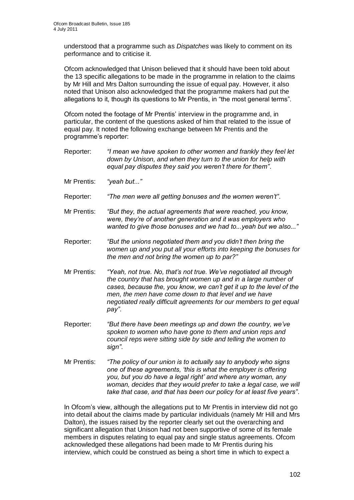understood that a programme such as *Dispatches* was likely to comment on its performance and to criticise it.

Ofcom acknowledged that Unison believed that it should have been told about the 13 specific allegations to be made in the programme in relation to the claims by Mr Hill and Mrs Dalton surrounding the issue of equal pay. However, it also noted that Unison also acknowledged that the programme makers had put the allegations to it, though its questions to Mr Prentis, in "the most general terms".

Ofcom noted the footage of Mr Prentis" interview in the programme and, in particular, the content of the questions asked of him that related to the issue of equal pay. It noted the following exchange between Mr Prentis and the programme's reporter:

- Reporter: *"I mean we have spoken to other women and frankly they feel let down by Unison, and when they turn to the union for help with equal pay disputes they said you weren"t there for them"*.
- Mr Prentis: *"yeah but..."*
- Reporter: *"The men were all getting bonuses and the women weren"t"*.
- Mr Prentis: *"But they, the actual agreements that were reached, you know, were, they"re of another generation and it was employers who wanted to give those bonuses and we had to...yeah but we also..."*
- Reporter: *"But the unions negotiated them and you didn"t then bring the women up and you put all your efforts into keeping the bonuses for the men and not bring the women up to par?"*
- Mr Prentis: *"Yeah, not true. No, that"s not true. We"ve negotiated all through the country that has brought women up and in a large number of cases, because the, you know, we can"t get it up to the level of the men, the men have come down to that level and we have negotiated really difficult agreements for our members to get equal pay"*.
- Reporter: *"But there have been meetings up and down the country, we"ve spoken to women who have gone to them and union reps and council reps were sitting side by side and telling the women to sign"*.
- Mr Prentis: *"The policy of our union is to actually say to anybody who signs one of these agreements, "this is what the employer is offering you, but you do have a legal right" and where any woman, any woman, decides that they would prefer to take a legal case, we will take that case, and that has been our policy for at least five years"*.

In Ofcom"s view, although the allegations put to Mr Prentis in interview did not go into detail about the claims made by particular individuals (namely Mr Hill and Mrs Dalton), the issues raised by the reporter clearly set out the overarching and significant allegation that Unison had not been supportive of some of its female members in disputes relating to equal pay and single status agreements. Ofcom acknowledged these allegations had been made to Mr Prentis during his interview, which could be construed as being a short time in which to expect a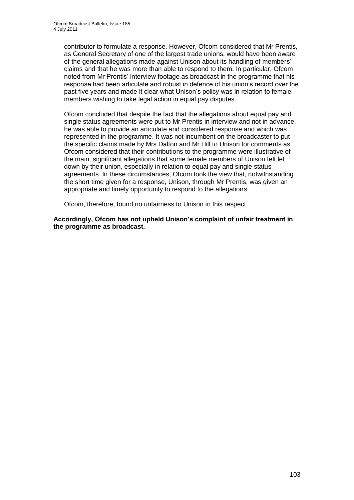contributor to formulate a response. However, Ofcom considered that Mr Prentis, as General Secretary of one of the largest trade unions, would have been aware of the general allegations made against Unison about its handling of members" claims and that he was more than able to respond to them. In particular, Ofcom noted from Mr Prentis" interview footage as broadcast in the programme that his response had been articulate and robust in defence of his union"s record over the past five years and made it clear what Unison"s policy was in relation to female members wishing to take legal action in equal pay disputes.

Ofcom concluded that despite the fact that the allegations about equal pay and single status agreements were put to Mr Prentis in interview and not in advance, he was able to provide an articulate and considered response and which was represented in the programme. It was not incumbent on the broadcaster to put the specific claims made by Mrs Dalton and Mr Hill to Unison for comments as Ofcom considered that their contributions to the programme were illustrative of the main, significant allegations that some female members of Unison felt let down by their union, especially in relation to equal pay and single status agreements. In these circumstances, Ofcom took the view that, notwithstanding the short time given for a response, Unison, through Mr Prentis, was given an appropriate and timely opportunity to respond to the allegations.

Ofcom, therefore, found no unfairness to Unison in this respect.

**Accordingly, Ofcom has not upheld Unison's complaint of unfair treatment in the programme as broadcast.**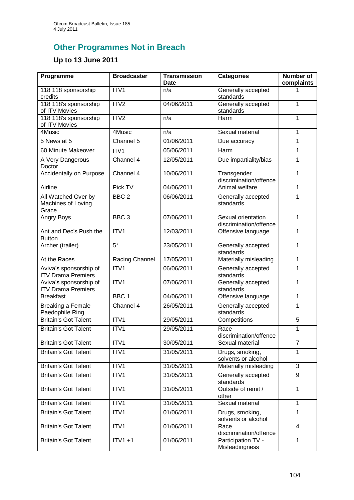## **Other Programmes Not in Breach**

### **Up to 13 June 2011**

| Programme                                           | <b>Broadcaster</b> | <b>Transmission</b><br><b>Date</b> | <b>Categories</b>                            | Number of<br>complaints |
|-----------------------------------------------------|--------------------|------------------------------------|----------------------------------------------|-------------------------|
| 118 118 sponsorship<br>credits                      | ITV1               | n/a                                | Generally accepted<br>standards              | 1                       |
| 118 118's sponsorship<br>of ITV Movies              | $\overline{IV2}$   | 04/06/2011                         | Generally accepted<br>standards              | $\mathbf{1}$            |
| 118 118's sponsorship<br>of ITV Movies              | ITV2               | n/a                                | Harm                                         | $\mathbf{1}$            |
| 4Music                                              | 4Music             | n/a                                | Sexual material                              | 1                       |
| 5 News at 5                                         | Channel 5          | 01/06/2011                         | Due accuracy                                 | $\mathbf{1}$            |
| 60 Minute Makeover                                  | ITV1               | 05/06/2011                         | Harm                                         | $\mathbf{1}$            |
| A Very Dangerous<br>Doctor                          | Channel 4          | 12/05/2011                         | Due impartiality/bias                        | 1                       |
| <b>Accidentally on Purpose</b>                      | Channel 4          | 10/06/2011                         | Transgender<br>discrimination/offence        | $\mathbf{1}$            |
| Airline                                             | Pick TV            | 04/06/2011                         | Animal welfare                               | $\mathbf{1}$            |
| All Watched Over by<br>Machines of Loving<br>Grace  | BBC <sub>2</sub>   | 06/06/2011                         | Generally accepted<br>standards              | $\mathbf{1}$            |
| Angry Boys                                          | BBC <sub>3</sub>   | 07/06/2011                         | Sexual orientation<br>discrimination/offence | 1                       |
| Ant and Dec's Push the<br><b>Button</b>             | ITV1               | 12/03/2011                         | Offensive language                           | 1                       |
| Archer (trailer)                                    | $5*$               | 23/05/2011                         | Generally accepted<br>standards              | 1                       |
| At the Races                                        | Racing Channel     | 17/05/2011                         | Materially misleading                        | $\mathbf{1}$            |
| Aviva's sponsorship of<br><b>ITV Drama Premiers</b> | ITV1               | 06/06/2011                         | Generally accepted<br>standards              | 1                       |
| Aviva's sponsorship of<br><b>ITV Drama Premiers</b> | ITV1               | 07/06/2011                         | Generally accepted<br>standards              | $\mathbf{1}$            |
| <b>Breakfast</b>                                    | BBC <sub>1</sub>   | 04/06/2011                         | Offensive language                           | $\mathbf{1}$            |
| <b>Breaking a Female</b><br>Paedophile Ring         | Channel 4          | 26/05/2011                         | Generally accepted<br>standards              | $\mathbf{1}$            |
| <b>Britain's Got Talent</b>                         | ITV1               | 29/05/2011                         | Competitions                                 | $\overline{5}$          |
| <b>Britain's Got Talent</b>                         | ITV1               | 29/05/2011                         | Race<br>discrimination/offence               | 1                       |
| <b>Britain's Got Talent</b>                         | ITV1               | 30/05/2011                         | Sexual material                              | $\overline{7}$          |
| <b>Britain's Got Talent</b>                         | ITV1               | 31/05/2011                         | Drugs, smoking,<br>solvents or alcohol       | $\mathbf{1}$            |
| <b>Britain's Got Talent</b>                         | ITV <sub>1</sub>   | 31/05/2011                         | Materially misleading                        | 3                       |
| <b>Britain's Got Talent</b>                         | ITV1               | 31/05/2011                         | Generally accepted<br>standards              | 9                       |
| <b>Britain's Got Talent</b>                         | ITV1               | 31/05/2011                         | Outside of remit /<br>other                  | $\mathbf{1}$            |
| <b>Britain's Got Talent</b>                         | ITV1               | 31/05/2011                         | Sexual material                              | $\mathbf{1}$            |
| <b>Britain's Got Talent</b>                         | ITV1               | 01/06/2011                         | Drugs, smoking,<br>solvents or alcohol       | $\mathbf{1}$            |
| <b>Britain's Got Talent</b>                         | ITV1               | 01/06/2011                         | Race<br>discrimination/offence               | 4                       |
| <b>Britain's Got Talent</b>                         | $ITV1+1$           | 01/06/2011                         | Participation TV -<br>Misleadingness         | $\overline{1}$          |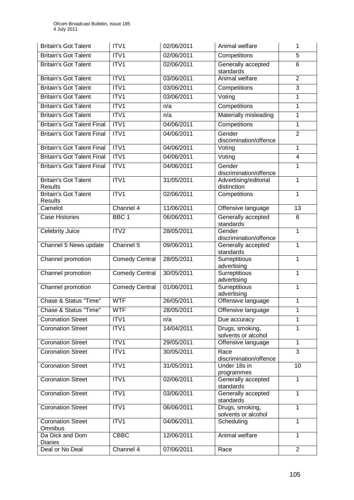| <b>Britain's Got Talent</b>                   | ITV1                  | 02/06/2011 | Animal welfare                         | 1               |
|-----------------------------------------------|-----------------------|------------|----------------------------------------|-----------------|
| <b>Britain's Got Talent</b>                   | ITV1                  | 02/06/2011 | Competitions                           | $\overline{5}$  |
| <b>Britain's Got Talent</b>                   | ITV1                  | 02/06/2011 | Generally accepted<br>standards        | 6               |
| <b>Britain's Got Talent</b>                   | ITV1                  | 03/06/2011 | Animal welfare                         | $\overline{2}$  |
| <b>Britain's Got Talent</b>                   | ITV1                  | 03/06/2011 | Competitions                           | $\overline{3}$  |
| <b>Britain's Got Talent</b>                   | ITV1                  | 03/06/2011 | Voting                                 | 1               |
| <b>Britain's Got Talent</b>                   | ITV <sub>1</sub>      | n/a        | Competitions                           | 1               |
| <b>Britain's Got Talent</b>                   | ITV1                  | n/a        | Materially misleading                  | 1               |
| <b>Britain's Got Talent Final</b>             | ITV1                  | 04/06/2011 | Competitions                           | 1               |
| <b>Britain's Got Talent Final</b>             | ITV1                  | 04/06/2011 | Gender<br>discrimination/offence       | $\overline{2}$  |
| <b>Britain's Got Talent Final</b>             | ITV1                  | 04/06/2011 | Voting                                 | 1               |
| <b>Britain's Got Talent Final</b>             | ITV1                  | 04/06/2011 | Voting                                 | $\overline{4}$  |
| <b>Britain's Got Talent Final</b>             | ITV1                  | 04/06/2011 | Gender<br>discrimination/offence       | 1               |
| <b>Britain's Got Talent</b><br><b>Results</b> | ITV1                  | 31/05/2011 | Advertising/editorial<br>distinction   | 1               |
| <b>Britain's Got Talent</b><br><b>Results</b> | ITV1                  | 02/06/2011 | Competitions                           | 1               |
| Camelot                                       | Channel 4             | 11/06/2011 | Offensive language                     | 13              |
| <b>Case Histories</b>                         | BBC <sub>1</sub>      | 06/06/2011 | Generally accepted<br>standards        | 6               |
| Celebrity Juice                               | ITV <sub>2</sub>      | 28/05/2011 | Gender<br>discrimination/offence       | 1               |
| Channel 5 News update                         | Channel 5             | 09/06/2011 | Generally accepted<br>standards        | 1               |
| Channel promotion                             | <b>Comedy Central</b> | 28/05/2011 | Surreptitious<br>advertising           | 1               |
| Channel promotion                             | <b>Comedy Central</b> | 30/05/2011 | Surreptitious<br>advertising           | 1               |
| Channel promotion                             | <b>Comedy Central</b> | 01/06/2011 | Surreptitious<br>advertising           | 1               |
| Chase & Status "Time"                         | <b>WTF</b>            | 26/05/2011 | Offensive language                     | 1               |
| Chase & Status "Time"                         | <b>WTF</b>            | 28/05/2011 | Offensive language                     | 1               |
| <b>Coronation Street</b>                      | ITV1                  | n/a        | Due accuracy                           | 1               |
| <b>Coronation Street</b>                      | ITV1                  | 14/04/2011 | Drugs, smoking,<br>solvents or alcohol | 1               |
| <b>Coronation Street</b>                      | ITV1                  | 29/05/2011 | Offensive language                     | 1               |
| <b>Coronation Street</b>                      | ITV1                  | 30/05/2011 | Race<br>discrimination/offence         | $\overline{3}$  |
| <b>Coronation Street</b>                      | ITV1                  | 31/05/2011 | Under 18s in<br>programmes             | $\overline{10}$ |
| <b>Coronation Street</b>                      | ITV <sub>1</sub>      | 02/06/2011 | Generally accepted<br>standards        | $\mathbf{1}$    |
| <b>Coronation Street</b>                      | ITV1                  | 03/06/2011 | Generally accepted<br>standards        | 1               |
| <b>Coronation Street</b>                      | ITV <sub>1</sub>      | 06/06/2011 | Drugs, smoking,<br>solvents or alcohol | 1               |
| <b>Coronation Street</b><br>Omnibus           | ITV1                  | 04/06/2011 | Scheduling                             | 1               |
| Da Dick and Dom<br><b>Diaries</b>             | <b>CBBC</b>           | 12/06/2011 | Animal welfare                         | 1               |
| Deal or No Deal                               | Channel 4             | 07/06/2011 | Race                                   | $\overline{2}$  |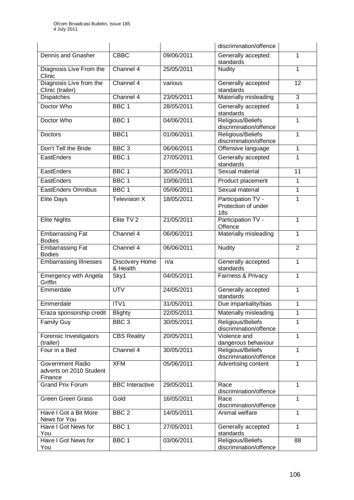|                                                        |                            |            | discrimination/offence                                       |                |
|--------------------------------------------------------|----------------------------|------------|--------------------------------------------------------------|----------------|
| Dennis and Gnasher                                     | <b>CBBC</b>                | 09/06/2011 | Generally accepted<br>standards                              | $\mathbf{1}$   |
| Diagnosis Live From the<br>Clinic                      | Channel 4                  | 25/05/2011 | <b>Nudity</b>                                                | 1              |
| Diagnosis Live from the<br>Clinic (trailer)            | Channel 4                  | various    | Generally accepted<br>standards                              | 12             |
| Dispatches                                             | Channel 4                  | 23/05/2011 | Materially misleading                                        | 3              |
| Doctor Who                                             | BBC <sub>1</sub>           | 28/05/2011 | Generally accepted<br>standards                              | 1              |
| Doctor Who                                             | BBC <sub>1</sub>           | 04/06/2011 | Religious/Beliefs<br>discrimination/offence                  | $\mathbf{1}$   |
| Doctors                                                | BBC1                       | 01/06/2011 | Religious/Beliefs<br>discrimination/offence                  | 1              |
| Don't Tell the Bride                                   | BBC <sub>3</sub>           | 06/06/2011 | Offensive language                                           | $\mathbf{1}$   |
| EastEnders                                             | BBC <sub>1</sub>           | 27/05/2011 | Generally accepted<br>standards                              | 1              |
| EastEnders                                             | BBC <sub>1</sub>           | 30/05/2011 | Sexual material                                              | 11             |
| <b>EastEnders</b>                                      | BBC <sub>1</sub>           | 10/06/2011 | Product placement                                            | 1              |
| EastEnders Omnibus                                     | BBC <sub>1</sub>           | 05/06/2011 | Sexual material                                              | $\mathbf{1}$   |
| <b>Elite Days</b>                                      | <b>Television X</b>        | 18/05/2011 | Participation TV -<br>Protection of under<br>18 <sub>s</sub> | 1              |
| <b>Elite Nights</b>                                    | Elite TV 2                 | 21/05/2011 | Participation TV -<br>Offence                                | 1              |
| <b>Embarrassing Fat</b><br><b>Bodies</b>               | Channel 4                  | 06/06/2011 | Materially misleading                                        | $\mathbf{1}$   |
| <b>Embarrassing Fat</b><br><b>Bodies</b>               | Channel 4                  | 06/06/2011 | <b>Nudity</b>                                                | $\overline{2}$ |
| <b>Embarrassing Illnesses</b>                          | Discovery Home<br>& Health | n/a        | Generally accepted<br>standards                              | $\mathbf{1}$   |
| Emergency with Angela<br>Griffin                       | Sky1                       | 04/05/2011 | Fairness & Privacy                                           | $\mathbf{1}$   |
| Emmerdale                                              | <b>UTV</b>                 | 24/05/2011 | Generally accepted<br>standards                              | $\overline{1}$ |
| Emmerdale                                              | ITV1                       | 31/05/2011 | Due impartiality/bias                                        | 1              |
| Eraza sponsorship credit                               | <b>Blighty</b>             | 22/05/2011 | Materially misleading                                        | 1              |
| <b>Family Guy</b>                                      | BBC <sub>3</sub>           | 30/05/2011 | Religious/Beliefs<br>discrimination/offence                  | 1              |
| Forensic Investigators<br>(trailer)                    | <b>CBS Reality</b>         | 20/05/2011 | Violence and<br>dangerous behaviour                          | $\mathbf{1}$   |
| Four in a Bed                                          | Channel 4                  | 30/05/2011 | Religious/Beliefs<br>discrimination/offence                  | 1              |
| Government Radio<br>adverts on 2010 Student<br>Finance | <b>XFM</b>                 | 05/06/2011 | Advertising content                                          | 1              |
| <b>Grand Prix Forum</b>                                | <b>BBC</b> Interactive     | 29/05/2011 | Race<br>discrimination/offence                               | $\mathbf 1$    |
| <b>Green Green Grass</b>                               | Gold                       | 16/05/2011 | Race<br>discrimination/offence                               | 1              |
| Have I Got a Bit More<br>News for You                  | BBC <sub>2</sub>           | 14/05/2011 | Animal welfare                                               | 1              |
| Have I Got News for<br>You                             | BBC <sub>1</sub>           | 27/05/2011 | Generally accepted<br>standards                              | 1              |
| Have I Got News for<br>You                             | BBC <sub>1</sub>           | 03/06/2011 | Religious/Beliefs<br>discrimination/offence                  | 88             |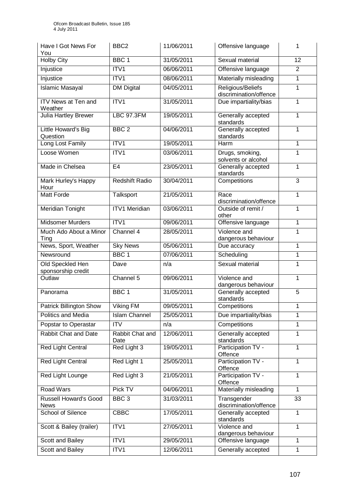| Have I Got News For<br>You             | BBC <sub>2</sub>        | 11/06/2011 | Offensive language                          | 1              |
|----------------------------------------|-------------------------|------------|---------------------------------------------|----------------|
| <b>Holby City</b>                      | BBC <sub>1</sub>        | 31/05/2011 | Sexual material                             | 12             |
| Injustice                              | ITV1                    | 06/06/2011 | Offensive language                          | $\overline{2}$ |
| Injustice                              | ITV1                    | 08/06/2011 | Materially misleading                       | 1              |
| <b>Islamic Masayal</b>                 | <b>DM Digital</b>       | 04/05/2011 | Religious/Beliefs<br>discrimination/offence | 1              |
| <b>ITV News at Ten and</b><br>Weather  | ITV1                    | 31/05/2011 | Due impartiality/bias                       | 1              |
| <b>Julia Hartley Brewer</b>            | <b>LBC 97.3FM</b>       | 19/05/2011 | Generally accepted<br>standards             | 1              |
| Little Howard's Big<br>Question        | BBC <sub>2</sub>        | 04/06/2011 | Generally accepted<br>standards             | 1              |
| Long Lost Family                       | ITV1                    | 19/05/2011 | Harm                                        | 1              |
| Loose Women                            | ITV1                    | 03/06/2011 | Drugs, smoking,<br>solvents or alcohol      | 1              |
| Made in Chelsea                        | E <sub>4</sub>          | 23/05/2011 | Generally accepted<br>standards             | 1              |
| Mark Hurley's Happy<br>Hour            | <b>Redshift Radio</b>   | 30/04/2011 | Competitions                                | $\overline{3}$ |
| Matt Forde                             | Talksport               | 21/05/2011 | Race<br>discrimination/offence              | 1              |
| Meridian Tonight                       | <b>ITV1 Meridian</b>    | 03/06/2011 | Outside of remit /<br>other                 | 1              |
| <b>Midsomer Murders</b>                | ITV1                    | 09/06/2011 | Offensive language                          | 1              |
| Much Ado About a Minor<br>Ting         | Channel 4               | 28/05/2011 | Violence and<br>dangerous behaviour         | 1              |
| News, Sport, Weather                   | <b>Sky News</b>         | 05/06/2011 | Due accuracy                                | 1              |
| Newsround                              | BBC <sub>1</sub>        | 07/06/2011 | Scheduling                                  | 1              |
| Old Speckled Hen<br>sponsorship credit | Dave                    | n/a        | Sexual material                             | 1              |
| Outlaw                                 | Channel 5               | 09/06/2011 | Violence and<br>dangerous behaviour         | 1              |
| Panorama                               | BBC <sub>1</sub>        | 31/05/2011 | Generally accepted<br>standards             | 5              |
| Patrick Billington Show                | Viking FM               | 09/05/2011 | Competitions                                | 1              |
| Politics and Media                     | <b>Islam Channel</b>    | 25/05/2011 | Due impartiality/bias                       | 1              |
| Popstar to Operastar                   | <b>ITV</b>              | n/a        | Competitions                                | 1              |
| <b>Rabbit Chat and Date</b>            | Rabbit Chat and<br>Date | 12/06/2011 | Generally accepted<br>standards             | 1              |
| <b>Red Light Central</b>               | Red Light 3             | 19/05/2011 | Participation TV -<br>Offence               | 1              |
| <b>Red Light Central</b>               | Red Light 1             | 25/05/2011 | Participation TV -<br>Offence               | 1              |
| Red Light Lounge                       | Red Light 3             | 21/05/2011 | Participation TV -<br>Offence               | 1              |
| Road Wars                              | Pick TV                 | 04/06/2011 | Materially misleading                       | $\mathbf{1}$   |
| Russell Howard's Good<br>News          | BBC <sub>3</sub>        | 31/03/2011 | Transgender<br>discrimination/offence       | 33             |
| School of Silence                      | <b>CBBC</b>             | 17/05/2011 | Generally accepted<br>standards             | 1              |
| Scott & Bailey (trailer)               | ITV1                    | 27/05/2011 | Violence and<br>dangerous behaviour         | 1              |
| Scott and Bailey                       | ITV1                    | 29/05/2011 | Offensive language                          | $\mathbf{1}$   |
| Scott and Bailey                       | ITV1                    | 12/06/2011 | Generally accepted                          | 1              |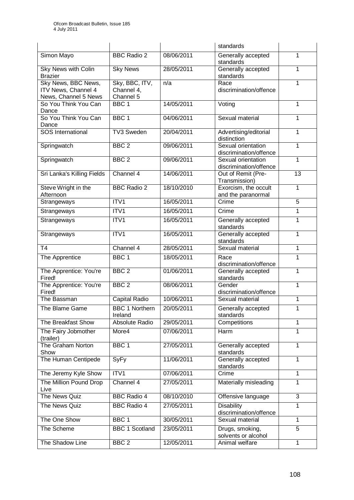|                                                                    |                                           |            | standards                                    |                |
|--------------------------------------------------------------------|-------------------------------------------|------------|----------------------------------------------|----------------|
| Simon Mayo                                                         | <b>BBC Radio 2</b>                        | 08/06/2011 | Generally accepted<br>standards              | 1              |
| Sky News with Colin<br><b>Brazier</b>                              | <b>Sky News</b>                           | 28/05/2011 | Generally accepted<br>standards              | 1              |
| Sky News, BBC News,<br>ITV News, Channel 4<br>News, Channel 5 News | Sky, BBC, ITV,<br>Channel 4,<br>Channel 5 | n/a        | Race<br>discrimination/offence               | 1              |
| So You Think You Can<br>Dance                                      | BBC <sub>1</sub>                          | 14/05/2011 | Voting                                       | 1              |
| So You Think You Can<br>Dance                                      | BBC <sub>1</sub>                          | 04/06/2011 | Sexual material                              | 1              |
| <b>SOS</b> International                                           | TV3 Sweden                                | 20/04/2011 | Advertising/editorial<br>distinction         | 1              |
| Springwatch                                                        | BBC <sub>2</sub>                          | 09/06/2011 | Sexual orientation<br>discrimination/offence | 1              |
| Springwatch                                                        | BBC <sub>2</sub>                          | 09/06/2011 | Sexual orientation<br>discrimination/offence | 1              |
| Sri Lanka's Killing Fields                                         | Channel 4                                 | 14/06/2011 | Out of Remit (Pre-<br>Transmission)          | 13             |
| Steve Wright in the<br>Afternoon                                   | <b>BBC Radio 2</b>                        | 18/10/2010 | Exorcism, the occult<br>and the paranormal   | 1              |
| Strangeways                                                        | ITV1                                      | 16/05/2011 | Crime                                        | 5              |
| Strangeways                                                        | ITV1                                      | 16/05/2011 | Crime                                        | 1              |
| Strangeways                                                        | ITV1                                      | 16/05/2011 | Generally accepted<br>standards              | 1              |
| Strangeways                                                        | ITV1                                      | 16/05/2011 | Generally accepted<br>standards              | 1              |
| T <sub>4</sub>                                                     | Channel 4                                 | 28/05/2011 | Sexual material                              | 1              |
| The Apprentice                                                     | BBC <sub>1</sub>                          | 18/05/2011 | Race<br>discrimination/offence               | 1              |
| The Apprentice: You're<br>Fired!                                   | BBC <sub>2</sub>                          | 01/06/2011 | Generally accepted<br>standards              | 1              |
| The Apprentice: You're<br>Fired!                                   | BBC <sub>2</sub>                          | 08/06/2011 | Gender<br>discrimination/offence             | 1              |
| The Bassman                                                        | Capital Radio                             | 10/06/2011 | Sexual material                              | 1              |
| The Blame Game                                                     | <b>BBC 1 Northern</b><br>Ireland          | 20/05/2011 | Generally accepted<br>standards              | 1              |
| The Breakfast Show                                                 | Absolute Radio                            | 29/05/2011 | Competitions                                 | 1              |
| The Fairy Jobmother<br>(trailer)                                   | More4                                     | 07/06/2011 | Harm                                         | $\mathbf{1}$   |
| The Graham Norton<br>Show                                          | BBC <sub>1</sub>                          | 27/05/2011 | Generally accepted<br>standards              | 1              |
| The Human Centipede                                                | SyFy                                      | 11/06/2011 | Generally accepted<br>standards              | 1              |
| The Jeremy Kyle Show                                               | ITV1                                      | 07/06/2011 | Crime                                        | $\overline{1}$ |
| The Million Pound Drop<br>Live                                     | Channel 4                                 | 27/05/2011 | Materially misleading                        | $\mathbf{1}$   |
| The News Quiz                                                      | <b>BBC Radio 4</b>                        | 08/10/2010 | Offensive language                           | $\overline{3}$ |
| The News Quiz                                                      | <b>BBC Radio 4</b>                        | 27/05/2011 | <b>Disability</b><br>discrimination/offence  | 1              |
| The One Show                                                       | BBC <sub>1</sub>                          | 30/05/2011 | Sexual material                              | $\mathbf{1}$   |
| The Scheme                                                         | <b>BBC 1 Scotland</b>                     | 23/05/2011 | Drugs, smoking,<br>solvents or alcohol       | $\overline{5}$ |
| The Shadow Line                                                    | BBC <sub>2</sub>                          | 12/05/2011 | Animal welfare                               | $\mathbf{1}$   |